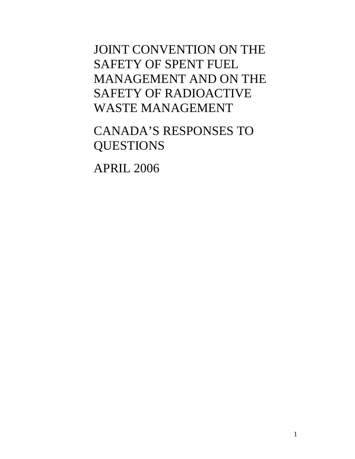JOINT CONVENTION ON THE SAFETY OF SPENT FUEL MANAGEMENT AND ON THE SAFETY OF RADIOACTIVE WASTE MANAGEMENT

CANADA'S RESPONSES TO QUESTIONS

APRIL 2006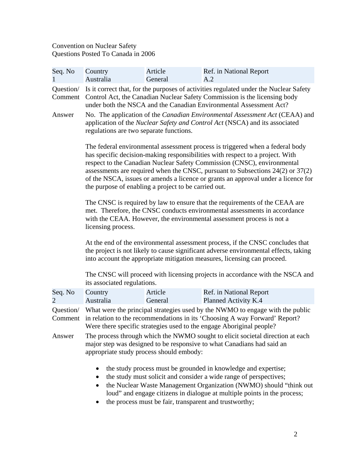## Convention on Nuclear Safety Questions Posted To Canada in 2006

| Seq. No                   | Country<br>Australia                                                                                                                                                                                                                                                                                                                                                                                                                                                         | Article<br>General | Ref. in National Report<br>A.2                                                                                                                                                                                                                                                        |  |
|---------------------------|------------------------------------------------------------------------------------------------------------------------------------------------------------------------------------------------------------------------------------------------------------------------------------------------------------------------------------------------------------------------------------------------------------------------------------------------------------------------------|--------------------|---------------------------------------------------------------------------------------------------------------------------------------------------------------------------------------------------------------------------------------------------------------------------------------|--|
| Question/<br>Comment      | Is it correct that, for the purposes of activities regulated under the Nuclear Safety<br>Control Act, the Canadian Nuclear Safety Commission is the licensing body<br>under both the NSCA and the Canadian Environmental Assessment Act?                                                                                                                                                                                                                                     |                    |                                                                                                                                                                                                                                                                                       |  |
| Answer                    | No. The application of the <i>Canadian Environmental Assessment Act</i> (CEAA) and<br>application of the Nuclear Safety and Control Act (NSCA) and its associated<br>regulations are two separate functions.                                                                                                                                                                                                                                                                 |                    |                                                                                                                                                                                                                                                                                       |  |
|                           | The federal environmental assessment process is triggered when a federal body<br>has specific decision-making responsibilities with respect to a project. With<br>respect to the Canadian Nuclear Safety Commission (CNSC), environmental<br>assessments are required when the CNSC, pursuant to Subsections $24(2)$ or $37(2)$<br>of the NSCA, issues or amends a licence or grants an approval under a licence for<br>the purpose of enabling a project to be carried out. |                    |                                                                                                                                                                                                                                                                                       |  |
|                           | The CNSC is required by law to ensure that the requirements of the CEAA are<br>met. Therefore, the CNSC conducts environmental assessments in accordance<br>with the CEAA. However, the environmental assessment process is not a<br>licensing process.                                                                                                                                                                                                                      |                    |                                                                                                                                                                                                                                                                                       |  |
|                           | At the end of the environmental assessment process, if the CNSC concludes that<br>the project is not likely to cause significant adverse environmental effects, taking<br>into account the appropriate mitigation measures, licensing can proceed.                                                                                                                                                                                                                           |                    |                                                                                                                                                                                                                                                                                       |  |
|                           | The CNSC will proceed with licensing projects in accordance with the NSCA and<br>its associated regulations.                                                                                                                                                                                                                                                                                                                                                                 |                    |                                                                                                                                                                                                                                                                                       |  |
| Seq. No<br>$\overline{2}$ | Country<br>Australia                                                                                                                                                                                                                                                                                                                                                                                                                                                         | Article<br>General | Ref. in National Report<br>Planned Activity K.4                                                                                                                                                                                                                                       |  |
| Question/<br>Comment      | What were the principal strategies used by the NWMO to engage with the public<br>in relation to the recommendations in its 'Choosing A way Forward' Report?<br>Were there specific strategies used to the engage Aboriginal people?                                                                                                                                                                                                                                          |                    |                                                                                                                                                                                                                                                                                       |  |
| Answer                    | The process through which the NWMO sought to elicit societal direction at each<br>major step was designed to be responsive to what Canadians had said an<br>appropriate study process should embody:                                                                                                                                                                                                                                                                         |                    |                                                                                                                                                                                                                                                                                       |  |
|                           |                                                                                                                                                                                                                                                                                                                                                                                                                                                                              |                    | the study process must be grounded in knowledge and expertise;<br>the study must solicit and consider a wide range of perspectives;<br>the Nuclear Waste Management Organization (NWMO) should "think out<br>loud" and engage citizens in dialogue at multiple points in the process; |  |

• the process must be fair, transparent and trustworthy;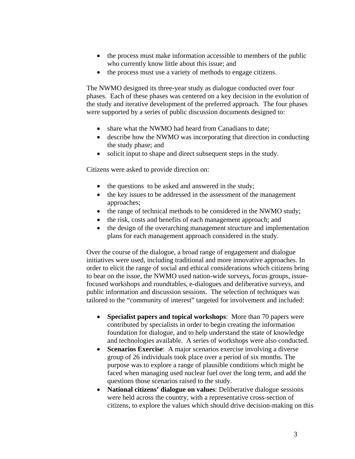- the process must make information accessible to members of the public who currently know little about this issue; and
- the process must use a variety of methods to engage citizens.

The NWMO designed its three-year study as dialogue conducted over four phases. Each of these phases was centered on a key decision in the evolution of the study and iterative development of the preferred approach. The four phases were supported by a series of public discussion documents designed to:

- share what the NWMO had heard from Canadians to date:
- describe how the NWMO was incorporating that direction in conducting the study phase; and
- • solicit input to shape and direct subsequent steps in the study.

Citizens were asked to provide direction on:

- the questions to be asked and answered in the study;
- the key issues to be addressed in the assessment of the management approaches;
- the range of technical methods to be considered in the NWMO study;
- the risk, costs and benefits of each management approach; and
- the design of the overarching management structure and implementation plans for each management approach considered in the study.

Over the course of the dialogue, a broad range of engagement and dialogue initiatives were used, including traditional and more innovative approaches. In order to elicit the range of social and ethical considerations which citizens bring to bear on the issue, the NWMO used nation-wide surveys, focus groups, issuefocused workshops and roundtables, e-dialogues and deliberative surveys, and public information and discussion sessions. The selection of techniques was tailored to the "community of interest" targeted for involvement and included:

- **Specialist papers and topical workshops**: More than 70 papers were contributed by specialists in order to begin creating the information foundation for dialogue, and to help understand the state of knowledge and technologies available. A series of workshops were also conducted.
- **Scenarios Exercise**: A major scenarios exercise involving a diverse group of 26 individuals took place over a period of six months. The purpose was to explore a range of plausible conditions which might be faced when managing used nuclear fuel over the long term, and add the questions those scenarios raised to the study.
- **National citizens' dialogue on values**: Deliberative dialogue sessions were held across the country, with a representative cross-section of citizens, to explore the values which should drive decision-making on this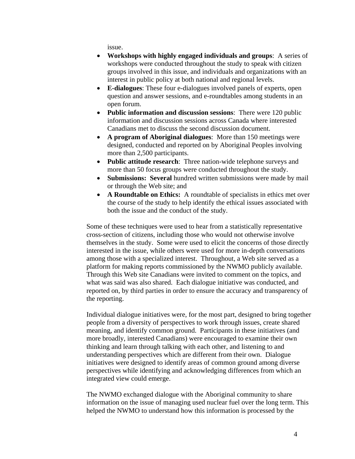issue.

- • **Workshops with highly engaged individuals and groups**: A series of workshops were conducted throughout the study to speak with citizen groups involved in this issue, and individuals and organizations with an interest in public policy at both national and regional levels.
- • **E-dialogues**: These four e-dialogues involved panels of experts, open question and answer sessions, and e-roundtables among students in an open forum.
- **Public information and discussion sessions**: There were 120 public information and discussion sessions across Canada where interested Canadians met to discuss the second discussion document.
- • **A program of Aboriginal dialogues**: More than 150 meetings were designed, conducted and reported on by Aboriginal Peoples involving more than 2,500 participants.
- **Public attitude research**: Three nation-wide telephone surveys and more than 50 focus groups were conducted throughout the study.
- **Submissions: Several hundred written submissions were made by mail** or through the Web site; and
- **A Roundtable on Ethics:** A roundtable of specialists in ethics met over the course of the study to help identify the ethical issues associated with both the issue and the conduct of the study.

Some of these techniques were used to hear from a statistically representative cross-section of citizens, including those who would not otherwise involve themselves in the study. Some were used to elicit the concerns of those directly interested in the issue, while others were used for more in-depth conversations among those with a specialized interest. Throughout, a Web site served as a platform for making reports commissioned by the NWMO publicly available. Through this Web site Canadians were invited to comment on the topics, and what was said was also shared. Each dialogue initiative was conducted, and reported on, by third parties in order to ensure the accuracy and transparency of the reporting.

Individual dialogue initiatives were, for the most part, designed to bring together people from a diversity of perspectives to work through issues, create shared meaning, and identify common ground. Participants in these initiatives (and more broadly, interested Canadians) were encouraged to examine their own thinking and learn through talking with each other, and listening to and understanding perspectives which are different from their own. Dialogue initiatives were designed to identify areas of common ground among diverse perspectives while identifying and acknowledging differences from which an integrated view could emerge.

The NWMO exchanged dialogue with the Aboriginal community to share information on the issue of managing used nuclear fuel over the long term. This helped the NWMO to understand how this information is processed by the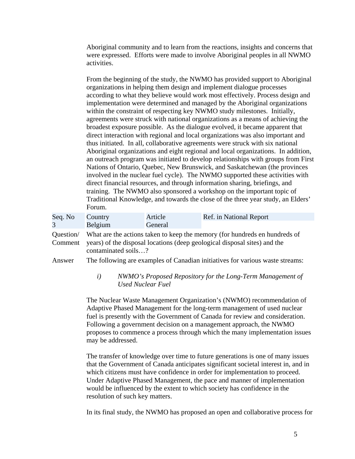Aboriginal community and to learn from the reactions, insights and concerns that were expressed. Efforts were made to involve Aboriginal peoples in all NWMO activities.

From the beginning of the study, the NWMO has provided support to Aboriginal organizations in helping them design and implement dialogue processes according to what they believe would work most effectively. Process design and implementation were determined and managed by the Aboriginal organizations within the constraint of respecting key NWMO study milestones. Initially, agreements were struck with national organizations as a means of achieving the broadest exposure possible. As the dialogue evolved, it became apparent that direct interaction with regional and local organizations was also important and thus initiated. In all, collaborative agreements were struck with six national Aboriginal organizations and eight regional and local organizations. In addition, an outreach program was initiated to develop relationships with groups from First Nations of Ontario, Quebec, New Brunswick, and Saskatchewan (the provinces involved in the nuclear fuel cycle). The NWMO supported these activities with direct financial resources, and through information sharing, briefings, and training. The NWMO also sponsored a workshop on the important topic of Traditional Knowledge, and towards the close of the three year study, an Elders' Forum.

| Seq. No | Country        | Article | Ref. in National Report |
|---------|----------------|---------|-------------------------|
|         | <b>Belgium</b> | General |                         |

 contaminated soils…? Question/ What are the actions taken to keep the memory (for hundreds en hundreds of Comment years) of the disposal locations (deep geological disposal sites) and the

Answer The following are examples of Canadian initiatives for various waste streams:

## *i) NWMO's Proposed Repository for the Long-Term Management of Used Nuclear Fuel*

The Nuclear Waste Management Organization's (NWMO) recommendation of Adaptive Phased Management for the long-term management of used nuclear fuel is presently with the Government of Canada for review and consideration. Following a government decision on a management approach, the NWMO proposes to commence a process through which the many implementation issues may be addressed.

The transfer of knowledge over time to future generations is one of many issues that the Government of Canada anticipates significant societal interest in, and in which citizens must have confidence in order for implementation to proceed. Under Adaptive Phased Management, the pace and manner of implementation would be influenced by the extent to which society has confidence in the resolution of such key matters.

In its final study, the NWMO has proposed an open and collaborative process for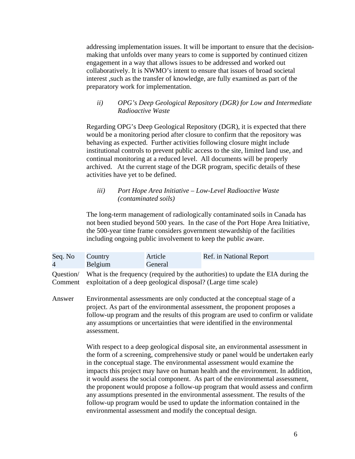addressing implementation issues. It will be important to ensure that the decisionmaking that unfolds over many years to come is supported by continued citizen engagement in a way that allows issues to be addressed and worked out collaboratively. It is NWMO's intent to ensure that issues of broad societal interest ,such as the transfer of knowledge, are fully examined as part of the preparatory work for implementation.

## *ii) OPG's Deep Geological Repository (DGR) for Low and Intermediate Radioactive Waste*

Regarding OPG's Deep Geological Repository (DGR), it is expected that there would be a monitoring period after closure to confirm that the repository was behaving as expected. Further activities following closure might include institutional controls to prevent public access to the site, limited land use, and continual monitoring at a reduced level. All documents will be properly archived. At the current stage of the DGR program, specific details of these activities have yet to be defined.

## *iii) Port Hope Area Initiative – Low-Level Radioactive Waste (contaminated soils)*

The long-term management of radiologically contaminated soils in Canada has not been studied beyond 500 years. In the case of the Port Hope Area Initiative, the 500-year time frame considers government stewardship of the facilities including ongoing public involvement to keep the public aware.

| Seq. No | Country                                                                                    | Article | Ref. in National Report |  |
|---------|--------------------------------------------------------------------------------------------|---------|-------------------------|--|
| 4       | Belgium                                                                                    | General |                         |  |
|         | Question/ What is the frequency (required by the authorities) to update the EIA during the |         |                         |  |
|         | Comment exploitation of a deep geological disposal? (Large time scale)                     |         |                         |  |

Answer Environmental assessments are only conducted at the conceptual stage of a project. As part of the environmental assessment, the proponent proposes a follow-up program and the results of this program are used to confirm or validate any assumptions or uncertainties that were identified in the environmental assessment.

> With respect to a deep geological disposal site, an environmental assessment in the form of a screening, comprehensive study or panel would be undertaken early in the conceptual stage. The environmental assessment would examine the impacts this project may have on human health and the environment. In addition, it would assess the social component. As part of the environmental assessment, the proponent would propose a follow-up program that would assess and confirm any assumptions presented in the environmental assessment. The results of the follow-up program would be used to update the information contained in the environmental assessment and modify the conceptual design.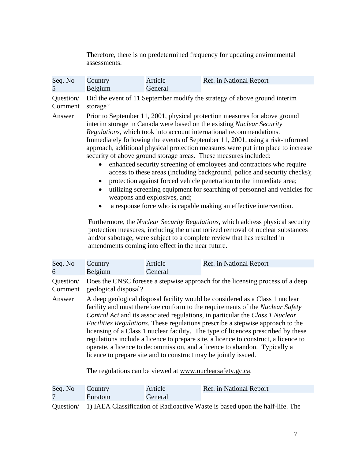Therefore, there is no predetermined frequency for updating environmental assessments.

| Seq. No   | Country                                                                                                                                                                                                                                                                                                                                                                                                                                                                                                                                                                                                                                                                                                                                                                                                                                                                                                                                                                                                                                                                                                                                                                                             | Article | Ref. in National Report |
|-----------|-----------------------------------------------------------------------------------------------------------------------------------------------------------------------------------------------------------------------------------------------------------------------------------------------------------------------------------------------------------------------------------------------------------------------------------------------------------------------------------------------------------------------------------------------------------------------------------------------------------------------------------------------------------------------------------------------------------------------------------------------------------------------------------------------------------------------------------------------------------------------------------------------------------------------------------------------------------------------------------------------------------------------------------------------------------------------------------------------------------------------------------------------------------------------------------------------------|---------|-------------------------|
| 5         | Belgium                                                                                                                                                                                                                                                                                                                                                                                                                                                                                                                                                                                                                                                                                                                                                                                                                                                                                                                                                                                                                                                                                                                                                                                             | General |                         |
| Question/ | Did the event of 11 September modify the strategy of above ground interim                                                                                                                                                                                                                                                                                                                                                                                                                                                                                                                                                                                                                                                                                                                                                                                                                                                                                                                                                                                                                                                                                                                           |         |                         |
| Comment   | storage?                                                                                                                                                                                                                                                                                                                                                                                                                                                                                                                                                                                                                                                                                                                                                                                                                                                                                                                                                                                                                                                                                                                                                                                            |         |                         |
| Answer    | Prior to September 11, 2001, physical protection measures for above ground<br>interim storage in Canada were based on the existing Nuclear Security<br>Regulations, which took into account international recommendations.<br>Immediately following the events of September 11, 2001, using a risk-informed<br>approach, additional physical protection measures were put into place to increase<br>security of above ground storage areas. These measures included:<br>enhanced security screening of employees and contractors who require<br>access to these areas (including background, police and security checks);<br>protection against forced vehicle penetration to the immediate area;<br>$\bullet$<br>utilizing screening equipment for searching of personnel and vehicles for<br>weapons and explosives, and;<br>a response force who is capable making an effective intervention.<br>Furthermore, the Nuclear Security Regulations, which address physical security<br>protection measures, including the unauthorized removal of nuclear substances<br>and/or sabotage, were subject to a complete review that has resulted in<br>amendments coming into effect in the near future. |         |                         |
| Seq. No   | Country                                                                                                                                                                                                                                                                                                                                                                                                                                                                                                                                                                                                                                                                                                                                                                                                                                                                                                                                                                                                                                                                                                                                                                                             | Article | Ref. in National Report |
| 6         | Belgium                                                                                                                                                                                                                                                                                                                                                                                                                                                                                                                                                                                                                                                                                                                                                                                                                                                                                                                                                                                                                                                                                                                                                                                             | General |                         |
| Question/ | Does the CNSC foresee a stepwise approach for the licensing process of a deep                                                                                                                                                                                                                                                                                                                                                                                                                                                                                                                                                                                                                                                                                                                                                                                                                                                                                                                                                                                                                                                                                                                       |         |                         |
| Comment   | geological disposal?                                                                                                                                                                                                                                                                                                                                                                                                                                                                                                                                                                                                                                                                                                                                                                                                                                                                                                                                                                                                                                                                                                                                                                                |         |                         |
| Answer    | A deep geological disposal facility would be considered as a Class 1 nuclear<br>facility and must therefore conform to the requirements of the Nuclear Safety<br>Control Act and its associated regulations, in particular the Class 1 Nuclear<br>Facilities Regulations. These regulations prescribe a stepwise approach to the<br>licensing of a Class 1 nuclear facility. The type of licences prescribed by these<br>regulations include a licence to prepare site, a licence to construct, a licence to<br>operate, a licence to decommission, and a licence to abandon. Typically a<br>licence to prepare site and to construct may be jointly issued.                                                                                                                                                                                                                                                                                                                                                                                                                                                                                                                                        |         |                         |

The regulations can be viewed at www.nuclearsafety.gc.ca.

| Seq. No | Country | Article | Ref. in National Report |
|---------|---------|---------|-------------------------|
|         | Euratom | General |                         |
|         |         |         |                         |

Question/ 1) IAEA Classification of Radioactive Waste is based upon the half-life. The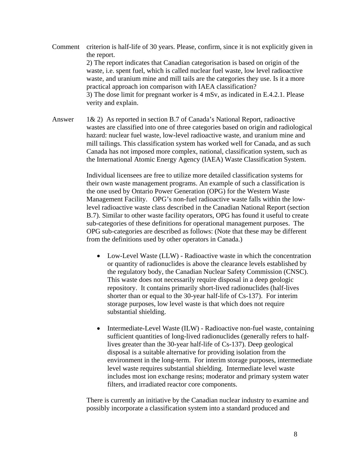- practical approach ion comparison with IAEA classification? Comment criterion is half-life of 30 years. Please, confirm, since it is not explicitly given in the report. 2) The report indicates that Canadian categorisation is based on origin of the waste, i.e. spent fuel, which is called nuclear fuel waste, low level radioactive waste, and uranium mine and mill tails are the categories they use. Is it a more 3) The dose limit for pregnant worker is 4 mSv, as indicated in E.4.2.1. Please verity and explain.
- Answer  $1\& 2$ ) As reported in section B.7 of Canada's National Report, radioactive wastes are classified into one of three categories based on origin and radiological hazard: nuclear fuel waste, low-level radioactive waste, and uranium mine and mill tailings. This classification system has worked well for Canada, and as such Canada has not imposed more complex, national, classification system, such as the International Atomic Energy Agency (IAEA) Waste Classification System.

Individual licensees are free to utilize more detailed classification systems for their own waste management programs. An example of such a classification is the one used by Ontario Power Generation (OPG) for the Western Waste Management Facility. OPG's non-fuel radioactive waste falls within the lowlevel radioactive waste class described in the Canadian National Report (section B.7). Similar to other waste facility operators, OPG has found it useful to create sub-categories of these definitions for operational management purposes. The OPG sub-categories are described as follows: (Note that these may be different from the definitions used by other operators in Canada.)

- Low-Level Waste (LLW) Radioactive waste in which the concentration or quantity of radionuclides is above the clearance levels established by the regulatory body, the Canadian Nuclear Safety Commission (CNSC). This waste does not necessarily require disposal in a deep geologic repository. It contains primarily short-lived radionuclides (half-lives shorter than or equal to the 30-year half-life of Cs-137). For interim storage purposes, low level waste is that which does not require substantial shielding.
- Intermediate-Level Waste (ILW) Radioactive non-fuel waste, containing sufficient quantities of long-lived radionuclides (generally refers to halflives greater than the 30-year half-life of Cs-137). Deep geological disposal is a suitable alternative for providing isolation from the environment in the long-term. For interim storage purposes, intermediate level waste requires substantial shielding. Intermediate level waste includes most ion exchange resins; moderator and primary system water filters, and irradiated reactor core components.

There is currently an initiative by the Canadian nuclear industry to examine and possibly incorporate a classification system into a standard produced and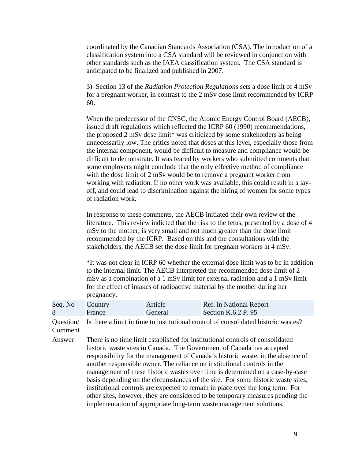coordinated by the Canadian Standards Association (CSA). The introduction of a classification system into a CSA standard will be reviewed in conjunction with other standards such as the IAEA classification system. The CSA standard is anticipated to be finalized and published in 2007.

3) Section 13 of the *Radiation Protection Regulations* sets a dose limit of 4 mSv for a pregnant worker, in contrast to the 2 mSv dose limit recommended by ICRP 60.

When the predecessor of the CNSC, the Atomic Energy Control Board (AECB), issued draft regulations which reflected the ICRP 60 (1990) recommendations, the proposed 2 mSv dose limit\* was criticized by some stakeholders as being unnecessarily low. The critics noted that doses at this level, especially those from the internal component, would be difficult to measure and compliance would be difficult to demonstrate. It was feared by workers who submitted comments that some employers might conclude that the only effective method of compliance with the dose limit of 2 mSv would be to remove a pregnant worker from working with radiation. If no other work was available, this could result in a layoff, and could lead to discrimination against the hiring of women for some types of radiation work.

In response to these comments, the AECB initiated their own review of the literature. This review indicted that the risk to the fetus, presented by a dose of 4 mSv to the mother, is very small and not much greater than the dose limit recommended by the ICRP. Based on this and the consultations with the stakeholders, the AECB set the dose limit for pregnant workers at 4 mSv.

\*It was not clear in ICRP 60 whether the external dose limit was to be in addition to the internal limit. The AECB interpreted the recommended dose limit of 2 mSv as a combination of a 1 mSv limit for external radiation and a 1 mSv limit for the effect of intakes of radioactive material by the mother during her pregnancy.

| Seq. No Country |        | Article | Ref. in National Report |
|-----------------|--------|---------|-------------------------|
|                 | France | General | Section K.6.2 P. $95$   |

Question/ Is there a limit in time to institutional control of consolidated historic wastes? Comment

Answer There is no time limit established for institutional controls of consolidated historic waste sites in Canada. The Government of Canada has accepted responsibility for the management of Canada's historic waste, in the absence of another responsible owner. The reliance on institutional controls in the management of these historic wastes over time is determined on a case-by-case basis depending on the circumstances of the site. For some historic waste sites, institutional controls are expected to remain in place over the long term. For other sites, however, they are considered to be temporary measures pending the implementation of appropriate long-term waste management solutions.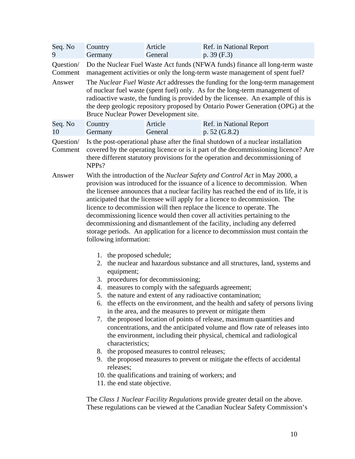| Seq. No<br>9         | Country<br>Germany                                                                                                                                                                                                                                                                                                                                                                                                                                        | Article<br>General                                                                                                                                                                                                                                                                                                                                                           | Ref. in National Report<br>p. 39(F.3)                                                                                                                                                                                                                                                                                                                                                                                                                                                                                                                                                                                                                                                                                                                                                                                                                                                          |  |  |  |
|----------------------|-----------------------------------------------------------------------------------------------------------------------------------------------------------------------------------------------------------------------------------------------------------------------------------------------------------------------------------------------------------------------------------------------------------------------------------------------------------|------------------------------------------------------------------------------------------------------------------------------------------------------------------------------------------------------------------------------------------------------------------------------------------------------------------------------------------------------------------------------|------------------------------------------------------------------------------------------------------------------------------------------------------------------------------------------------------------------------------------------------------------------------------------------------------------------------------------------------------------------------------------------------------------------------------------------------------------------------------------------------------------------------------------------------------------------------------------------------------------------------------------------------------------------------------------------------------------------------------------------------------------------------------------------------------------------------------------------------------------------------------------------------|--|--|--|
| Question/<br>Comment | Do the Nuclear Fuel Waste Act funds (NFWA funds) finance all long-term waste<br>management activities or only the long-term waste management of spent fuel?                                                                                                                                                                                                                                                                                               |                                                                                                                                                                                                                                                                                                                                                                              |                                                                                                                                                                                                                                                                                                                                                                                                                                                                                                                                                                                                                                                                                                                                                                                                                                                                                                |  |  |  |
| Answer               |                                                                                                                                                                                                                                                                                                                                                                                                                                                           | The Nuclear Fuel Waste Act addresses the funding for the long-term management<br>of nuclear fuel waste (spent fuel) only. As for the long-term management of<br>radioactive waste, the funding is provided by the licensee. An example of this is<br>the deep geologic repository proposed by Ontario Power Generation (OPG) at the<br>Bruce Nuclear Power Development site. |                                                                                                                                                                                                                                                                                                                                                                                                                                                                                                                                                                                                                                                                                                                                                                                                                                                                                                |  |  |  |
| Seq. No<br>10        | Country<br>Germany                                                                                                                                                                                                                                                                                                                                                                                                                                        | Article<br>General                                                                                                                                                                                                                                                                                                                                                           | Ref. in National Report<br>p. $52(G.8.2)$                                                                                                                                                                                                                                                                                                                                                                                                                                                                                                                                                                                                                                                                                                                                                                                                                                                      |  |  |  |
| Question/<br>Comment | Is the post-operational phase after the final shutdown of a nuclear installation<br>covered by the operating licence or is it part of the decommissioning licence? Are<br>there different statutory provisions for the operation and decommissioning of<br>NPP <sub>s</sub> ?                                                                                                                                                                             |                                                                                                                                                                                                                                                                                                                                                                              |                                                                                                                                                                                                                                                                                                                                                                                                                                                                                                                                                                                                                                                                                                                                                                                                                                                                                                |  |  |  |
| Answer               | following information:<br>1. the proposed schedule;<br>equipment;                                                                                                                                                                                                                                                                                                                                                                                         | 3. procedures for decommissioning;<br>4. measures to comply with the safeguards agreement;                                                                                                                                                                                                                                                                                   | With the introduction of the <i>Nuclear Safety and Control Act</i> in May 2000, a<br>provision was introduced for the issuance of a licence to decommission. When<br>the licensee announces that a nuclear facility has reached the end of its life, it is<br>anticipated that the licensee will apply for a licence to decommission. The<br>licence to decommission will then replace the licence to operate. The<br>decommissioning licence would then cover all activities pertaining to the<br>decommissioning and dismantlement of the facility, including any deferred<br>storage periods. An application for a licence to decommission must contain the<br>2. the nuclear and hazardous substance and all structures, land, systems and<br>5. the nature and extent of any radioactive contamination;<br>6. the effects on the environment, and the health and safety of persons living |  |  |  |
|                      | in the area, and the measures to prevent or mitigate them<br>the proposed location of points of release, maximum quantities and<br>7.<br>concentrations, and the anticipated volume and flow rate of releases into<br>the environment, including their physical, chemical and radiological<br>characteristics;<br>8. the proposed measures to control releases;<br>9. the proposed measures to prevent or mitigate the effects of accidental<br>releases; |                                                                                                                                                                                                                                                                                                                                                                              |                                                                                                                                                                                                                                                                                                                                                                                                                                                                                                                                                                                                                                                                                                                                                                                                                                                                                                |  |  |  |
|                      | 10. the qualifications and training of workers; and<br>11. the end state objective.<br>The Class 1 Nuclear Facility Regulations provide greater detail on the above.                                                                                                                                                                                                                                                                                      |                                                                                                                                                                                                                                                                                                                                                                              |                                                                                                                                                                                                                                                                                                                                                                                                                                                                                                                                                                                                                                                                                                                                                                                                                                                                                                |  |  |  |
|                      |                                                                                                                                                                                                                                                                                                                                                                                                                                                           |                                                                                                                                                                                                                                                                                                                                                                              | These regulations can be viewed at the Canadian Nuclear Safety Commission's                                                                                                                                                                                                                                                                                                                                                                                                                                                                                                                                                                                                                                                                                                                                                                                                                    |  |  |  |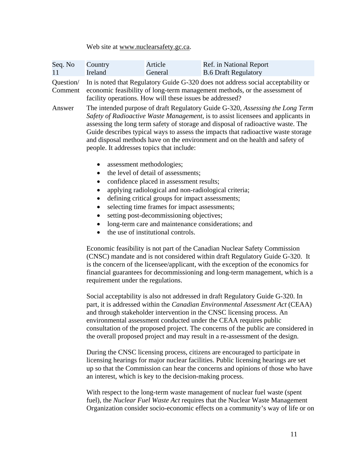Web site at www.nuclearsafety.gc.ca.

| Seq. No<br>11        | Country<br>Ireland                                                                                                                                                                                                                                                                                                                                                                                                                                                                    | Article<br>General | Ref. in National Report<br><b>B.6 Draft Regulatory</b>                                                                                                                                                                                                                                                                                                                                                                     |  |  |
|----------------------|---------------------------------------------------------------------------------------------------------------------------------------------------------------------------------------------------------------------------------------------------------------------------------------------------------------------------------------------------------------------------------------------------------------------------------------------------------------------------------------|--------------------|----------------------------------------------------------------------------------------------------------------------------------------------------------------------------------------------------------------------------------------------------------------------------------------------------------------------------------------------------------------------------------------------------------------------------|--|--|
| Question/<br>Comment | In is noted that Regulatory Guide G-320 does not address social acceptability or<br>economic feasibility of long-term management methods, or the assessment of<br>facility operations. How will these issues be addressed?                                                                                                                                                                                                                                                            |                    |                                                                                                                                                                                                                                                                                                                                                                                                                            |  |  |
| Answer               | people. It addresses topics that include:                                                                                                                                                                                                                                                                                                                                                                                                                                             |                    | The intended purpose of draft Regulatory Guide G-320, Assessing the Long Term<br>Safety of Radioactive Waste Management, is to assist licensees and applicants in<br>assessing the long term safety of storage and disposal of radioactive waste. The<br>Guide describes typical ways to assess the impacts that radioactive waste storage<br>and disposal methods have on the environment and on the health and safety of |  |  |
|                      | assessment methodologies;<br>$\bullet$<br>the level of detail of assessments;<br>confidence placed in assessment results;<br>applying radiological and non-radiological criteria;<br>$\bullet$<br>defining critical groups for impact assessments;<br>selecting time frames for impact assessments;<br>setting post-decommissioning objectives;<br>long-term care and maintenance considerations; and<br>$\bullet$<br>the use of institutional controls.                              |                    |                                                                                                                                                                                                                                                                                                                                                                                                                            |  |  |
|                      | Economic feasibility is not part of the Canadian Nuclear Safety Commission<br>(CNSC) mandate and is not considered within draft Regulatory Guide G-320. It<br>is the concern of the licensee/applicant, with the exception of the economics for<br>financial guarantees for decommissioning and long-term management, which is a<br>requirement under the regulations.                                                                                                                |                    |                                                                                                                                                                                                                                                                                                                                                                                                                            |  |  |
|                      | Social acceptability is also not addressed in draft Regulatory Guide G-320. In<br>part, it is addressed within the Canadian Environmental Assessment Act (CEAA)<br>and through stakeholder intervention in the CNSC licensing process. An<br>environmental assessment conducted under the CEAA requires public<br>consultation of the proposed project. The concerns of the public are considered in<br>the overall proposed project and may result in a re-assessment of the design. |                    |                                                                                                                                                                                                                                                                                                                                                                                                                            |  |  |
|                      | During the CNSC licensing process, citizens are encouraged to participate in<br>licensing hearings for major nuclear facilities. Public licensing hearings are set<br>up so that the Commission can hear the concerns and opinions of those who have<br>an interest, which is key to the decision-making process.                                                                                                                                                                     |                    |                                                                                                                                                                                                                                                                                                                                                                                                                            |  |  |

With respect to the long-term waste management of nuclear fuel waste (spent fuel), the *Nuclear Fuel Waste Act* requires that the Nuclear Waste Management Organization consider socio-economic effects on a community's way of life or on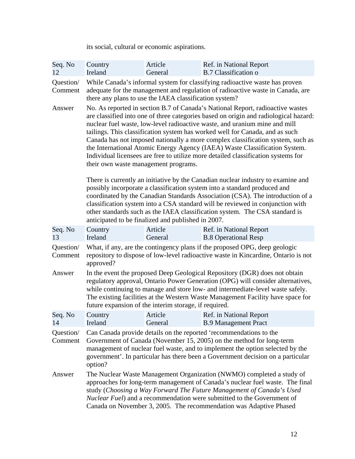its social, cultural or economic aspirations.

| Seq. No<br>12        | Country<br>Ireland                                                                                                                                                                                                                                                                                                                                                                                                                                                                                                                                                                                                                 | Article<br>General                                 | Ref. in National Report<br><b>B.7 Classification o</b>                                                                                                                                                                                                                                                                                                                                                           |  |
|----------------------|------------------------------------------------------------------------------------------------------------------------------------------------------------------------------------------------------------------------------------------------------------------------------------------------------------------------------------------------------------------------------------------------------------------------------------------------------------------------------------------------------------------------------------------------------------------------------------------------------------------------------------|----------------------------------------------------|------------------------------------------------------------------------------------------------------------------------------------------------------------------------------------------------------------------------------------------------------------------------------------------------------------------------------------------------------------------------------------------------------------------|--|
| Question/<br>Comment | While Canada's informal system for classifying radioactive waste has proven<br>adequate for the management and regulation of radioactive waste in Canada, are<br>there any plans to use the IAEA classification system?                                                                                                                                                                                                                                                                                                                                                                                                            |                                                    |                                                                                                                                                                                                                                                                                                                                                                                                                  |  |
| Answer               | No. As reported in section B.7 of Canada's National Report, radioactive wastes<br>are classified into one of three categories based on origin and radiological hazard:<br>nuclear fuel waste, low-level radioactive waste, and uranium mine and mill<br>tailings. This classification system has worked well for Canada, and as such<br>Canada has not imposed nationally a more complex classification system, such as<br>the International Atomic Energy Agency (IAEA) Waste Classification System.<br>Individual licensees are free to utilize more detailed classification systems for<br>their own waste management programs. |                                                    |                                                                                                                                                                                                                                                                                                                                                                                                                  |  |
|                      |                                                                                                                                                                                                                                                                                                                                                                                                                                                                                                                                                                                                                                    | anticipated to be finalized and published in 2007. | There is currently an initiative by the Canadian nuclear industry to examine and<br>possibly incorporate a classification system into a standard produced and<br>coordinated by the Canadian Standards Association (CSA). The introduction of a<br>classification system into a CSA standard will be reviewed in conjunction with<br>other standards such as the IAEA classification system. The CSA standard is |  |
| Seq. No<br>13        | Country<br>Ireland                                                                                                                                                                                                                                                                                                                                                                                                                                                                                                                                                                                                                 | Article<br>General                                 | Ref. in National Report<br><b>B.8 Operational Resp</b>                                                                                                                                                                                                                                                                                                                                                           |  |
| Question/<br>Comment | What, if any, are the contingency plans if the proposed OPG, deep geologic<br>repository to dispose of low-level radioactive waste in Kincardine, Ontario is not<br>approved?                                                                                                                                                                                                                                                                                                                                                                                                                                                      |                                                    |                                                                                                                                                                                                                                                                                                                                                                                                                  |  |
| Answer               | In the event the proposed Deep Geological Repository (DGR) does not obtain<br>regulatory approval, Ontario Power Generation (OPG) will consider alternatives,<br>while continuing to manage and store low- and intermediate-level waste safely.<br>The existing facilities at the Western Waste Management Facility have space for<br>future expansion of the interim storage, if required.                                                                                                                                                                                                                                        |                                                    |                                                                                                                                                                                                                                                                                                                                                                                                                  |  |
| Seq. No<br>14        | Country<br>Ireland                                                                                                                                                                                                                                                                                                                                                                                                                                                                                                                                                                                                                 | Article<br>General                                 | Ref. in National Report<br><b>B.9 Management Pract</b>                                                                                                                                                                                                                                                                                                                                                           |  |
| Question/<br>Comment | Can Canada provide details on the reported 'recommendations to the<br>Government of Canada (November 15, 2005) on the method for long-term<br>management of nuclear fuel waste, and to implement the option selected by the<br>government'. In particular has there been a Government decision on a particular                                                                                                                                                                                                                                                                                                                     |                                                    |                                                                                                                                                                                                                                                                                                                                                                                                                  |  |
| Answer               | option?<br>The Nuclear Waste Management Organization (NWMO) completed a study of<br>approaches for long-term management of Canada's nuclear fuel waste. The final<br>study (Choosing a Way Forward The Future Management of Canada's Used<br>Nuclear Fuel) and a recommendation were submitted to the Government of<br>Canada on November 3, 2005. The recommendation was Adaptive Phased                                                                                                                                                                                                                                          |                                                    |                                                                                                                                                                                                                                                                                                                                                                                                                  |  |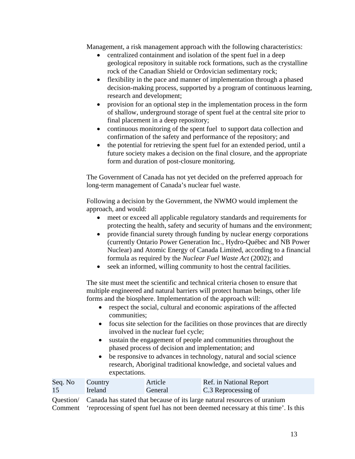Management, a risk management approach with the following characteristics:

- centralized containment and isolation of the spent fuel in a deep geological repository in suitable rock formations, such as the crystalline rock of the Canadian Shield or Ordovician sedimentary rock;
- flexibility in the pace and manner of implementation through a phased decision-making process, supported by a program of continuous learning, research and development;
- provision for an optional step in the implementation process in the form of shallow, underground storage of spent fuel at the central site prior to final placement in a deep repository;
- continuous monitoring of the spent fuel to support data collection and confirmation of the safety and performance of the repository; and
- the potential for retrieving the spent fuel for an extended period, until a future society makes a decision on the final closure, and the appropriate form and duration of post-closure monitoring.

The Government of Canada has not yet decided on the preferred approach for long-term management of Canada's nuclear fuel waste.

Following a decision by the Government, the NWMO would implement the approach, and would:

- meet or exceed all applicable regulatory standards and requirements for protecting the health, safety and security of humans and the environment;
- provide financial surety through funding by nuclear energy corporations (currently Ontario Power Generation Inc., Hydro-Québec and NB Power Nuclear) and Atomic Energy of Canada Limited, according to a financial formula as required by the *Nuclear Fuel Waste Act* (2002); and
- seek an informed, willing community to host the central facilities.

The site must meet the scientific and technical criteria chosen to ensure that multiple engineered and natural barriers will protect human beings, other life forms and the biosphere. Implementation of the approach will:

- respect the social, cultural and economic aspirations of the affected communities;
- focus site selection for the facilities on those provinces that are directly involved in the nuclear fuel cycle;
- sustain the engagement of people and communities throughout the phased process of decision and implementation; and
- be responsive to advances in technology, natural and social science research, Aboriginal traditional knowledge, and societal values and expectations.

| Seq. No | Country | Article | Ref. in National Report |
|---------|---------|---------|-------------------------|
| 15      | Ireland | General | C.3 Reprocessing of     |

Question/ Comment Canada has stated that because of its large natural resources of uranium 'reprocessing of spent fuel has not been deemed necessary at this time'. Is this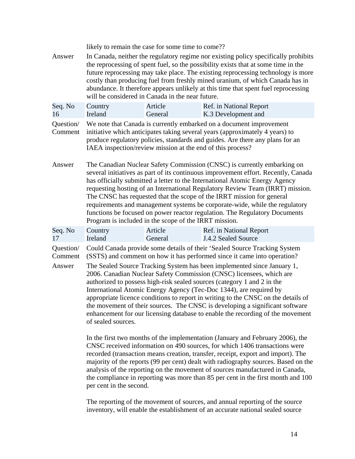|                                | likely to remain the case for some time to come??                                                                                                                                                                                                                                                                                                                                                                                                                                                                                                                                                                                                                                                                                                                                                                                                                                                                                                                                                                                                                                                                                                                                                                                                    |                    |                                                                                                                                                                                                                                      |  |
|--------------------------------|------------------------------------------------------------------------------------------------------------------------------------------------------------------------------------------------------------------------------------------------------------------------------------------------------------------------------------------------------------------------------------------------------------------------------------------------------------------------------------------------------------------------------------------------------------------------------------------------------------------------------------------------------------------------------------------------------------------------------------------------------------------------------------------------------------------------------------------------------------------------------------------------------------------------------------------------------------------------------------------------------------------------------------------------------------------------------------------------------------------------------------------------------------------------------------------------------------------------------------------------------|--------------------|--------------------------------------------------------------------------------------------------------------------------------------------------------------------------------------------------------------------------------------|--|
| Answer                         | In Canada, neither the regulatory regime nor existing policy specifically prohibits<br>the reprocessing of spent fuel, so the possibility exists that at some time in the<br>future reprocessing may take place. The existing reprocessing technology is more<br>costly than producing fuel from freshly mined uranium, of which Canada has in<br>abundance. It therefore appears unlikely at this time that spent fuel reprocessing<br>will be considered in Canada in the near future.                                                                                                                                                                                                                                                                                                                                                                                                                                                                                                                                                                                                                                                                                                                                                             |                    |                                                                                                                                                                                                                                      |  |
| Seq. No<br>16                  | Country<br>Ireland                                                                                                                                                                                                                                                                                                                                                                                                                                                                                                                                                                                                                                                                                                                                                                                                                                                                                                                                                                                                                                                                                                                                                                                                                                   | Article<br>General | Ref. in National Report<br>K.3 Development and                                                                                                                                                                                       |  |
| Question/<br>Comment           | IAEA inspection/review mission at the end of this process?                                                                                                                                                                                                                                                                                                                                                                                                                                                                                                                                                                                                                                                                                                                                                                                                                                                                                                                                                                                                                                                                                                                                                                                           |                    | We note that Canada is currently embarked on a document improvement<br>initiative which anticipates taking several years (approximately 4 years) to<br>produce regulatory policies, standards and guides. Are there any plans for an |  |
| Answer                         | The Canadian Nuclear Safety Commission (CNSC) is currently embarking on<br>several initiatives as part of its continuous improvement effort. Recently, Canada<br>has officially submitted a letter to the International Atomic Energy Agency<br>requesting hosting of an International Regulatory Review Team (IRRT) mission.<br>The CNSC has requested that the scope of the IRRT mission for general<br>requirements and management systems be corporate-wide, while the regulatory<br>functions be focused on power reactor regulation. The Regulatory Documents<br>Program is included in the scope of the IRRT mission.                                                                                                                                                                                                                                                                                                                                                                                                                                                                                                                                                                                                                         |                    |                                                                                                                                                                                                                                      |  |
| Seq. No<br>17                  | Country<br>Ireland                                                                                                                                                                                                                                                                                                                                                                                                                                                                                                                                                                                                                                                                                                                                                                                                                                                                                                                                                                                                                                                                                                                                                                                                                                   | Article<br>General | Ref. in National Report<br><b>J.4.2 Sealed Source</b>                                                                                                                                                                                |  |
| Question/<br>Comment<br>Answer | Could Canada provide some details of their 'Sealed Source Tracking System<br>(SSTS) and comment on how it has performed since it came into operation?<br>The Sealed Source Tracking System has been implemented since January 1,<br>2006. Canadian Nuclear Safety Commission (CNSC) licensees, which are<br>authorized to possess high-risk sealed sources (category 1 and 2 in the<br>International Atomic Energy Agency (Tec-Doc 1344), are required by<br>appropriate licence conditions to report in writing to the CNSC on the details of<br>the movement of their sources. The CNSC is developing a significant software<br>enhancement for our licensing database to enable the recording of the movement<br>of sealed sources.<br>In the first two months of the implementation (January and February 2006), the<br>CNSC received information on 490 sources, for which 1406 transactions were<br>recorded (transaction means creation, transfer, receipt, export and import). The<br>majority of the reports (99 per cent) dealt with radiography sources. Based on the<br>analysis of the reporting on the movement of sources manufactured in Canada,<br>the compliance in reporting was more than 85 per cent in the first month and 100 |                    |                                                                                                                                                                                                                                      |  |

The reporting of the movement of sources, and annual reporting of the source inventory, will enable the establishment of an accurate national sealed source

per cent in the second.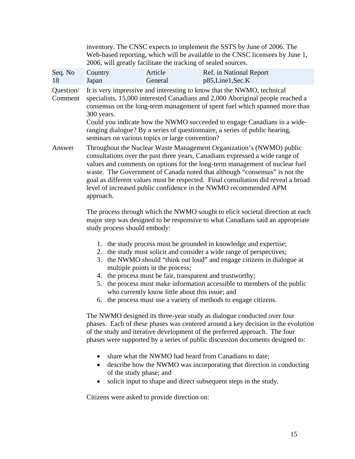|                      | inventory. The CNSC expects to implement the SSTS by June of 2006. The<br>Web-based reporting, which will be available to the CNSC licensees by June 1,<br>2006, will greatly facilitate the tracking of sealed sources.                                                                                                                                                                                                                                                                                                                                                                                                                                    |                    |                                                                                                                                                                                                                                                                                                                                                                                                                                                                                                                                |  |  |
|----------------------|-------------------------------------------------------------------------------------------------------------------------------------------------------------------------------------------------------------------------------------------------------------------------------------------------------------------------------------------------------------------------------------------------------------------------------------------------------------------------------------------------------------------------------------------------------------------------------------------------------------------------------------------------------------|--------------------|--------------------------------------------------------------------------------------------------------------------------------------------------------------------------------------------------------------------------------------------------------------------------------------------------------------------------------------------------------------------------------------------------------------------------------------------------------------------------------------------------------------------------------|--|--|
| Seq. No<br>18        | Country<br>Japan                                                                                                                                                                                                                                                                                                                                                                                                                                                                                                                                                                                                                                            | Article<br>General | Ref. in National Report<br>p85,Line1,Sec.K                                                                                                                                                                                                                                                                                                                                                                                                                                                                                     |  |  |
| Question/<br>Comment | 300 years.<br>seminars on various topics or large convention?                                                                                                                                                                                                                                                                                                                                                                                                                                                                                                                                                                                               |                    | It is very impressive and interesting to know that the NWMO, technical<br>specialists, 15,000 interested Canadians and 2,000 Aboriginal people reached a<br>consensus on the long-term management of spent fuel which spanned more than<br>Could you indicate how the NWMO succeeded to engage Canadians in a wide-<br>ranging dialogue? By a series of questionnaire, a series of public hearing,                                                                                                                             |  |  |
| Answer               | Throughout the Nuclear Waste Management Organization's (NWMO) public<br>consultations over the past three years, Canadians expressed a wide range of<br>values and comments on options for the long-term management of nuclear fuel<br>waste. The Government of Canada noted that although "consensus" is not the<br>goal as different values must be respected. Final consultation did reveal a broad<br>level of increased public confidence in the NWMO recommended APM<br>approach.<br>The process through which the NWMO sought to elicit societal direction at each<br>major step was designed to be responsive to what Canadians said an appropriate |                    |                                                                                                                                                                                                                                                                                                                                                                                                                                                                                                                                |  |  |
|                      | study process should embody:<br>1. the study process must be grounded in knowledge and expertise;<br>2. the study must solicit and consider a wide range of perspectives;<br>the NWMO should "think out loud" and engage citizens in dialogue at<br>3.<br>multiple points in the process;<br>4. the process must be fair, transparent and trustworthy;<br>the process must make information accessible to members of the public<br>5.<br>who currently know little about this issue; and<br>6. the process must use a variety of methods to engage citizens.                                                                                                |                    |                                                                                                                                                                                                                                                                                                                                                                                                                                                                                                                                |  |  |
|                      | $\bullet$<br>of the study phase; and<br>Citizens were asked to provide direction on:                                                                                                                                                                                                                                                                                                                                                                                                                                                                                                                                                                        |                    | The NWMO designed its three-year study as dialogue conducted over four<br>phases. Each of these phases was centered around a key decision in the evolution<br>of the study and iterative development of the preferred approach. The four<br>phases were supported by a series of public discussion documents designed to:<br>share what the NWMO had heard from Canadians to date;<br>describe how the NWMO was incorporating that direction in conducting<br>solicit input to shape and direct subsequent steps in the study. |  |  |
|                      |                                                                                                                                                                                                                                                                                                                                                                                                                                                                                                                                                                                                                                                             |                    |                                                                                                                                                                                                                                                                                                                                                                                                                                                                                                                                |  |  |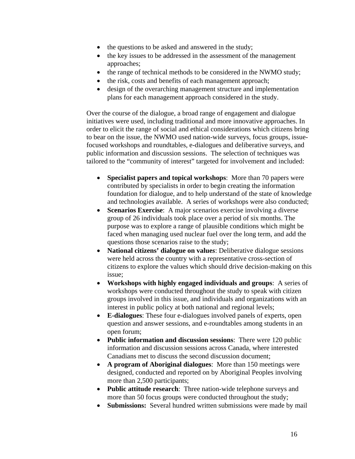- the questions to be asked and answered in the study;
- the key issues to be addressed in the assessment of the management approaches;
- the range of technical methods to be considered in the NWMO study;
- the risk, costs and benefits of each management approach;
- design of the overarching management structure and implementation plans for each management approach considered in the study.

Over the course of the dialogue, a broad range of engagement and dialogue initiatives were used, including traditional and more innovative approaches. In order to elicit the range of social and ethical considerations which citizens bring to bear on the issue, the NWMO used nation-wide surveys, focus groups, issuefocused workshops and roundtables, e-dialogues and deliberative surveys, and public information and discussion sessions. The selection of techniques was tailored to the "community of interest" targeted for involvement and included:

- **Specialist papers and topical workshops**: More than 70 papers were contributed by specialists in order to begin creating the information foundation for dialogue, and to help understand of the state of knowledge and technologies available. A series of workshops were also conducted;
- **Scenarios Exercise**: A major scenarios exercise involving a diverse group of 26 individuals took place over a period of six months. The purpose was to explore a range of plausible conditions which might be faced when managing used nuclear fuel over the long term, and add the questions those scenarios raise to the study;
- **National citizens' dialogue on values**: Deliberative dialogue sessions were held across the country with a representative cross-section of citizens to explore the values which should drive decision-making on this issue;
- • **Workshops with highly engaged individuals and groups**: A series of workshops were conducted throughout the study to speak with citizen groups involved in this issue, and individuals and organizations with an interest in public policy at both national and regional levels;
- • **E-dialogues**: These four e-dialogues involved panels of experts, open question and answer sessions, and e-roundtables among students in an open forum;
- **Public information and discussion sessions**: There were 120 public information and discussion sessions across Canada, where interested Canadians met to discuss the second discussion document;
- • **A program of Aboriginal dialogues**: More than 150 meetings were designed, conducted and reported on by Aboriginal Peoples involving more than 2,500 participants;
- • **Public attitude research**: Three nation-wide telephone surveys and more than 50 focus groups were conducted throughout the study;
- **Submissions:** Several hundred written submissions were made by mail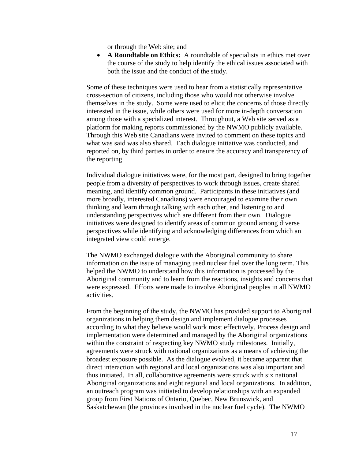or through the Web site; and

• **A Roundtable on Ethics:** A roundtable of specialists in ethics met over the course of the study to help identify the ethical issues associated with both the issue and the conduct of the study.

Some of these techniques were used to hear from a statistically representative cross-section of citizens, including those who would not otherwise involve themselves in the study. Some were used to elicit the concerns of those directly interested in the issue, while others were used for more in-depth conversation among those with a specialized interest. Throughout, a Web site served as a platform for making reports commissioned by the NWMO publicly available. Through this Web site Canadians were invited to comment on these topics and what was said was also shared. Each dialogue initiative was conducted, and reported on, by third parties in order to ensure the accuracy and transparency of the reporting.

Individual dialogue initiatives were, for the most part, designed to bring together people from a diversity of perspectives to work through issues, create shared meaning, and identify common ground. Participants in these initiatives (and more broadly, interested Canadians) were encouraged to examine their own thinking and learn through talking with each other, and listening to and understanding perspectives which are different from their own. Dialogue initiatives were designed to identify areas of common ground among diverse perspectives while identifying and acknowledging differences from which an integrated view could emerge.

The NWMO exchanged dialogue with the Aboriginal community to share information on the issue of managing used nuclear fuel over the long term. This helped the NWMO to understand how this information is processed by the Aboriginal community and to learn from the reactions, insights and concerns that were expressed. Efforts were made to involve Aboriginal peoples in all NWMO activities.

From the beginning of the study, the NWMO has provided support to Aboriginal organizations in helping them design and implement dialogue processes according to what they believe would work most effectively. Process design and implementation were determined and managed by the Aboriginal organizations within the constraint of respecting key NWMO study milestones. Initially, agreements were struck with national organizations as a means of achieving the broadest exposure possible. As the dialogue evolved, it became apparent that direct interaction with regional and local organizations was also important and thus initiated. In all, collaborative agreements were struck with six national Aboriginal organizations and eight regional and local organizations. In addition, an outreach program was initiated to develop relationships with an expanded group from First Nations of Ontario, Quebec, New Brunswick, and Saskatchewan (the provinces involved in the nuclear fuel cycle). The NWMO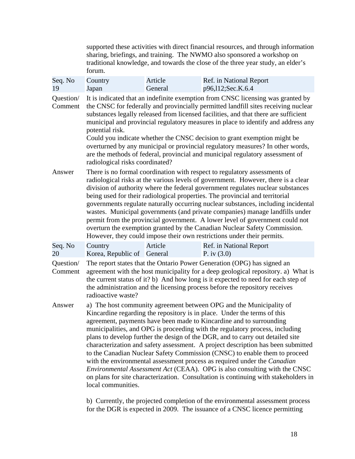|                      | supported these activities with direct financial resources, and through information<br>sharing, briefings, and training. The NWMO also sponsored a workshop on<br>traditional knowledge, and towards the close of the three year study, an elder's<br>forum.                                                                                                                                                                                                                                                                                                                                                                                                                                                                                                                                                                            |                    |                                              |  |
|----------------------|-----------------------------------------------------------------------------------------------------------------------------------------------------------------------------------------------------------------------------------------------------------------------------------------------------------------------------------------------------------------------------------------------------------------------------------------------------------------------------------------------------------------------------------------------------------------------------------------------------------------------------------------------------------------------------------------------------------------------------------------------------------------------------------------------------------------------------------------|--------------------|----------------------------------------------|--|
| Seq. No<br>19        | Country<br>Japan                                                                                                                                                                                                                                                                                                                                                                                                                                                                                                                                                                                                                                                                                                                                                                                                                        | Article<br>General | Ref. in National Report<br>p96,112;Sec.K.6.4 |  |
| Question/<br>Comment | It is indicated that an indefinite exemption from CNSC licensing was granted by<br>the CNSC for federally and provincially permitted landfill sites receiving nuclear<br>substances legally released from licensed facilities, and that there are sufficient<br>municipal and provincial regulatory measures in place to identify and address any<br>potential risk.<br>Could you indicate whether the CNSC decision to grant exemption might be<br>overturned by any municipal or provincial regulatory measures? In other words,<br>are the methods of federal, provincial and municipal regulatory assessment of<br>radiological risks coordinated?                                                                                                                                                                                  |                    |                                              |  |
| Answer               | There is no formal coordination with respect to regulatory assessments of<br>radiological risks at the various levels of government. However, there is a clear<br>division of authority where the federal government regulates nuclear substances<br>being used for their radiological properties. The provincial and territorial<br>governments regulate naturally occurring nuclear substances, including incidental<br>wastes. Municipal governments (and private companies) manage landfills under<br>permit from the provincial government. A lower level of government could not<br>overturn the exemption granted by the Canadian Nuclear Safety Commission.<br>However, they could impose their own restrictions under their permits.                                                                                           |                    |                                              |  |
| Seq. No<br>20        | Country<br>Korea, Republic of General                                                                                                                                                                                                                                                                                                                                                                                                                                                                                                                                                                                                                                                                                                                                                                                                   | Article            | Ref. in National Report<br>P. iv $(3.0)$     |  |
| Question/<br>Comment | The report states that the Ontario Power Generation (OPG) has signed an<br>agreement with the host municipality for a deep geological repository. a) What is<br>the current status of it? b) And how long is it expected to need for each step of<br>the administration and the licensing process before the repository receives<br>radioactive waste?                                                                                                                                                                                                                                                                                                                                                                                                                                                                                  |                    |                                              |  |
| Answer               | a) The host community agreement between OPG and the Municipality of<br>Kincardine regarding the repository is in place. Under the terms of this<br>agreement, payments have been made to Kincardine and to surrounding<br>municipalities, and OPG is proceeding with the regulatory process, including<br>plans to develop further the design of the DGR, and to carry out detailed site<br>characterization and safety assessment. A project description has been submitted<br>to the Canadian Nuclear Safety Commission (CNSC) to enable them to proceed<br>with the environmental assessment process as required under the <i>Canadian</i><br>Environmental Assessment Act (CEAA). OPG is also consulting with the CNSC<br>on plans for site characterization. Consultation is continuing with stakeholders in<br>local communities. |                    |                                              |  |

b) Currently, the projected completion of the environmental assessment process for the DGR is expected in 2009. The issuance of a CNSC licence permitting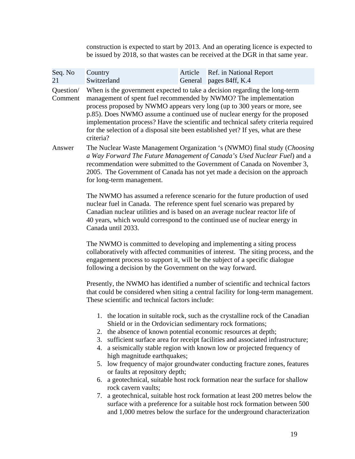construction is expected to start by 2013. And an operating licence is expected to be issued by 2018, so that wastes can be received at the DGR in that same year.

| Country<br>Switzerland                                                                                                                                                                                                                                                                                                                                 | Article<br>Ref. in National Report<br>General pages 84ff, K.4                                                                                                                                                                                                                                                                                                                                                                                                                                                                                                                                                                                                                                                                                                        |  |  |
|--------------------------------------------------------------------------------------------------------------------------------------------------------------------------------------------------------------------------------------------------------------------------------------------------------------------------------------------------------|----------------------------------------------------------------------------------------------------------------------------------------------------------------------------------------------------------------------------------------------------------------------------------------------------------------------------------------------------------------------------------------------------------------------------------------------------------------------------------------------------------------------------------------------------------------------------------------------------------------------------------------------------------------------------------------------------------------------------------------------------------------------|--|--|
| criteria?                                                                                                                                                                                                                                                                                                                                              | When is the government expected to take a decision regarding the long-term<br>management of spent fuel recommended by NWMO? The implementation<br>process proposed by NWMO appears very long (up to 300 years or more, see<br>p.85). Does NWMO assume a continued use of nuclear energy for the proposed<br>implementation process? Have the scientific and technical safety criteria required<br>for the selection of a disposal site been established yet? If yes, what are these                                                                                                                                                                                                                                                                                  |  |  |
| The Nuclear Waste Management Organization 's (NWMO) final study (Choosing<br>Answer<br>a Way Forward The Future Management of Canada's Used Nuclear Fuel) and a<br>recommendation were submitted to the Government of Canada on November 3,<br>2005. The Government of Canada has not yet made a decision on the approach<br>for long-term management. |                                                                                                                                                                                                                                                                                                                                                                                                                                                                                                                                                                                                                                                                                                                                                                      |  |  |
| The NWMO has assumed a reference scenario for the future production of used<br>nuclear fuel in Canada. The reference spent fuel scenario was prepared by<br>Canadian nuclear utilities and is based on an average nuclear reactor life of<br>40 years, which would correspond to the continued use of nuclear energy in<br>Canada until 2033.          |                                                                                                                                                                                                                                                                                                                                                                                                                                                                                                                                                                                                                                                                                                                                                                      |  |  |
| The NWMO is committed to developing and implementing a siting process<br>collaboratively with affected communities of interest. The siting process, and the<br>engagement process to support it, will be the subject of a specific dialogue<br>following a decision by the Government on the way forward.                                              |                                                                                                                                                                                                                                                                                                                                                                                                                                                                                                                                                                                                                                                                                                                                                                      |  |  |
|                                                                                                                                                                                                                                                                                                                                                        | Presently, the NWMO has identified a number of scientific and technical factors<br>that could be considered when siting a central facility for long-term management.                                                                                                                                                                                                                                                                                                                                                                                                                                                                                                                                                                                                 |  |  |
| 3.<br>4.<br>6.<br>rock cavern vaults;<br>7.                                                                                                                                                                                                                                                                                                            | 1. the location in suitable rock, such as the crystalline rock of the Canadian<br>Shield or in the Ordovician sedimentary rock formations;<br>2. the absence of known potential economic resources at depth;<br>sufficient surface area for receipt facilities and associated infrastructure;<br>a seismically stable region with known low or projected frequency of<br>5. low frequency of major groundwater conducting fracture zones, features<br>a geotechnical, suitable host rock formation near the surface for shallow<br>a geotechnical, suitable host rock formation at least 200 metres below the<br>surface with a preference for a suitable host rock formation between 500<br>and 1,000 metres below the surface for the underground characterization |  |  |
|                                                                                                                                                                                                                                                                                                                                                        | These scientific and technical factors include:<br>high magnitude earthquakes;<br>or faults at repository depth;                                                                                                                                                                                                                                                                                                                                                                                                                                                                                                                                                                                                                                                     |  |  |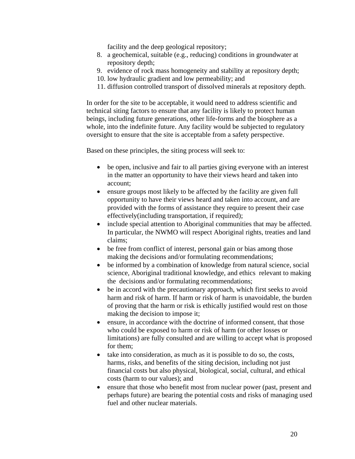facility and the deep geological repository;

- 8. a geochemical, suitable (e.g., reducing) conditions in groundwater at repository depth;
- 9. evidence of rock mass homogeneity and stability at repository depth;
- 10. low hydraulic gradient and low permeability; and
- 11. diffusion controlled transport of dissolved minerals at repository depth.

In order for the site to be acceptable, it would need to address scientific and technical siting factors to ensure that any facility is likely to protect human beings, including future generations, other life-forms and the biosphere as a whole, into the indefinite future. Any facility would be subjected to regulatory oversight to ensure that the site is acceptable from a safety perspective.

Based on these principles, the siting process will seek to:

- be open, inclusive and fair to all parties giving everyone with an interest in the matter an opportunity to have their views heard and taken into account;
- ensure groups most likely to be affected by the facility are given full opportunity to have their views heard and taken into account, and are provided with the forms of assistance they require to present their case effectively(including transportation, if required);
- include special attention to Aboriginal communities that may be affected. In particular, the NWMO will respect Aboriginal rights, treaties and land claims;
- be free from conflict of interest, personal gain or bias among those making the decisions and/or formulating recommendations;
- be informed by a combination of knowledge from natural science, social science, Aboriginal traditional knowledge, and ethics relevant to making the decisions and/or formulating recommendations;
- be in accord with the precautionary approach, which first seeks to avoid harm and risk of harm. If harm or risk of harm is unavoidable, the burden of proving that the harm or risk is ethically justified would rest on those making the decision to impose it;
- ensure, in accordance with the doctrine of informed consent, that those who could be exposed to harm or risk of harm (or other losses or limitations) are fully consulted and are willing to accept what is proposed for them;
- take into consideration, as much as it is possible to do so, the costs, harms, risks, and benefits of the siting decision, including not just financial costs but also physical, biological, social, cultural, and ethical costs (harm to our values); and
- ensure that those who benefit most from nuclear power (past, present and perhaps future) are bearing the potential costs and risks of managing used fuel and other nuclear materials.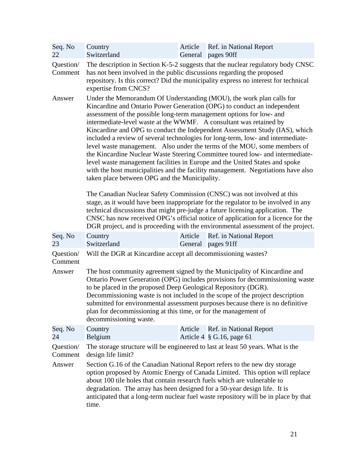| Seq. No<br>22        | Country<br>Switzerland                                                                                                                                                                                                                                                                                                                                                                                                                                                                                                                                                                                                                                                                                                                                                                                                                           | Article | Ref. in National Report<br>General pages 90ff                                                                                                                                                                                                                                                                                                                                                                          |  |
|----------------------|--------------------------------------------------------------------------------------------------------------------------------------------------------------------------------------------------------------------------------------------------------------------------------------------------------------------------------------------------------------------------------------------------------------------------------------------------------------------------------------------------------------------------------------------------------------------------------------------------------------------------------------------------------------------------------------------------------------------------------------------------------------------------------------------------------------------------------------------------|---------|------------------------------------------------------------------------------------------------------------------------------------------------------------------------------------------------------------------------------------------------------------------------------------------------------------------------------------------------------------------------------------------------------------------------|--|
| Question/<br>Comment | has not been involved in the public discussions regarding the proposed<br>expertise from CNCS?                                                                                                                                                                                                                                                                                                                                                                                                                                                                                                                                                                                                                                                                                                                                                   |         | The description in Section K-5-2 suggests that the nuclear regulatory body CNSC<br>repository. Is this correct? Did the municipality express no interest for technical                                                                                                                                                                                                                                                 |  |
| Answer               | Under the Memorandum Of Understanding (MOU), the work plan calls for<br>Kincardine and Ontario Power Generation (OPG) to conduct an independent<br>assessment of the possible long-term management options for low- and<br>intermediate-level waste at the WWMF. A consultant was retained by<br>Kincardine and OPG to conduct the Independent Assessment Study (IAS), which<br>included a review of several technologies for long-term, low- and intermediate-<br>level waste management. Also under the terms of the MOU, some members of<br>the Kincardine Nuclear Waste Steering Committee toured low- and intermediate-<br>level waste management facilities in Europe and the United States and spoke<br>with the host municipalities and the facility management. Negotiations have also<br>taken place between OPG and the Municipality. |         |                                                                                                                                                                                                                                                                                                                                                                                                                        |  |
|                      |                                                                                                                                                                                                                                                                                                                                                                                                                                                                                                                                                                                                                                                                                                                                                                                                                                                  |         | The Canadian Nuclear Safety Commission (CNSC) was not involved at this<br>stage, as it would have been inappropriate for the regulator to be involved in any<br>technical discussions that might pre-judge a future licensing application. The<br>CNSC has now received OPG's official notice of application for a licence for the<br>DGR project, and is proceeding with the environmental assessment of the project. |  |
| Seq. No<br>23        | Country<br>Switzerland                                                                                                                                                                                                                                                                                                                                                                                                                                                                                                                                                                                                                                                                                                                                                                                                                           | Article | Ref. in National Report<br>General pages 91ff                                                                                                                                                                                                                                                                                                                                                                          |  |
| Question/<br>Comment | Will the DGR at Kincardine accept all decommissioning wastes?                                                                                                                                                                                                                                                                                                                                                                                                                                                                                                                                                                                                                                                                                                                                                                                    |         |                                                                                                                                                                                                                                                                                                                                                                                                                        |  |
| Answer               | to be placed in the proposed Deep Geological Repository (DGR).<br>plan for decommissioning at this time, or for the management of<br>decommissioning waste.                                                                                                                                                                                                                                                                                                                                                                                                                                                                                                                                                                                                                                                                                      |         | The host community agreement signed by the Municipality of Kincardine and<br>Ontario Power Generation (OPG) includes provisions for decommissioning waste<br>Decommissioning waste is not included in the scope of the project description<br>submitted for environmental assessment purposes because there is no definitive                                                                                           |  |
| Seq. No<br>24        | Country<br>Belgium                                                                                                                                                                                                                                                                                                                                                                                                                                                                                                                                                                                                                                                                                                                                                                                                                               | Article | Ref. in National Report<br>Article $4 \S$ G.16, page 61                                                                                                                                                                                                                                                                                                                                                                |  |
| Question/<br>Comment | design life limit?                                                                                                                                                                                                                                                                                                                                                                                                                                                                                                                                                                                                                                                                                                                                                                                                                               |         | The storage structure will be engineered to last at least 50 years. What is the                                                                                                                                                                                                                                                                                                                                        |  |
| Answer               | Section G.16 of the Canadian National Report refers to the new dry storage<br>about 100 tile holes that contain research fuels which are vulnerable to<br>degradation. The array has been designed for a 50-year design life. It is<br>time.                                                                                                                                                                                                                                                                                                                                                                                                                                                                                                                                                                                                     |         | option proposed by Atomic Energy of Canada Limited. This option will replace<br>anticipated that a long-term nuclear fuel waste repository will be in place by that                                                                                                                                                                                                                                                    |  |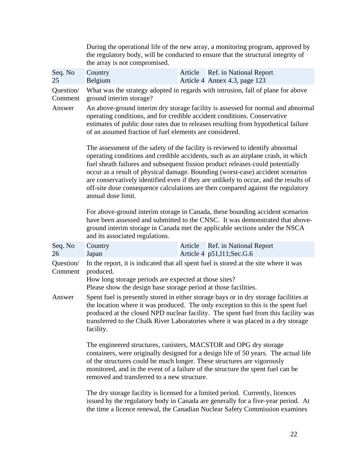|                      | During the operational life of the new array, a monitoring program, approved by<br>the regulatory body, will be conducted to ensure that the structural integrity of<br>the array is not compromised.                                                                                                                                                                                                                                                                                                                                  |                                                                                  |  |  |
|----------------------|----------------------------------------------------------------------------------------------------------------------------------------------------------------------------------------------------------------------------------------------------------------------------------------------------------------------------------------------------------------------------------------------------------------------------------------------------------------------------------------------------------------------------------------|----------------------------------------------------------------------------------|--|--|
| Seq. No<br>25        | Country<br>Belgium                                                                                                                                                                                                                                                                                                                                                                                                                                                                                                                     | Ref. in National Report<br>Article<br>Article 4 Annex 4.3, page 123              |  |  |
| Question/<br>Comment | ground interim storage?                                                                                                                                                                                                                                                                                                                                                                                                                                                                                                                | What was the strategy adopted in regards with intrusion, fall of plane for above |  |  |
| Answer               | An above-ground interim dry storage facility is assessed for normal and abnormal<br>operating conditions, and for credible accident conditions. Conservative<br>estimates of public dose rates due to releases resulting from hypothetical failure<br>of an assumed fraction of fuel elements are considered.                                                                                                                                                                                                                          |                                                                                  |  |  |
|                      | The assessment of the safety of the facility is reviewed to identify abnormal<br>operating conditions and credible accidents, such as an airplane crash, in which<br>fuel sheath failures and subsequent fission product releases could potentially<br>occur as a result of physical damage. Bounding (worst-case) accident scenarios<br>are conservatively identified even if they are unlikely to occur, and the results of<br>off-site dose consequence calculations are then compared against the regulatory<br>annual dose limit. |                                                                                  |  |  |
|                      | For above-ground interim storage in Canada, these bounding accident scenarios<br>have been assessed and submitted to the CNSC. It was demonstrated that above-<br>ground interim storage in Canada met the applicable sections under the NSCA<br>and its associated regulations.                                                                                                                                                                                                                                                       |                                                                                  |  |  |
| Seq. No<br>26        | Country<br>Japan                                                                                                                                                                                                                                                                                                                                                                                                                                                                                                                       | Ref. in National Report<br>Article<br>Article 4 p51,111;Sec.G.6                  |  |  |
| Question/<br>Comment | In the report, it is indicated that all spent fuel is stored at the site where it was<br>produced.<br>How long storage periods are expected at those sites?<br>Please show the design base storage period at those facilities.                                                                                                                                                                                                                                                                                                         |                                                                                  |  |  |
| Answer               | Spent fuel is presently stored in either storage bays or in dry storage facilities at<br>the location where it was produced. The only exception to this is the spent fuel<br>produced at the closed NPD nuclear facility. The spent fuel from this facility was<br>transferred to the Chalk River Laboratories where it was placed in a dry storage<br>facility.                                                                                                                                                                       |                                                                                  |  |  |
|                      | The engineered structures, canisters, MACSTOR and OPG dry storage<br>containers, were originally designed for a design life of 50 years. The actual life<br>of the structures could be much longer. These structures are vigorously<br>monitored, and in the event of a failure of the structure the spent fuel can be<br>removed and transferred to a new structure.                                                                                                                                                                  |                                                                                  |  |  |
|                      | The dry storage facility is licensed for a limited period. Currently, licences<br>issued by the regulatory body in Canada are generally for a five-year period. At                                                                                                                                                                                                                                                                                                                                                                     |                                                                                  |  |  |

the time a licence renewal, the Canadian Nuclear Safety Commission examines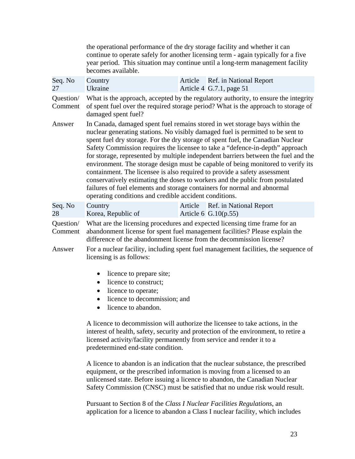|                      | the operational performance of the dry storage facility and whether it can<br>becomes available.                                                                                                                                                                                                                                                                                                                                                                                                                                                                                                                                                                                                                                                                                                                 |         | continue to operate safely for another licensing term - again typically for a five<br>year period. This situation may continue until a long-term management facility |  |
|----------------------|------------------------------------------------------------------------------------------------------------------------------------------------------------------------------------------------------------------------------------------------------------------------------------------------------------------------------------------------------------------------------------------------------------------------------------------------------------------------------------------------------------------------------------------------------------------------------------------------------------------------------------------------------------------------------------------------------------------------------------------------------------------------------------------------------------------|---------|----------------------------------------------------------------------------------------------------------------------------------------------------------------------|--|
| Seq. No<br>27        | Country<br>Ukraine                                                                                                                                                                                                                                                                                                                                                                                                                                                                                                                                                                                                                                                                                                                                                                                               | Article | Ref. in National Report<br>Article 4 G.7.1, page $51$                                                                                                                |  |
| Question/<br>Comment | What is the approach, accepted by the regulatory authority, to ensure the integrity<br>of spent fuel over the required storage period? What is the approach to storage of<br>damaged spent fuel?                                                                                                                                                                                                                                                                                                                                                                                                                                                                                                                                                                                                                 |         |                                                                                                                                                                      |  |
| Answer               | In Canada, damaged spent fuel remains stored in wet storage bays within the<br>nuclear generating stations. No visibly damaged fuel is permitted to be sent to<br>spent fuel dry storage. For the dry storage of spent fuel, the Canadian Nuclear<br>Safety Commission requires the licensee to take a "defence-in-depth" approach<br>for storage, represented by multiple independent barriers between the fuel and the<br>environment. The storage design must be capable of being monitored to verify its<br>containment. The licensee is also required to provide a safety assessment<br>conservatively estimating the doses to workers and the public from postulated<br>failures of fuel elements and storage containers for normal and abnormal<br>operating conditions and credible accident conditions. |         |                                                                                                                                                                      |  |
| Seq. No<br>28        | Country<br>Korea, Republic of                                                                                                                                                                                                                                                                                                                                                                                                                                                                                                                                                                                                                                                                                                                                                                                    | Article | Ref. in National Report<br>Article 6 $G.10(p.55)$                                                                                                                    |  |
| Question/<br>Comment | What are the licensing procedures and expected licensing time frame for an<br>abandonment license for spent fuel management facilities? Please explain the<br>difference of the abandonment license from the decommission license?                                                                                                                                                                                                                                                                                                                                                                                                                                                                                                                                                                               |         |                                                                                                                                                                      |  |
| Answer               | For a nuclear facility, including spent fuel management facilities, the sequence of<br>licensing is as follows:                                                                                                                                                                                                                                                                                                                                                                                                                                                                                                                                                                                                                                                                                                  |         |                                                                                                                                                                      |  |
|                      | licence to prepare site;<br>$\bullet$<br>licence to construct;<br>licence to operate;<br>licence to decommission; and<br>licence to abandon.                                                                                                                                                                                                                                                                                                                                                                                                                                                                                                                                                                                                                                                                     |         |                                                                                                                                                                      |  |

A licence to decommission will authorize the licensee to take actions, in the interest of health, safety, security and protection of the environment, to retire a licensed activity/facility permanently from service and render it to a predetermined end-state condition.

A licence to abandon is an indication that the nuclear substance, the prescribed equipment, or the prescribed information is moving from a licensed to an unlicensed state. Before issuing a licence to abandon, the Canadian Nuclear Safety Commission (CNSC) must be satisfied that no undue risk would result.

Pursuant to Section 8 of the *Class I Nuclear Facilities Regulations*, an application for a licence to abandon a Class I nuclear facility, which includes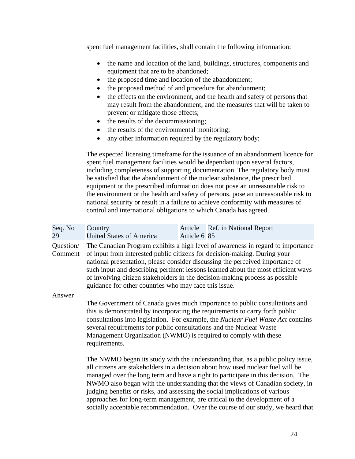spent fuel management facilities, shall contain the following information:

- the name and location of the land, buildings, structures, components and equipment that are to be abandoned;
- the proposed time and location of the abandonment;
- the proposed method of and procedure for abandonment;
- the effects on the environment, and the health and safety of persons that may result from the abandonment, and the measures that will be taken to prevent or mitigate those effects;
- the results of the decommissioning;
- the results of the environmental monitoring;
- any other information required by the regulatory body;

The expected licensing timeframe for the issuance of an abandonment licence for spent fuel management facilities would be dependant upon several factors, including completeness of supporting documentation. The regulatory body must be satisfied that the abandonment of the nuclear substance, the prescribed equipment or the prescribed information does not pose an unreasonable risk to the environment or the health and safety of persons, pose an unreasonable risk to national security or result in a failure to achieve conformity with measures of control and international obligations to which Canada has agreed.

| Seq. No<br>29        | Country<br><b>United States of America</b>                                                                                                                                                                                                                                                                                                                                                                                                                                  | Article<br>Article 6 85 | <b>Ref.</b> in National Report                                                                                                                                                                                                                                                                                                          |  |
|----------------------|-----------------------------------------------------------------------------------------------------------------------------------------------------------------------------------------------------------------------------------------------------------------------------------------------------------------------------------------------------------------------------------------------------------------------------------------------------------------------------|-------------------------|-----------------------------------------------------------------------------------------------------------------------------------------------------------------------------------------------------------------------------------------------------------------------------------------------------------------------------------------|--|
| Question/<br>Comment | The Canadian Program exhibits a high level of awareness in regard to importance<br>of input from interested public citizens for decision-making. During your<br>national presentation, please consider discussing the perceived importance of<br>such input and describing pertinent lessons learned about the most efficient ways<br>of involving citizen stakeholders in the decision-making process as possible<br>guidance for other countries who may face this issue. |                         |                                                                                                                                                                                                                                                                                                                                         |  |
| Answer               | this is demonstrated by incorporating the requirements to carry forth public<br>several requirements for public consultations and the Nuclear Waste<br>Management Organization (NWMO) is required to comply with these<br>requirements.                                                                                                                                                                                                                                     |                         | The Government of Canada gives much importance to public consultations and<br>consultations into legislation. For example, the Nuclear Fuel Waste Act contains                                                                                                                                                                          |  |
|                      | judging benefits or risks, and assessing the social implications of various<br>approaches for long-term management, are critical to the development of a                                                                                                                                                                                                                                                                                                                    |                         | The NWMO began its study with the understanding that, as a public policy issue,<br>all citizens are stakeholders in a decision about how used nuclear fuel will be<br>managed over the long term and have a right to participate in this decision. The<br>NWMO also began with the understanding that the views of Canadian society, in |  |

socially acceptable recommendation. Over the course of our study, we heard that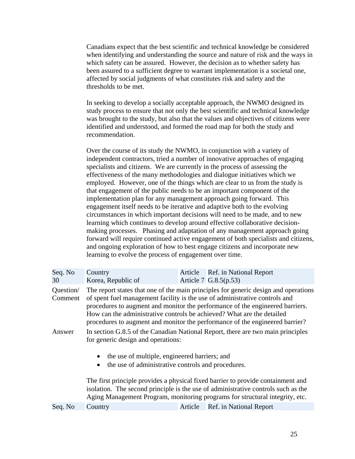Canadians expect that the best scientific and technical knowledge be considered when identifying and understanding the source and nature of risk and the ways in which safety can be assured. However, the decision as to whether safety has been assured to a sufficient degree to warrant implementation is a societal one, affected by social judgments of what constitutes risk and safety and the thresholds to be met.

In seeking to develop a socially acceptable approach, the NWMO designed its study process to ensure that not only the best scientific and technical knowledge was brought to the study, but also that the values and objectives of citizens were identified and understood, and formed the road map for both the study and recommendation.

Over the course of its study the NWMO, in conjunction with a variety of independent contractors, tried a number of innovative approaches of engaging specialists and citizens. We are currently in the process of assessing the effectiveness of the many methodologies and dialogue initiatives which we employed. However, one of the things which are clear to us from the study is that engagement of the public needs to be an important component of the implementation plan for any management approach going forward. This engagement itself needs to be iterative and adaptive both to the evolving circumstances in which important decisions will need to be made, and to new learning which continues to develop around effective collaborative decisionmaking processes. Phasing and adaptation of any management approach going forward will require continued active engagement of both specialists and citizens, and ongoing exploration of how to best engage citizens and incorporate new learning to evolve the process of engagement over time.

| Seq. No<br>30                  | Country<br>Korea, Republic of                                                                                                                                     | Article                                                                                                                                                                                                                                                                                                                                 | Ref. in National Report<br>Article 7 G.8.5(p.53) |  |  |
|--------------------------------|-------------------------------------------------------------------------------------------------------------------------------------------------------------------|-----------------------------------------------------------------------------------------------------------------------------------------------------------------------------------------------------------------------------------------------------------------------------------------------------------------------------------------|--------------------------------------------------|--|--|
| Question/<br>Comment<br>Answer | of spent fuel management facility is the use of administrative controls and<br>How can the administrative controls be achieved? What are the detailed             | The report states that one of the main principles for generic design and operations<br>procedures to augment and monitor the performance of the engineered barriers.<br>procedures to augment and monitor the performance of the engineered barrier?<br>In section G.8.5 of the Canadian National Report, there are two main principles |                                                  |  |  |
|                                | for generic design and operations:<br>the use of multiple, engineered barriers; and<br>the use of administrative controls and procedures.                         |                                                                                                                                                                                                                                                                                                                                         |                                                  |  |  |
|                                | The first principle provides a physical fixed barrier to provide containment and                                                                                  |                                                                                                                                                                                                                                                                                                                                         |                                                  |  |  |
|                                | isolation. The second principle is the use of administrative controls such as the<br>Aging Management Program, monitoring programs for structural integrity, etc. |                                                                                                                                                                                                                                                                                                                                         |                                                  |  |  |
| Seq. No                        | Country                                                                                                                                                           | Article                                                                                                                                                                                                                                                                                                                                 | Ref. in National Report                          |  |  |

| <b>SALE</b> |  |
|-------------|--|
| I<br>٠<br>v |  |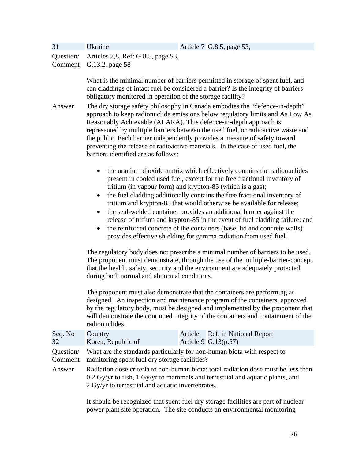| 31                   | Ukraine                                                                                                                                                                                                                                                                                                                                                                                                                                                                                                                                                                                                                                                                                                      | Article 7 G.8.5, page 53,                                                                                                                                                                                                                                                                                                       |  |  |
|----------------------|--------------------------------------------------------------------------------------------------------------------------------------------------------------------------------------------------------------------------------------------------------------------------------------------------------------------------------------------------------------------------------------------------------------------------------------------------------------------------------------------------------------------------------------------------------------------------------------------------------------------------------------------------------------------------------------------------------------|---------------------------------------------------------------------------------------------------------------------------------------------------------------------------------------------------------------------------------------------------------------------------------------------------------------------------------|--|--|
| Question/<br>Comment | Articles 7,8, Ref: G.8.5, page 53,<br>G.13.2, page 58                                                                                                                                                                                                                                                                                                                                                                                                                                                                                                                                                                                                                                                        |                                                                                                                                                                                                                                                                                                                                 |  |  |
|                      | What is the minimal number of barriers permitted in storage of spent fuel, and<br>can claddings of intact fuel be considered a barrier? Is the integrity of barriers<br>obligatory monitored in operation of the storage facility?                                                                                                                                                                                                                                                                                                                                                                                                                                                                           |                                                                                                                                                                                                                                                                                                                                 |  |  |
| Answer               | The dry storage safety philosophy in Canada embodies the "defence-in-depth"<br>approach to keep radionuclide emissions below regulatory limits and As Low As<br>Reasonably Achievable (ALARA). This defence-in-depth approach is<br>represented by multiple barriers between the used fuel, or radioactive waste and<br>the public. Each barrier independently provides a measure of safety toward<br>preventing the release of radioactive materials. In the case of used fuel, the<br>barriers identified are as follows:                                                                                                                                                                                  |                                                                                                                                                                                                                                                                                                                                 |  |  |
|                      | the uranium dioxide matrix which effectively contains the radionuclides<br>٠<br>present in cooled used fuel, except for the free fractional inventory of<br>tritium (in vapour form) and krypton-85 (which is a gas);<br>the fuel cladding additionally contains the free fractional inventory of<br>$\bullet$<br>tritium and krypton-85 that would otherwise be available for release;<br>the seal-welded container provides an additional barrier against the<br>$\bullet$<br>release of tritium and krypton-85 in the event of fuel cladding failure; and<br>the reinforced concrete of the containers (base, lid and concrete walls)<br>provides effective shielding for gamma radiation from used fuel. |                                                                                                                                                                                                                                                                                                                                 |  |  |
|                      | The regulatory body does not prescribe a minimal number of barriers to be used.<br>The proponent must demonstrate, through the use of the multiple-barrier-concept,<br>that the health, safety, security and the environment are adequately protected<br>during both normal and abnormal conditions.                                                                                                                                                                                                                                                                                                                                                                                                         |                                                                                                                                                                                                                                                                                                                                 |  |  |
|                      | radionuclides.                                                                                                                                                                                                                                                                                                                                                                                                                                                                                                                                                                                                                                                                                               | The proponent must also demonstrate that the containers are performing as<br>designed. An inspection and maintenance program of the containers, approved<br>by the regulatory body, must be designed and implemented by the proponent that<br>will demonstrate the continued integrity of the containers and containment of the |  |  |
| Seq. No<br>32        | Country<br>Korea, Republic of                                                                                                                                                                                                                                                                                                                                                                                                                                                                                                                                                                                                                                                                                | Ref. in National Report<br>Article<br>Article 9 G.13(p.57)                                                                                                                                                                                                                                                                      |  |  |
| Question/<br>Comment | monitoring spent fuel dry storage facilities?                                                                                                                                                                                                                                                                                                                                                                                                                                                                                                                                                                                                                                                                | What are the standards particularly for non-human biota with respect to                                                                                                                                                                                                                                                         |  |  |
| Answer               | Radiation dose criteria to non-human biota: total radiation dose must be less than<br>0.2 Gy/yr to fish, 1 Gy/yr to mammals and terrestrial and aquatic plants, and<br>2 Gy/yr to terrestrial and aquatic invertebrates.                                                                                                                                                                                                                                                                                                                                                                                                                                                                                     |                                                                                                                                                                                                                                                                                                                                 |  |  |
|                      |                                                                                                                                                                                                                                                                                                                                                                                                                                                                                                                                                                                                                                                                                                              |                                                                                                                                                                                                                                                                                                                                 |  |  |

It should be recognized that spent fuel dry storage facilities are part of nuclear power plant site operation. The site conducts an environmental monitoring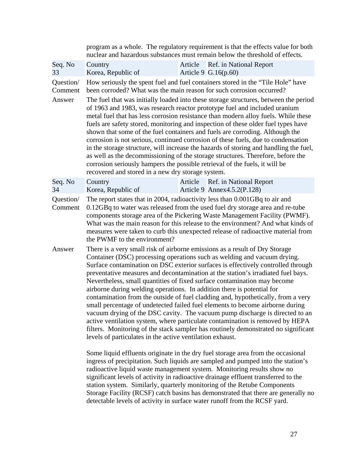|                                                                                                                                                                                                                                                                                                                            |                                                                                                                                                                                                                                                                                                                                                                                                                                                                                                                                                                                                                                                                                                                                                                                                                                                                                                                                                                                                                                                                    | program as a whole. The regulatory requirement is that the effects value for both<br>nuclear and hazardous substances must remain below the threshold of effects.                                                                                                                                                                                                                                                                                                                                                                                                                                                                                                                                                                                                             |  |
|----------------------------------------------------------------------------------------------------------------------------------------------------------------------------------------------------------------------------------------------------------------------------------------------------------------------------|--------------------------------------------------------------------------------------------------------------------------------------------------------------------------------------------------------------------------------------------------------------------------------------------------------------------------------------------------------------------------------------------------------------------------------------------------------------------------------------------------------------------------------------------------------------------------------------------------------------------------------------------------------------------------------------------------------------------------------------------------------------------------------------------------------------------------------------------------------------------------------------------------------------------------------------------------------------------------------------------------------------------------------------------------------------------|-------------------------------------------------------------------------------------------------------------------------------------------------------------------------------------------------------------------------------------------------------------------------------------------------------------------------------------------------------------------------------------------------------------------------------------------------------------------------------------------------------------------------------------------------------------------------------------------------------------------------------------------------------------------------------------------------------------------------------------------------------------------------------|--|
| Seq. No<br>33                                                                                                                                                                                                                                                                                                              | Country<br>Korea, Republic of                                                                                                                                                                                                                                                                                                                                                                                                                                                                                                                                                                                                                                                                                                                                                                                                                                                                                                                                                                                                                                      | Article Ref. in National Report<br>Article 9 G.16(p.60)                                                                                                                                                                                                                                                                                                                                                                                                                                                                                                                                                                                                                                                                                                                       |  |
| Question/<br>Comment                                                                                                                                                                                                                                                                                                       |                                                                                                                                                                                                                                                                                                                                                                                                                                                                                                                                                                                                                                                                                                                                                                                                                                                                                                                                                                                                                                                                    | How seriously the spent fuel and fuel containers stored in the "Tile Hole" have<br>been corroded? What was the main reason for such corrosion occurred?                                                                                                                                                                                                                                                                                                                                                                                                                                                                                                                                                                                                                       |  |
| Answer                                                                                                                                                                                                                                                                                                                     | recovered and stored in a new dry storage system.                                                                                                                                                                                                                                                                                                                                                                                                                                                                                                                                                                                                                                                                                                                                                                                                                                                                                                                                                                                                                  | The fuel that was initially loaded into these storage structures, between the period<br>of 1963 and 1983, was research reactor prototype fuel and included uranium<br>metal fuel that has less corrosion resistance than modern alloy fuels. While these<br>fuels are safety stored, monitoring and inspection of these older fuel types have<br>shown that some of the fuel containers and fuels are corroding. Although the<br>corrosion is not serious, continued corrosion of these fuels, due to condensation<br>in the storage structure, will increase the hazards of storing and handling the fuel,<br>as well as the decommissioning of the storage structures. Therefore, before the<br>corrosion seriously hampers the possible retrieval of the fuels, it will be |  |
| Seq. No<br>34                                                                                                                                                                                                                                                                                                              | Country<br>Korea, Republic of                                                                                                                                                                                                                                                                                                                                                                                                                                                                                                                                                                                                                                                                                                                                                                                                                                                                                                                                                                                                                                      | Article<br>Ref. in National Report<br>Article 9 Annex 4.5.2(P.128)                                                                                                                                                                                                                                                                                                                                                                                                                                                                                                                                                                                                                                                                                                            |  |
| Question/<br>Comment                                                                                                                                                                                                                                                                                                       | The report states that in 2004, radioactivity less than 0.001GBq to air and<br>0.12GBq to water was released from the used fuel dry storage area and re-tube<br>components storage area of the Pickering Waste Management Facility (PWMF).<br>What was the main reason for this release to the environment? And what kinds of<br>measures were taken to curb this unexpected release of radioactive material from<br>the PWMF to the environment?                                                                                                                                                                                                                                                                                                                                                                                                                                                                                                                                                                                                                  |                                                                                                                                                                                                                                                                                                                                                                                                                                                                                                                                                                                                                                                                                                                                                                               |  |
| Answer                                                                                                                                                                                                                                                                                                                     | There is a very small risk of airborne emissions as a result of Dry Storage<br>Container (DSC) processing operations such as welding and vacuum drying.<br>Surface contamination on DSC exterior surfaces is effectively controlled through<br>preventative measures and decontamination at the station's irradiated fuel bays.<br>Nevertheless, small quantities of fixed surface contamination may become<br>airborne during welding operations. In addition there is potential for<br>contamination from the outside of fuel cladding and, hypothetically, from a very<br>small percentage of undetected failed fuel elements to become airborne during<br>vacuum drying of the DSC cavity. The vacuum pump discharge is directed to an<br>active ventilation system, where particulate contamination is removed by HEPA<br>filters. Monitoring of the stack sampler has routinely demonstrated no significant<br>levels of particulates in the active ventilation exhaust.<br>Some liquid effluents originate in the dry fuel storage area from the occasional |                                                                                                                                                                                                                                                                                                                                                                                                                                                                                                                                                                                                                                                                                                                                                                               |  |
| ingress of precipitation. Such liquids are sampled and pumped into the station's<br>radioactive liquid waste management system. Monitoring results show no<br>significant levels of activity in radioactive drainage effluent transferred to the<br>station system Similarly quarterly monitoring of the Retube Components |                                                                                                                                                                                                                                                                                                                                                                                                                                                                                                                                                                                                                                                                                                                                                                                                                                                                                                                                                                                                                                                                    |                                                                                                                                                                                                                                                                                                                                                                                                                                                                                                                                                                                                                                                                                                                                                                               |  |

station system. Similarly, quarterly monitoring of the Retube Components Storage Facility (RCSF) catch basins has demonstrated that there are generally no detectable levels of activity in surface water runoff from the RCSF yard.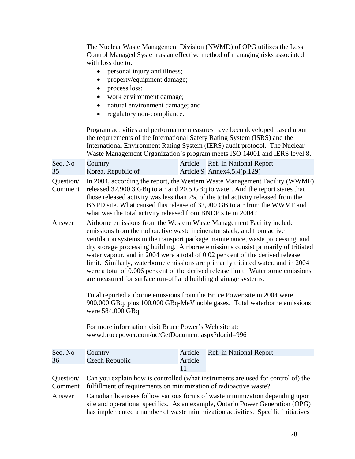The Nuclear Waste Management Division (NWMD) of OPG utilizes the Loss Control Managed System as an effective method of managing risks associated with loss due to:

- personal injury and illness;
- property/equipment damage;
- process loss;
- work environment damage;
- natural environment damage; and
- regulatory non-compliance.

Program activities and performance measures have been developed based upon the requirements of the International Safety Rating System (ISRS) and the International Environment Rating System (IERS) audit protocol. The Nuclear Waste Management Organization's program meets ISO 14001 and IERS level 8.

| Seq. No | Country            | Article Ref. in National Report |
|---------|--------------------|---------------------------------|
| 35      | Korea, Republic of | Article 9 Annex $4.5.4(p.129)$  |

Question/ In 2004, according the report, the Western Waste Management Facility (WWMF) Comment released 32,900.3 GBq to air and 20.5 GBq to water. And the report states that those released activity was less than 2% of the total activity released from the BNPD site. What caused this release of 32,900 GB to air from the WWMF and what was the total activity released from BNDP site in 2004?

Answer Airborne emissions from the Western Waste Management Facility include emissions from the radioactive waste incinerator stack, and from active ventilation systems in the transport package maintenance, waste processing, and dry storage processing building. Airborne emissions consist primarily of tritiated water vapour, and in 2004 were a total of 0.02 per cent of the derived release limit. Similarly, waterborne emissions are primarily tritiated water, and in 2004 were a total of 0.006 per cent of the derived release limit. Waterborne emissions are measured for surface run-off and building drainage systems.

> Total reported airborne emissions from the Bruce Power site in 2004 were 900,000 GBq, plus 100,000 GBq-MeV noble gases. Total waterborne emissions were 584,000 GBq.

For more information visit Bruce Power's Web site at: www.brucepower.com/uc/GetDocument.aspx?docid=996

| Seq. No | Country                                                                                   |         | Article Ref. in National Report |  |
|---------|-------------------------------------------------------------------------------------------|---------|---------------------------------|--|
| 36      | Czech Republic                                                                            | Article |                                 |  |
|         |                                                                                           |         |                                 |  |
|         | Question Can you explain how is controlled (what instruments are used for control of) the |         |                                 |  |
|         | Comment fulfillment of requirements on minimization of radioactive waste?                 |         |                                 |  |

Answer Canadian licensees follow various forms of waste minimization depending upon site and operational specifics. As an example, Ontario Power Generation (OPG) has implemented a number of waste minimization activities. Specific initiatives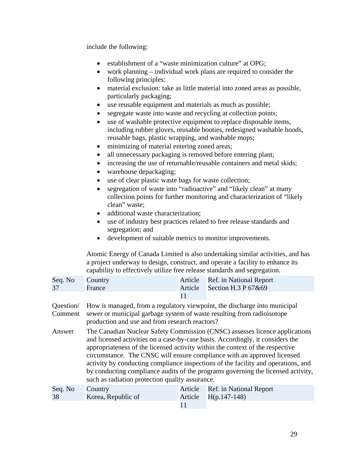include the following:

- establishment of a "waste minimization culture" at OPG;
- work planning  $-$  individual work plans are required to consider the following principles:
- material exclusion: take as little material into zoned areas as possible, particularly packaging;
- use reusable equipment and materials as much as possible;
- segregate waste into waste and recycling at collection points;
- use of washable protective equipment to replace disposable items, including rubber gloves, reusable booties, redesigned washable hoods, reusable bags, plastic wrapping, and washable mops;
- minimizing of material entering zoned areas;
- all unnecessary packaging is removed before entering plant;
- increasing the use of returnable/reusable containers and metal skids;
- warehouse depackaging;
- use of clear plastic waste bags for waste collection;
- segregation of waste into "radioactive" and "likely clean" at many collection points for further monitoring and characterization of "likely clean" waste;
- additional waste characterization;
- use of industry best practices related to free release standards and segregation; and
- • development of suitable metrics to monitor improvements.

Atomic Energy of Canada Limited is also undertaking similar activities, and has a project underway to design, construct, and operate a facility to enhance its capability to effectively utilize free release standards and segregation.

| Seq. No Country<br>37 | <b>Exercise</b> France | Article Ref. in National Report<br>Article Section H.3 P $67&69$ |
|-----------------------|------------------------|------------------------------------------------------------------|
|                       |                        |                                                                  |

- production and use and from research reactors? Question/ How is managed, from a regulatory viewpoint, the discharge into municipal Comment sewer or municipal garbage system of waste resulting from radioisotope
- Answer The Canadian Nuclear Safety Commission (CNSC) assesses licence applications and licensed activities on a case-by-case basis. Accordingly, it considers the appropriateness of the licensed activity within the context of the respective circumstance. The CNSC will ensure compliance with an approved licensed activity by conducting compliance inspections of the facility and operations, and by conducting compliance audits of the programs governing the licensed activity, such as radiation protection quality assurance.

| Seq. No Country |                    | Article Ref. in National Report |
|-----------------|--------------------|---------------------------------|
| 38              | Korea, Republic of | Article $H(p.147-148)$          |
|                 |                    |                                 |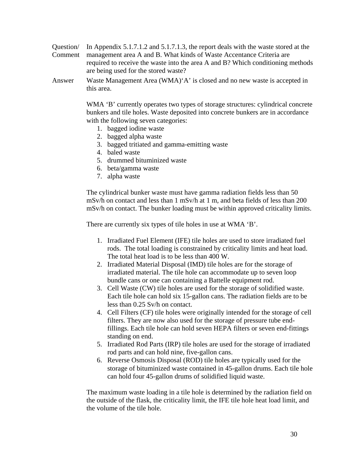Question/ In Appendix 5.1.7.1.2 and 5.1.7.1.3, the report deals with the waste stored at the Comment management area A and B. What kinds of Waste Accentance Criteria are required to receive the waste into the area A and B? Which conditioning methods are being used for the stored waste?

Answer Waste Management Area (WMA)'A' is closed and no new waste is accepted in this area.

> WMA 'B' currently operates two types of storage structures: cylindrical concrete bunkers and tile holes. Waste deposited into concrete bunkers are in accordance with the following seven categories:

- 1. bagged iodine waste
- 2. bagged alpha waste
- 3. bagged tritiated and gamma-emitting waste
- 4. baled waste
- 5. drummed bituminized waste
- 6. beta/gamma waste
- 7. alpha waste

The cylindrical bunker waste must have gamma radiation fields less than 50 mSv/h on contact and less than 1 mSv/h at 1 m, and beta fields of less than 200 mSv/h on contact. The bunker loading must be within approved criticality limits.

There are currently six types of tile holes in use at WMA 'B'.

- 1. Irradiated Fuel Element (IFE) tile holes are used to store irradiated fuel rods. The total loading is constrained by criticality limits and heat load. The total heat load is to be less than 400 W.
- 2. Irradiated Material Disposal (IMD) tile holes are for the storage of irradiated material. The tile hole can accommodate up to seven loop bundle cans or one can containing a Battelle equipment rod.
- 3. Cell Waste (CW) tile holes are used for the storage of solidified waste. Each tile hole can hold six 15-gallon cans. The radiation fields are to be less than 0.25 Sv/h on contact.
- 4. Cell Filters (CF) tile holes were originally intended for the storage of cell filters. They are now also used for the storage of pressure tube endfillings. Each tile hole can hold seven HEPA filters or seven end-fittings standing on end.
- 5. Irradiated Rod Parts (IRP) tile holes are used for the storage of irradiated rod parts and can hold nine, five-gallon cans.
- 6. Reverse Osmosis Disposal (ROD) tile holes are typically used for the storage of bituminized waste contained in 45-gallon drums. Each tile hole can hold four 45-gallon drums of solidified liquid waste.

The maximum waste loading in a tile hole is determined by the radiation field on the outside of the flask, the criticality limit, the IFE tile hole heat load limit, and the volume of the tile hole.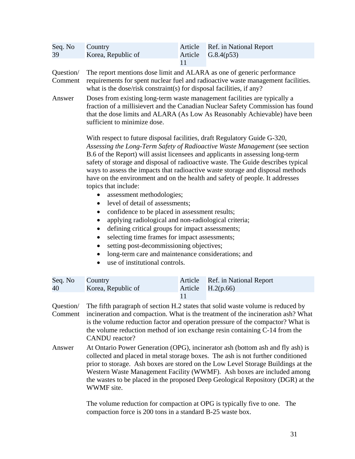| Seq. No<br>39        | Country<br>Korea, Republic of                                                                                                                                                                                                                                                                                                                                                                                                                                                                                                                                                                                                                                                                                                                                                                                                                                                                                                                                                   | Article<br>Article<br>11 | Ref. in National Report<br>G.8.4(p53)                                    |  |  |
|----------------------|---------------------------------------------------------------------------------------------------------------------------------------------------------------------------------------------------------------------------------------------------------------------------------------------------------------------------------------------------------------------------------------------------------------------------------------------------------------------------------------------------------------------------------------------------------------------------------------------------------------------------------------------------------------------------------------------------------------------------------------------------------------------------------------------------------------------------------------------------------------------------------------------------------------------------------------------------------------------------------|--------------------------|--------------------------------------------------------------------------|--|--|
| Question/<br>Comment | The report mentions dose limit and ALARA as one of generic performance<br>requirements for spent nuclear fuel and radioactive waste management facilities.<br>what is the dose/risk constraint(s) for disposal facilities, if any?                                                                                                                                                                                                                                                                                                                                                                                                                                                                                                                                                                                                                                                                                                                                              |                          |                                                                          |  |  |
| Answer               | Doses from existing long-term waste management facilities are typically a<br>fraction of a millisievert and the Canadian Nuclear Safety Commission has found<br>that the dose limits and ALARA (As Low As Reasonably Achievable) have been<br>sufficient to minimize dose.                                                                                                                                                                                                                                                                                                                                                                                                                                                                                                                                                                                                                                                                                                      |                          |                                                                          |  |  |
|                      | With respect to future disposal facilities, draft Regulatory Guide G-320,<br>Assessing the Long-Term Safety of Radioactive Waste Management (see section<br>B.6 of the Report) will assist licensees and applicants in assessing long-term<br>safety of storage and disposal of radioactive waste. The Guide describes typical<br>ways to assess the impacts that radioactive waste storage and disposal methods<br>have on the environment and on the health and safety of people. It addresses<br>topics that include:<br>assessment methodologies;<br>level of detail of assessments;<br>٠<br>confidence to be placed in assessment results;<br>$\bullet$<br>applying radiological and non-radiological criteria;<br>defining critical groups for impact assessments;<br>$\bullet$<br>selecting time frames for impact assessments;<br>٠<br>setting post-decommissioning objectives;<br>long-term care and maintenance considerations; and<br>use of institutional controls. |                          |                                                                          |  |  |
| Seq. No<br>40        | Country<br>Korea, Republic of                                                                                                                                                                                                                                                                                                                                                                                                                                                                                                                                                                                                                                                                                                                                                                                                                                                                                                                                                   | Article<br>Article       | Ref. in National Report<br>H.2(p.66)                                     |  |  |
| Question/<br>Comment | 11<br>The fifth paragraph of section H.2 states that solid waste volume is reduced by<br>incineration and compaction. What is the treatment of the incineration ash? What<br>is the volume reduction factor and operation pressure of the compactor? What is<br>the volume reduction method of ion exchange resin containing C-14 from the<br><b>CANDU</b> reactor?                                                                                                                                                                                                                                                                                                                                                                                                                                                                                                                                                                                                             |                          |                                                                          |  |  |
| Answer               | At Ontario Power Generation (OPG), incinerator ash (bottom ash and fly ash) is<br>collected and placed in metal storage boxes. The ash is not further conditioned<br>prior to storage. Ash boxes are stored on the Low Level Storage Buildings at the<br>Western Waste Management Facility (WWMF). Ash boxes are included among<br>the wastes to be placed in the proposed Deep Geological Repository (DGR) at the<br>WWMF site.                                                                                                                                                                                                                                                                                                                                                                                                                                                                                                                                                |                          |                                                                          |  |  |
|                      |                                                                                                                                                                                                                                                                                                                                                                                                                                                                                                                                                                                                                                                                                                                                                                                                                                                                                                                                                                                 |                          | The volume reduction for compaction at OPG is typically five to one. The |  |  |

compaction force is 200 tons in a standard B-25 waste box.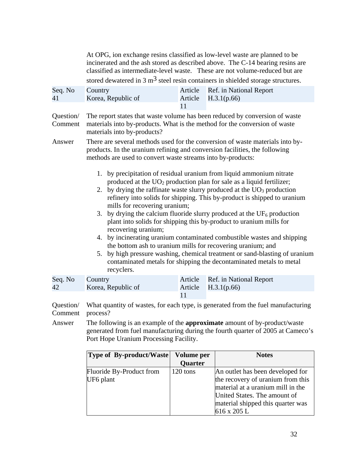At OPG, ion exchange resins classified as low-level waste are planned to be incinerated and the ash stored as described above. The C-14 bearing resins are classified as intermediate-level waste. These are not volume-reduced but are stored dewatered in 3  $\text{m}^3$  steel resin containers in shielded storage structures.

| Seq. No Country |                                                                                     | Article Ref. in National Report |
|-----------------|-------------------------------------------------------------------------------------|---------------------------------|
| 41              | Korea, Republic of                                                                  | Article $H.3.1(p.66)$           |
|                 |                                                                                     |                                 |
|                 | Question The report states that weste volume has been reduced by conversion of west |                                 |

materials into by-products? Question/ The report states that waste volume has been reduced by conversion of waste Comment materials into by-products. What is the method for the conversion of waste

Answer There are several methods used for the conversion of waste materials into byproducts. In the uranium refining and conversion facilities, the following methods are used to convert waste streams into by-products:

- 1. by precipitation of residual uranium from liquid ammonium nitrate produced at the  $UO<sub>2</sub>$  production plan for sale as a liquid fertilizer;
- 2. by drying the raffinate waste slurry produced at the  $UO<sub>3</sub>$  production refinery into solids for shipping. This by-product is shipped to uranium mills for recovering uranium;
- 3. by drying the calcium fluoride slurry produced at the  $UF_6$  production plant into solids for shipping this by-product to uranium mills for recovering uranium;
- 4. by incinerating uranium contaminated combustible wastes and shipping the bottom ash to uranium mills for recovering uranium; and
- 5. by high pressure washing, chemical treatment or sand-blasting of uranium contaminated metals for shipping the decontaminated metals to metal recyclers.

| Seq. No Country |                    | Article Ref. in National Report |
|-----------------|--------------------|---------------------------------|
| 42              | Korea, Republic of | Article $H.3.1(p.66)$           |
|                 |                    |                                 |

process? Question/ What quantity of wastes, for each type, is generated from the fuel manufacturing Comment process? Answer The following is an example of the **approximate** amount of by-product/waste

generated from fuel manufacturing during the fourth quarter of 2005 at Cameco's Port Hope Uranium Processing Facility.

| <b>Type of By-product/Waste</b> | Volume per     | <b>Notes</b>                      |
|---------------------------------|----------------|-----------------------------------|
|                                 | <b>Quarter</b> |                                   |
| Fluoride By-Product from        | 120 tons       | An outlet has been developed for  |
| UF6 plant                       |                | the recovery of uranium from this |
|                                 |                | material at a uranium mill in the |
|                                 |                | United States. The amount of      |
|                                 |                | material shipped this quarter was |
|                                 |                | 616 x 205 L                       |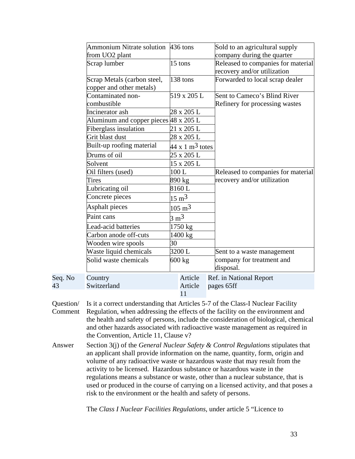|         | Ammonium Nitrate solution 436 tons                      |                                 | Sold to an agricultural supply                                    |
|---------|---------------------------------------------------------|---------------------------------|-------------------------------------------------------------------|
|         | from UO <sub>2</sub> plant                              |                                 | company during the quarter                                        |
|         | Scrap lumber                                            | 15 tons                         | Released to companies for material<br>recovery and/or utilization |
|         | Scrap Metals (carbon steel,<br>copper and other metals) | 138 tons                        | Forwarded to local scrap dealer                                   |
|         | Contaminated non-<br>combustible                        | 519 x 205 L                     | Sent to Cameco's Blind River<br>Refinery for processing wastes    |
|         | Incinerator ash                                         | 28 x 205 L                      |                                                                   |
|         | Aluminum and copper pieces $48 \times 205$ L            |                                 |                                                                   |
|         | Fiberglass insulation                                   | 21 x 205 L                      |                                                                   |
|         | Grit blast dust                                         | 28 x 205 L                      |                                                                   |
|         | Built-up roofing material                               | $44 \times 1 \text{ m}^3$ totes |                                                                   |
|         | Drums of oil                                            | 25 x 205 L                      |                                                                   |
|         | Solvent                                                 | 15 x 205 L                      |                                                                   |
|         | Oil filters (used)                                      | 100L                            | Released to companies for material                                |
|         | <b>Tires</b>                                            | 890 kg                          | recovery and/or utilization                                       |
|         | Lubricating oil                                         | 8160L                           |                                                                   |
|         | Concrete pieces                                         | $15 \text{ m}^3$                |                                                                   |
|         | Asphalt pieces                                          | $105 \text{ m}^3$               |                                                                   |
|         | Paint cans                                              | $3 \text{ m}^3$                 |                                                                   |
|         | Lead-acid batteries                                     | 1750 kg                         |                                                                   |
|         | Carbon anode off-cuts                                   | 1400 kg                         |                                                                   |
|         | Wooden wire spools                                      | 30                              |                                                                   |
|         | Waste liquid chemicals                                  | 3200 L                          | Sent to a waste management                                        |
|         | Solid waste chemicals                                   | 600 kg                          | company for treatment and                                         |
|         |                                                         |                                 | disposal.                                                         |
| Seq. No | Country                                                 | Article                         | Ref. in National Report                                           |
| 43      | Switzerland                                             | Article                         | pages 65ff                                                        |
|         |                                                         | 11                              |                                                                   |

the Convention, Article 11, Clause v? Question/ Is it a correct understanding that Articles 5-7 of the Class-I Nuclear Facility Comment Regulation, when addressing the effects of the facility on the environment and the health and safety of persons, include the consideration of biological, chemical and other hazards associated with radioactive waste management as required in

Answer Section 3(j) of the *General Nuclear Safety & Control Regulations* stipulates that an applicant shall provide information on the name, quantity, form, origin and volume of any radioactive waste or hazardous waste that may result from the activity to be licensed. Hazardous substance or hazardous waste in the regulations means a substance or waste, other than a nuclear substance, that is used or produced in the course of carrying on a licensed activity, and that poses a risk to the environment or the health and safety of persons.

The *Class I Nuclear Facilities Regulations*, under article 5 "Licence to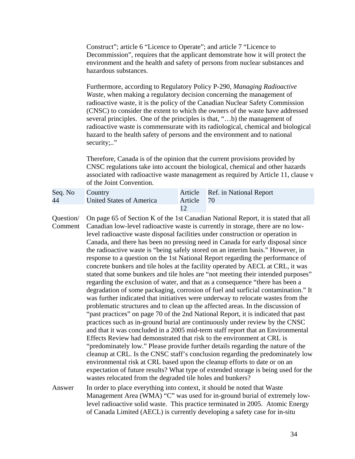Construct"; article 6 "Licence to Operate"; and article 7 "Licence to Decommission", requires that the applicant demonstrate how it will protect the environment and the health and safety of persons from nuclear substances and hazardous substances.

Furthermore, according to Regulatory Policy P-290, *Managing Radioactive Waste*, when making a regulatory decision concerning the management of radioactive waste, it is the policy of the Canadian Nuclear Safety Commission (CNSC) to consider the extent to which the owners of the waste have addressed several principles. One of the principles is that, "…b) the management of radioactive waste is commensurate with its radiological, chemical and biological hazard to the health safety of persons and the environment and to national security;.."

 of the Joint Convention. Therefore, Canada is of the opinion that the current provisions provided by CNSC regulations take into account the biological, chemical and other hazards associated with radioactive waste management as required by Article 11, clause v

| Seq. No Country |                          |            | Article Ref. in National Report |
|-----------------|--------------------------|------------|---------------------------------|
| 44              | United States of America | Article 70 |                                 |
|                 |                          |            |                                 |

- wastes relocated from the degraded tile holes and bunkers? Question/ Comment Answer On page 65 of Section K of the 1st Canadian National Report, it is stated that all Canadian low-level radioactive waste is currently in storage, there are no lowlevel radioactive waste disposal facilities under construction or operation in Canada, and there has been no pressing need in Canada for early disposal since the radioactive waste is "being safely stored on an interim basis." However, in response to a question on the 1st National Report regarding the performance of concrete bunkers and tile holes at the facility operated by AECL at CRL, it was stated that some bunkers and tile holes are "not meeting their intended purposes" regarding the exclusion of water, and that as a consequence "there has been a degradation of some packaging, corrosion of fuel and surficial contamination." It was further indicated that initiatives were underway to relocate wastes from the problematic structures and to clean up the affected areas. In the discussion of "past practices" on page 70 of the 2nd National Report, it is indicated that past practices such as in-ground burial are continuously under review by the CNSC and that it was concluded in a 2005 mid-term staff report that an Environmental Effects Review had demonstrated that risk to the environment at CRL is "predominately low." Please provide further details regarding the nature of the cleanup at CRL. Is the CNSC staff's conclusion regarding the predominately low environmental risk at CRL based upon the cleanup efforts to date or on an expectation of future results? What type of extended storage is being used for the In order to place everything into context, it should be noted that Waste
	- Management Area (WMA) "C" was used for in-ground burial of extremely lowlevel radioactive solid waste. This practice terminated in 2005. Atomic Energy of Canada Limited (AECL) is currently developing a safety case for in-situ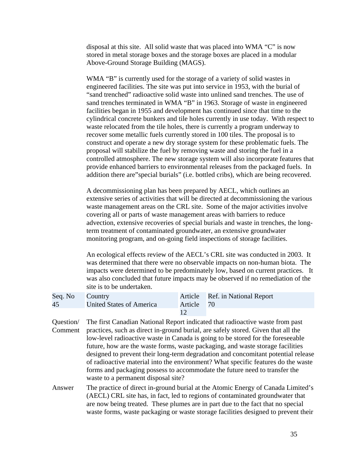disposal at this site. All solid waste that was placed into WMA "C" is now stored in metal storage boxes and the storage boxes are placed in a modular Above-Ground Storage Building (MAGS).

WMA "B" is currently used for the storage of a variety of solid wastes in engineered facilities. The site was put into service in 1953, with the burial of "sand trenched" radioactive solid waste into unlined sand trenches. The use of sand trenches terminated in WMA "B" in 1963. Storage of waste in engineered facilities began in 1955 and development has continued since that time to the cylindrical concrete bunkers and tile holes currently in use today. With respect to waste relocated from the tile holes, there is currently a program underway to recover some metallic fuels currently stored in 100 tiles. The proposal is to construct and operate a new dry storage system for these problematic fuels. The proposal will stabilize the fuel by removing waste and storing the fuel in a controlled atmosphere. The new storage system will also incorporate features that provide enhanced barriers to environmental releases from the packaged fuels. In addition there are"special burials" (i.e. bottled cribs), which are being recovered.

A decommissioning plan has been prepared by AECL, which outlines an extensive series of activities that will be directed at decommissioning the various waste management areas on the CRL site. Some of the major activities involve covering all or parts of waste management areas with barriers to reduce advection, extensive recoveries of special burials and waste in trenches, the longterm treatment of contaminated groundwater, an extensive groundwater monitoring program, and on-going field inspections of storage facilities.

An ecological effects review of the AECL's CRL site was conducted in 2003. It was determined that there were no observable impacts on non-human biota. The impacts were determined to be predominately low, based on current practices. It was also concluded that future impacts may be observed if no remediation of the site is to be undertaken.

| Seq. No Country |                          |            | Article Ref. in National Report |
|-----------------|--------------------------|------------|---------------------------------|
| 45              | United States of America | Article 70 |                                 |
|                 |                          |            |                                 |

Question/ Comment The first Canadian National Report indicated that radioactive waste from past practices, such as direct in-ground burial, are safely stored. Given that all the low-level radioactive waste in Canada is going to be stored for the foreseeable future, how are the waste forms, waste packaging, and waste storage facilities designed to prevent their long-term degradation and concomitant potential release of radioactive material into the environment? What specific features do the waste forms and packaging possess to accommodate the future need to transfer the waste to a permanent disposal site?

Answer The practice of direct in-ground burial at the Atomic Energy of Canada Limited's (AECL) CRL site has, in fact, led to regions of contaminated groundwater that are now being treated. These plumes are in part due to the fact that no special waste forms, waste packaging or waste storage facilities designed to prevent their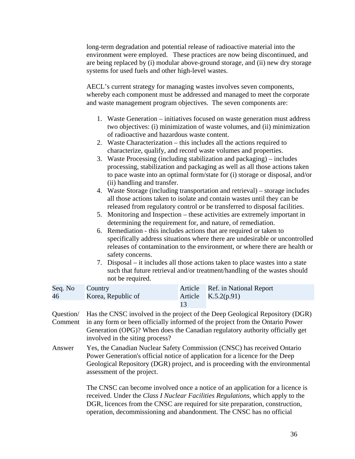long-term degradation and potential release of radioactive material into the environment were employed. These practices are now being discontinued, and are being replaced by (i) modular above-ground storage, and (ii) new dry storage systems for used fuels and other high-level wastes.

AECL's current strategy for managing wastes involves seven components, whereby each component must be addressed and managed to meet the corporate and waste management program objectives. The seven components are:

- 1. Waste Generation initiatives focused on waste generation must address two objectives: (i) minimization of waste volumes, and (ii) minimization of radioactive and hazardous waste content.
- 2. Waste Characterization this includes all the actions required to characterize, qualify, and record waste volumes and properties.
- 3. Waste Processing (including stabilization and packaging) includes processing, stabilization and packaging as well as all those actions taken to pace waste into an optimal form/state for (i) storage or disposal, and/or (ii) handling and transfer.
- 4. Waste Storage (including transportation and retrieval) storage includes all those actions taken to isolate and contain wastes until they can be released from regulatory control or be transferred to disposal facilities.
- 5. Monitoring and Inspection these activities are extremely important in determining the requirement for, and nature, of remediation.
- 6. Remediation this includes actions that are required or taken to specifically address situations where there are undesirable or uncontrolled releases of contamination to the environment, or where there are health or safety concerns.
- 7. Disposal it includes all those actions taken to place wastes into a state such that future retrieval and/or treatment/handling of the wastes should not be required.

| Seq. No Country |                    | Article Ref. in National Report |
|-----------------|--------------------|---------------------------------|
| 46              | Korea, Republic of | Article $K.5.2(p.91)$           |
|                 |                    |                                 |

- involved in the siting process? Question/ Comment in any form or been officially informed of the project from the Ontario Power Has the CNSC involved in the project of the Deep Geological Repository (DGR) Generation (OPG)? When does the Canadian regulatory authority officially get
- Answer Yes, the Canadian Nuclear Safety Commission (CNSC) has received Ontario Power Generation's official notice of application for a licence for the Deep Geological Repository (DGR) project, and is proceeding with the environmental assessment of the project.

The CNSC can become involved once a notice of an application for a licence is received. Under the *Class I Nuclear Facilities Regulations*, which apply to the DGR, licences from the CNSC are required for site preparation, construction, operation, decommissioning and abandonment. The CNSC has no official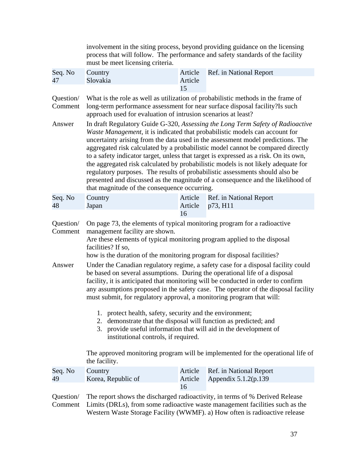|                                | involvement in the siting process, beyond providing guidance on the licensing<br>process that will follow. The performance and safety standards of the facility<br>must be meet licensing criteria.                                              |                                                                                                                                                                                                                                                                                                                                                                                                                                                                                                                                                                                                                                                                                                                                                                                                                                                                                                                                                  |                                                                                                                                                                 |  |  |
|--------------------------------|--------------------------------------------------------------------------------------------------------------------------------------------------------------------------------------------------------------------------------------------------|--------------------------------------------------------------------------------------------------------------------------------------------------------------------------------------------------------------------------------------------------------------------------------------------------------------------------------------------------------------------------------------------------------------------------------------------------------------------------------------------------------------------------------------------------------------------------------------------------------------------------------------------------------------------------------------------------------------------------------------------------------------------------------------------------------------------------------------------------------------------------------------------------------------------------------------------------|-----------------------------------------------------------------------------------------------------------------------------------------------------------------|--|--|
| Seq. No<br>47                  | Country<br>Slovakia                                                                                                                                                                                                                              | Article<br>Article<br>15                                                                                                                                                                                                                                                                                                                                                                                                                                                                                                                                                                                                                                                                                                                                                                                                                                                                                                                         | Ref. in National Report                                                                                                                                         |  |  |
| Question/<br>Comment           | approach used for evaluation of intrusion scenarios at least?                                                                                                                                                                                    |                                                                                                                                                                                                                                                                                                                                                                                                                                                                                                                                                                                                                                                                                                                                                                                                                                                                                                                                                  | What is the role as well as utilization of probabilistic methods in the frame of<br>long-term performance assessment for near surface disposal facility?Is such |  |  |
| Answer                         | that magnitude of the consequence occurring.                                                                                                                                                                                                     | In draft Regulatory Guide G-320, Assessing the Long Term Safety of Radioactive<br>Waste Management, it is indicated that probabilistic models can account for<br>uncertainty arising from the data used in the assessment model predictions. The<br>aggregated risk calculated by a probabilistic model cannot be compared directly<br>to a safety indicator target, unless that target is expressed as a risk. On its own,<br>the aggregated risk calculated by probabilistic models is not likely adequate for<br>regulatory purposes. The results of probabilistic assessments should also be<br>presented and discussed as the magnitude of a consequence and the likelihood of                                                                                                                                                                                                                                                              |                                                                                                                                                                 |  |  |
| Seq. No<br>48                  | Country<br>Japan                                                                                                                                                                                                                                 | Article<br>Article                                                                                                                                                                                                                                                                                                                                                                                                                                                                                                                                                                                                                                                                                                                                                                                                                                                                                                                               | Ref. in National Report<br>p73, H11                                                                                                                             |  |  |
| Question/<br>Comment<br>Answer | management facility are shown.<br>facilities? If so,<br>2.<br>institutional controls, if required.<br>the facility.                                                                                                                              | 16<br>On page 73, the elements of typical monitoring program for a radioactive<br>Are these elements of typical monitoring program applied to the disposal<br>how is the duration of the monitoring program for disposal facilities?<br>Under the Canadian regulatory regime, a safety case for a disposal facility could<br>be based on several assumptions. During the operational life of a disposal<br>facility, it is anticipated that monitoring will be conducted in order to confirm<br>any assumptions proposed in the safety case. The operator of the disposal facility<br>must submit, for regulatory approval, a monitoring program that will:<br>1. protect health, safety, security and the environment;<br>demonstrate that the disposal will function as predicted; and<br>3. provide useful information that will aid in the development of<br>The approved monitoring program will be implemented for the operational life of |                                                                                                                                                                 |  |  |
| Seq. No<br>49                  | Country<br>Korea, Republic of                                                                                                                                                                                                                    | Article<br>Article                                                                                                                                                                                                                                                                                                                                                                                                                                                                                                                                                                                                                                                                                                                                                                                                                                                                                                                               | Ref. in National Report<br>Appendix 5.1.2(p.139)                                                                                                                |  |  |
| Question/<br>Comment           | 16<br>The report shows the discharged radioactivity, in terms of % Derived Release<br>Limits (DRLs), from some radioactive waste management facilities such as the<br>Western Waste Storage Facility (WWMF). a) How often is radioactive release |                                                                                                                                                                                                                                                                                                                                                                                                                                                                                                                                                                                                                                                                                                                                                                                                                                                                                                                                                  |                                                                                                                                                                 |  |  |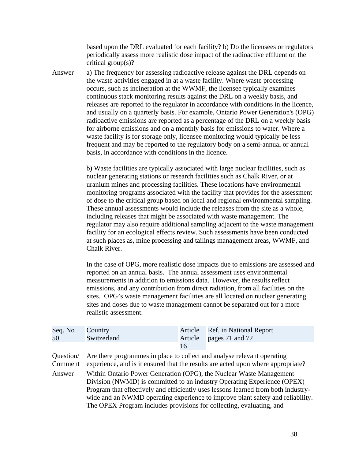critical group(s)? based upon the DRL evaluated for each facility? b) Do the licensees or regulators periodically assess more realistic dose impact of the radioactive effluent on the

Answer a) The frequency for assessing radioactive release against the DRL depends on the waste activities engaged in at a waste facility. Where waste processing occurs, such as incineration at the WWMF, the licensee typically examines continuous stack monitoring results against the DRL on a weekly basis, and releases are reported to the regulator in accordance with conditions in the licence, and usually on a quarterly basis. For example, Ontario Power Generation's (OPG) radioactive emissions are reported as a percentage of the DRL on a weekly basis for airborne emissions and on a monthly basis for emissions to water. Where a waste facility is for storage only, licensee monitoring would typically be less frequent and may be reported to the regulatory body on a semi-annual or annual basis, in accordance with conditions in the licence.

> b) Waste facilities are typically associated with large nuclear facilities, such as nuclear generating stations or research facilities such as Chalk River, or at uranium mines and processing facilities. These locations have environmental monitoring programs associated with the facility that provides for the assessment of dose to the critical group based on local and regional environmental sampling. These annual assessments would include the releases from the site as a whole, including releases that might be associated with waste management. The regulator may also require additional sampling adjacent to the waste management facility for an ecological effects review. Such assessments have been conducted at such places as, mine processing and tailings management areas, WWMF, and Chalk River.

> In the case of OPG, more realistic dose impacts due to emissions are assessed and reported on an annual basis. The annual assessment uses environmental measurements in addition to emissions data. However, the results reflect emissions, and any contribution from direct radiation, from all facilities on the sites. OPG's waste management facilities are all located on nuclear generating sites and doses due to waste management cannot be separated out for a more realistic assessment.

| Seq. No          | Country                                                                                                                                                                       |         | Article Ref. in National Report |  |  |
|------------------|-------------------------------------------------------------------------------------------------------------------------------------------------------------------------------|---------|---------------------------------|--|--|
| 50               | Switzerland                                                                                                                                                                   | Article | pages 71 and 72                 |  |  |
|                  |                                                                                                                                                                               | 16      |                                 |  |  |
|                  | Question/ Are there programmes in place to collect and analyse relevant operating<br>Comment experience, and is it ensured that the results are acted upon where appropriate? |         |                                 |  |  |
| $\Lambda$ now on | Within Optomo Dowar Congration (ODC) the Nuclear Waste Managament                                                                                                             |         |                                 |  |  |

Answer Within Ontario Power Generation (OPG), the Nuclear Waste Management Division (NWMD) is committed to an industry Operating Experience (OPEX) Program that effectively and efficiently uses lessons learned from both industrywide and an NWMD operating experience to improve plant safety and reliability. The OPEX Program includes provisions for collecting, evaluating, and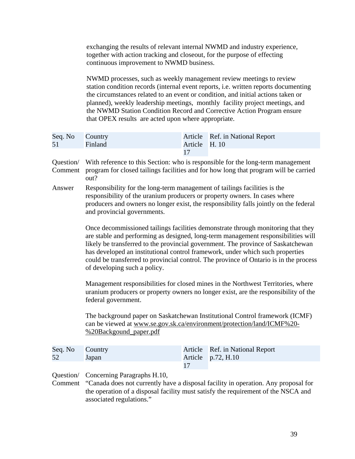exchanging the results of relevant internal NWMD and industry experience, together with action tracking and closeout, for the purpose of effecting continuous improvement to NWMD business.

NWMD processes, such as weekly management review meetings to review station condition records (internal event reports, i.e. written reports documenting the circumstances related to an event or condition, and initial actions taken or planned), weekly leadership meetings, monthly facility project meetings, and the NWMD Station Condition Record and Corrective Action Program ensure that OPEX results are acted upon where appropriate.

| Seq. No Country |         |               | Article Ref. in National Report |
|-----------------|---------|---------------|---------------------------------|
| 51              | Finland | Article H. 10 |                                 |
|                 |         |               |                                 |

- out? Question/ With reference to this Section: who is responsible for the long-term management Comment program for closed tailings facilities and for how long that program will be carried
- Answer Responsibility for the long-term management of tailings facilities is the responsibility of the uranium producers or property owners. In cases where producers and owners no longer exist, the responsibility falls jointly on the federal and provincial governments.

Once decommissioned tailings facilities demonstrate through monitoring that they are stable and performing as designed, long-term management responsibilities will likely be transferred to the provincial government. The province of Saskatchewan has developed an institutional control framework, under which such properties could be transferred to provincial control. The province of Ontario is in the process of developing such a policy.

Management responsibilities for closed mines in the Northwest Territories, where uranium producers or property owners no longer exist, are the responsibility of the federal government.

The background paper on Saskatchewan Institutional Control framework (ICMF) can be viewed at www.se.gov.sk.ca/environment/protection/land/ICMF%20 %20Backgound\_paper.pdf

| Seq. No Country |              | Article Ref. in National Report |
|-----------------|--------------|---------------------------------|
| 52              | <b>Japan</b> | Article $p.72, H.10$            |
|                 |              |                                 |

Question/ Concerning Paragraphs H.10,

Comment "Canada does not currently have a disposal facility in operation. Any proposal for the operation of a disposal facility must satisfy the requirement of the NSCA and associated regulations."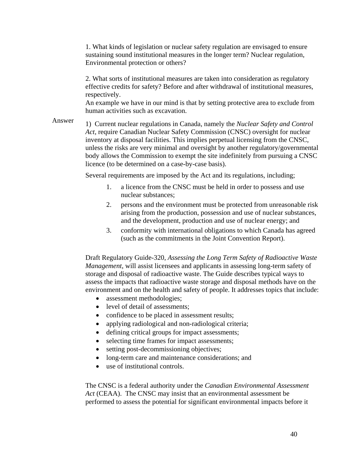Environmental protection or others? 1. What kinds of legislation or nuclear safety regulation are envisaged to ensure sustaining sound institutional measures in the longer term? Nuclear regulation,

2. What sorts of institutional measures are taken into consideration as regulatory effective credits for safety? Before and after withdrawal of institutional measures, respectively.

An example we have in our mind is that by setting protective area to exclude from human activities such as excavation.

Answer 1) Current nuclear regulations in Canada, namely the *Nuclear Safety and Control Act*, require Canadian Nuclear Safety Commission (CNSC) oversight for nuclear inventory at disposal facilities. This implies perpetual licensing from the CNSC, unless the risks are very minimal and oversight by another regulatory/governmental body allows the Commission to exempt the site indefinitely from pursuing a CNSC licence (to be determined on a case-by-case basis).

Several requirements are imposed by the Act and its regulations, including;

- 1. a licence from the CNSC must be held in order to possess and use nuclear substances;
- 2. persons and the environment must be protected from unreasonable risk arising from the production, possession and use of nuclear substances, and the development, production and use of nuclear energy; and
- 3. conformity with international obligations to which Canada has agreed (such as the commitments in the Joint Convention Report).

Draft Regulatory Guide-320, *Assessing the Long Term Safety of Radioactive Waste Management*, will assist licensees and applicants in assessing long-term safety of storage and disposal of radioactive waste. The Guide describes typical ways to assess the impacts that radioactive waste storage and disposal methods have on the environment and on the health and safety of people. It addresses topics that include:

- assessment methodologies;
- level of detail of assessments:
- confidence to be placed in assessment results;
- applying radiological and non-radiological criteria;
- defining critical groups for impact assessments;
- selecting time frames for impact assessments;
- setting post-decommissioning objectives;
- long-term care and maintenance considerations; and
- use of institutional controls.

The CNSC is a federal authority under the *Canadian Environmental Assessment Act* (CEAA). The CNSC may insist that an environmental assessment be performed to assess the potential for significant environmental impacts before it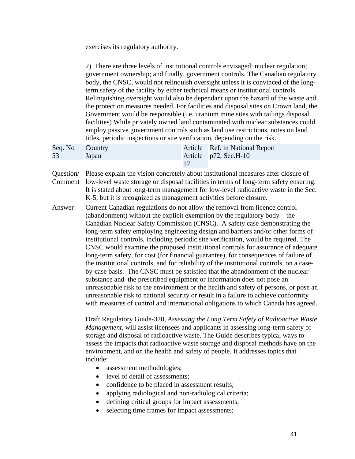exercises its regulatory authority.

|                      | 2) There are three levels of institutional controls envisaged: nuclear regulation;<br>government ownership; and finally, government controls. The Canadian regulatory<br>body, the CNSC, would not relinquish oversight unless it is convinced of the long-<br>term safety of the facility by either technical means or institutional controls.<br>Relinquishing oversight would also be dependant upon the hazard of the waste and<br>the protection measures needed. For facilities and disposal sites on Crown land, the<br>Government would be responsible (i.e. uranium mine sites with tailings disposal<br>facilities) While privately owned land contaminated with nuclear substances could<br>employ passive government controls such as land use restrictions, notes on land<br>titles, periodic inspections or site verification, depending on the risk.                                                                                                                                                                                                                                                                                                                              |                          |                                                                                                                                                                                                                                                                    |  |  |
|----------------------|--------------------------------------------------------------------------------------------------------------------------------------------------------------------------------------------------------------------------------------------------------------------------------------------------------------------------------------------------------------------------------------------------------------------------------------------------------------------------------------------------------------------------------------------------------------------------------------------------------------------------------------------------------------------------------------------------------------------------------------------------------------------------------------------------------------------------------------------------------------------------------------------------------------------------------------------------------------------------------------------------------------------------------------------------------------------------------------------------------------------------------------------------------------------------------------------------|--------------------------|--------------------------------------------------------------------------------------------------------------------------------------------------------------------------------------------------------------------------------------------------------------------|--|--|
| Seq. No<br>53        | Country<br>Japan                                                                                                                                                                                                                                                                                                                                                                                                                                                                                                                                                                                                                                                                                                                                                                                                                                                                                                                                                                                                                                                                                                                                                                                 | Article<br>Article<br>17 | Ref. in National Report<br>p72, Sec.H-10                                                                                                                                                                                                                           |  |  |
| Question/<br>Comment |                                                                                                                                                                                                                                                                                                                                                                                                                                                                                                                                                                                                                                                                                                                                                                                                                                                                                                                                                                                                                                                                                                                                                                                                  |                          | Please explain the vision concretely about institutional measures after closure of<br>low-level waste storage or disposal facilities in terms of long-term safety ensuring.<br>It is stated about long-term management for low-level radioactive waste in the Sec. |  |  |
| Answer               | K-5, but it is recognized as management activities before closure.<br>Current Canadian regulations do not allow the removal from licence control<br>(abandonment) without the explicit exemption by the regulatory body – the<br>Canadian Nuclear Safety Commission (CNSC). A safety case demonstrating the<br>long-term safety employing engineering design and barriers and/or other forms of<br>institutional controls, including periodic site verification, would be required. The<br>CNSC would examine the proposed institutional controls for assurance of adequate<br>long-term safety, for cost (for financial guarantee), for consequences of failure of<br>the institutional controls, and for reliability of the institutional controls, on a case-<br>by-case basis. The CNSC must be satisfied that the abandonment of the nuclear<br>substance and the prescribed equipment or information does not pose an<br>unreasonable risk to the environment or the health and safety of persons, or pose an<br>unreasonable risk to national security or result in a failure to achieve conformity<br>with measures of control and international obligations to which Canada has agreed. |                          |                                                                                                                                                                                                                                                                    |  |  |
|                      | Draft Regulatory Guide-320, Assessing the Long Term Safety of Radioactive Waste<br>Management, will assist licensees and applicants in assessing long-term safety of<br>storage and disposal of radioactive waste. The Guide describes typical ways to<br>assess the impacts that radioactive waste storage and disposal methods have on the<br>environment, and on the health and safety of people. It addresses topics that<br>include:<br>assessment methodologies;<br>level of detail of assessments;<br>$\bullet$<br>confidence to be placed in assessment results;<br>applying radiological and non-radiological criteria;                                                                                                                                                                                                                                                                                                                                                                                                                                                                                                                                                                 |                          |                                                                                                                                                                                                                                                                    |  |  |

- defining critical groups for impact assessments;
- selecting time frames for impact assessments;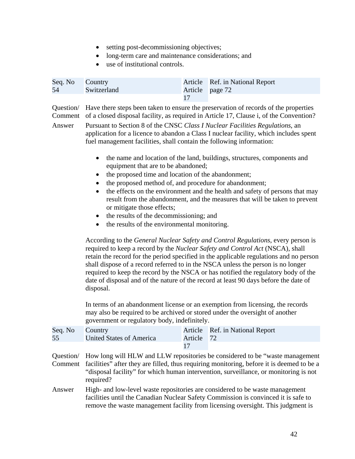- setting post-decommissioning objectives;
- long-term care and maintenance considerations; and
- use of institutional controls.

| Seq. No Country<br>54 | Switzerland | Article Ref. in National Report<br>Article page 72 |
|-----------------------|-------------|----------------------------------------------------|
|                       |             |                                                    |

Comment of a closed disposal facility, as required in Article 17, Clause i, of the Convention?<br>Answer Pursuant to Section 8 of the CNSC *Class I Nuclear Facilities Regulations*, an Question/ Have there steps been taken to ensure the preservation of records of the properties

application for a licence to abandon a Class I nuclear facility, which includes spent fuel management facilities, shall contain the following information:

- the name and location of the land, buildings, structures, components and equipment that are to be abandoned;
- the proposed time and location of the abandonment;
- the proposed method of, and procedure for abandonment;
- the effects on the environment and the health and safety of persons that may result from the abandonment, and the measures that will be taken to prevent or mitigate those effects;
- the results of the decommissioning; and
- the results of the environmental monitoring.

According to the *General Nuclear Safety and Control Regulations*, every person is required to keep a record by the *Nuclear Safety and Control Act* (NSCA), shall retain the record for the period specified in the applicable regulations and no person shall dispose of a record referred to in the NSCA unless the person is no longer required to keep the record by the NSCA or has notified the regulatory body of the date of disposal and of the nature of the record at least 90 days before the date of disposal.

In terms of an abandonment license or an exemption from licensing, the records may also be required to be archived or stored under the oversight of another government or regulatory body, indefinitely.

| Seq. No | Country                                                                                           |         | Article Ref. in National Report                                                         |  |
|---------|---------------------------------------------------------------------------------------------------|---------|-----------------------------------------------------------------------------------------|--|
| 55      | <b>United States of America</b>                                                                   | Article | <sup>72</sup>                                                                           |  |
|         |                                                                                                   |         |                                                                                         |  |
|         |                                                                                                   |         | Question/ How long will HLW and LLW repositories be considered to be "waste management" |  |
|         | Comment facilities" after they are filled, thus requiring monitoring, before it is deemed to be a |         |                                                                                         |  |
|         | "disposal facility" for which human intervention, surveillance, or monitoring is not              |         |                                                                                         |  |
|         | required?                                                                                         |         |                                                                                         |  |
| Answer  |                                                                                                   |         | High- and low-level waste repositories are considered to be waste management            |  |

facilities until the Canadian Nuclear Safety Commission is convinced it is safe to remove the waste management facility from licensing oversight. This judgment is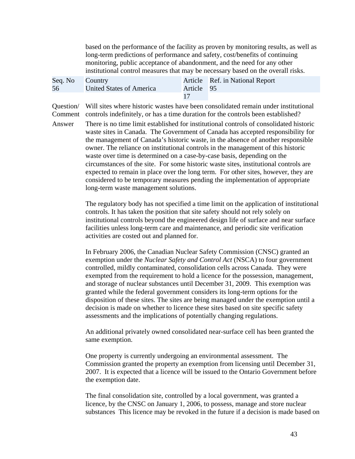based on the performance of the facility as proven by monitoring results, as well as long-term predictions of performance and safety, cost/benefits of continuing monitoring, public acceptance of abandonment, and the need for any other institutional control measures that may be necessary based on the overall risks.

| Seq. No Country |                          |            | Article Ref. in National Report |
|-----------------|--------------------------|------------|---------------------------------|
| 56              | United States of America | Article 95 |                                 |
|                 |                          |            |                                 |

 Comment controls indefinitely, or has a time duration for the controls been established? Answer There is no time limit established for institutional controls of consolidated historic Question/ Will sites where historic wastes have been consolidated remain under institutional

waste sites in Canada. The Government of Canada has accepted responsibility for the management of Canada's historic waste, in the absence of another responsible owner. The reliance on institutional controls in the management of this historic waste over time is determined on a case-by-case basis, depending on the circumstances of the site. For some historic waste sites, institutional controls are expected to remain in place over the long term. For other sites, however, they are considered to be temporary measures pending the implementation of appropriate long-term waste management solutions.

> The regulatory body has not specified a time limit on the application of institutional controls. It has taken the position that site safety should not rely solely on institutional controls beyond the engineered design life of surface and near surface facilities unless long-term care and maintenance, and periodic site verification activities are costed out and planned for.

In February 2006, the Canadian Nuclear Safety Commission (CNSC) granted an exemption under the *Nuclear Safety and Control Act* (NSCA) to four government controlled, mildly contaminated, consolidation cells across Canada. They were exempted from the requirement to hold a licence for the possession, management, and storage of nuclear substances until December 31, 2009. This exemption was granted while the federal government considers its long-term options for the disposition of these sites. The sites are being managed under the exemption until a decision is made on whether to licence these sites based on site specific safety assessments and the implications of potentially changing regulations.

An additional privately owned consolidated near-surface cell has been granted the same exemption.

One property is currently undergoing an environmental assessment. The Commission granted the property an exemption from licensing until December 31, 2007. It is expected that a licence will be issued to the Ontario Government before the exemption date.

The final consolidation site, controlled by a local government, was granted a licence, by the CNSC on January 1, 2006, to possess, manage and store nuclear substances This licence may be revoked in the future if a decision is made based on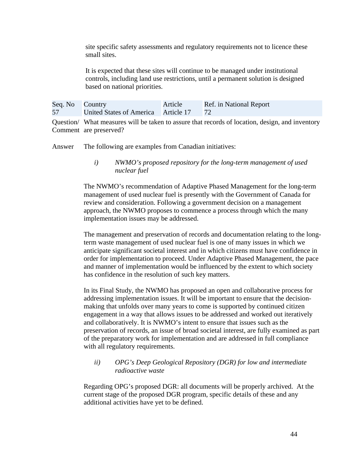site specific safety assessments and regulatory requirements not to licence these small sites.

It is expected that these sites will continue to be managed under institutional controls, including land use restrictions, until a permanent solution is designed based on national priorities.

| Seq. No Country |                                     | Article | Ref. in National Report |
|-----------------|-------------------------------------|---------|-------------------------|
| 57              | United States of America Article 17 |         |                         |

Question/ What measures will be taken to assure that records of location, design, and inventory Comment are preserved?

Answer The following are examples from Canadian initiatives:

*i) NWMO's proposed repository for the long-term management of used nuclear fuel* 

The NWMO's recommendation of Adaptive Phased Management for the long-term management of used nuclear fuel is presently with the Government of Canada for review and consideration. Following a government decision on a management approach, the NWMO proposes to commence a process through which the many implementation issues may be addressed.

The management and preservation of records and documentation relating to the longterm waste management of used nuclear fuel is one of many issues in which we anticipate significant societal interest and in which citizens must have confidence in order for implementation to proceed. Under Adaptive Phased Management, the pace and manner of implementation would be influenced by the extent to which society has confidence in the resolution of such key matters.

In its Final Study, the NWMO has proposed an open and collaborative process for addressing implementation issues. It will be important to ensure that the decisionmaking that unfolds over many years to come is supported by continued citizen engagement in a way that allows issues to be addressed and worked out iteratively and collaboratively. It is NWMO's intent to ensure that issues such as the preservation of records, an issue of broad societal interest, are fully examined as part of the preparatory work for implementation and are addressed in full compliance with all regulatory requirements.

## *ii) OPG's Deep Geological Repository (DGR) for low and intermediate radioactive waste*

Regarding OPG's proposed DGR: all documents will be properly archived. At the current stage of the proposed DGR program, specific details of these and any additional activities have yet to be defined.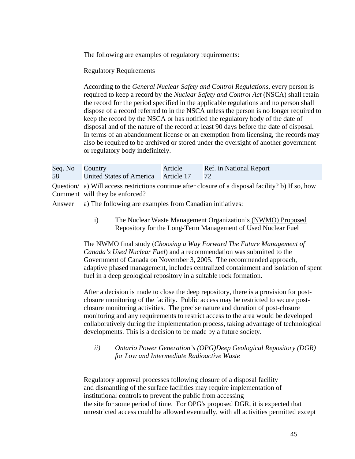The following are examples of regulatory requirements:

## Regulatory Requirements

According to the *General Nuclear Safety and Control Regulations*, every person is required to keep a record by the *Nuclear Safety and Control Act* (NSCA) shall retain the record for the period specified in the applicable regulations and no person shall dispose of a record referred to in the NSCA unless the person is no longer required to keep the record by the NSCA or has notified the regulatory body of the date of disposal and of the nature of the record at least 90 days before the date of disposal. In terms of an abandonment license or an exemption from licensing, the records may also be required to be archived or stored under the oversight of another government or regulatory body indefinitely.

| Seq. No Country |                                        | Article | Ref. in National Report |
|-----------------|----------------------------------------|---------|-------------------------|
| 58              | United States of America Article 17 72 |         |                         |

Question/ a) Will access restrictions continue after closure of a disposal facility? b) If so, how Comment will they be enforced?

Answer a) The following are examples from Canadian initiatives:

i) The Nuclear Waste Management Organization's (NWMO) Proposed Repository for the Long-Term Management of Used Nuclear Fuel

The NWMO final study (*Choosing a Way Forward The Future Management of Canada's Used Nuclear Fuel*) and a recommendation was submitted to the Government of Canada on November 3, 2005. The recommended approach, adaptive phased management, includes centralized containment and isolation of spent fuel in a deep geological repository in a suitable rock formation.

After a decision is made to close the deep repository, there is a provision for postclosure monitoring of the facility. Public access may be restricted to secure postclosure monitoring activities. The precise nature and duration of post-closure monitoring and any requirements to restrict access to the area would be developed collaboratively during the implementation process, taking advantage of technological developments. This is a decision to be made by a future society.

*ii) Ontario Power Generation's (OPG)Deep Geological Repository (DGR) for Low and Intermediate Radioactive Waste* 

Regulatory approval processes following closure of a disposal facility and dismantling of the surface facilities may require implementation of institutional controls to prevent the public from accessing the site for some period of time. For OPG's proposed DGR, it is expected that unrestricted access could be allowed eventually, with all activities permitted except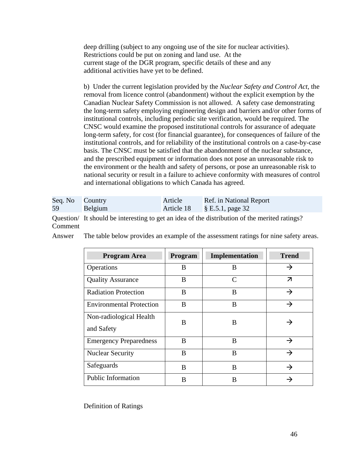deep drilling (subject to any ongoing use of the site for nuclear activities). Restrictions could be put on zoning and land use. At the current stage of the DGR program, specific details of these and any additional activities have yet to be defined.

b) Under the current legislation provided by the *Nuclear Safety and Control Act,* the removal from licence control (abandonment) without the explicit exemption by the Canadian Nuclear Safety Commission is not allowed. A safety case demonstrating the long-term safety employing engineering design and barriers and/or other forms of institutional controls, including periodic site verification, would be required. The CNSC would examine the proposed institutional controls for assurance of adequate long-term safety, for cost (for financial guarantee), for consequences of failure of the institutional controls, and for reliability of the institutional controls on a case-by-case basis. The CNSC must be satisfied that the abandonment of the nuclear substance, and the prescribed equipment or information does not pose an unreasonable risk to the environment or the health and safety of persons, or pose an unreasonable risk to national security or result in a failure to achieve conformity with measures of control and international obligations to which Canada has agreed.

| Seq. No Country |         | Article    | Ref. in National Report |
|-----------------|---------|------------|-------------------------|
| 59              | Belgium | Article 18 | $\S$ E.5.1, page 32     |

 Question/ It should be interesting to get an idea of the distribution of the merited ratings? Comment

Answer The table below provides an example of the assessment ratings for nine safety areas.

| <b>Program Area</b>                   | Program | Implementation              | <b>Trend</b>            |
|---------------------------------------|---------|-----------------------------|-------------------------|
| Operations                            | B       | B                           | →                       |
| <b>Quality Assurance</b>              | B       | $\mathcal{C}_{\mathcal{C}}$ | $\overline{\mathbf{z}}$ |
| <b>Radiation Protection</b>           | B       | B                           | →                       |
| <b>Environmental Protection</b>       | B       | B                           | →                       |
| Non-radiological Health<br>and Safety | B       | B                           |                         |
| <b>Emergency Preparedness</b>         | B       | B                           | →                       |
| <b>Nuclear Security</b>               | B       | B                           | $\rightarrow$           |
| Safeguards                            | B       | B                           | →                       |
| Public Information                    | B       | B                           |                         |

Definition of Ratings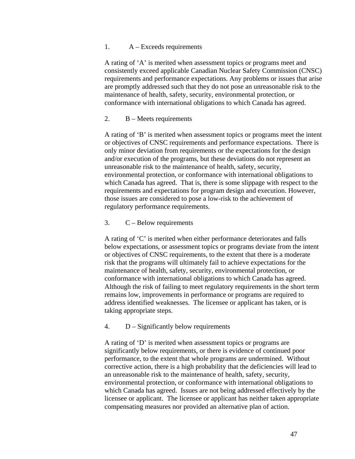## 1. A – Exceeds requirements

A rating of 'A' is merited when assessment topics or programs meet and consistently exceed applicable Canadian Nuclear Safety Commission (CNSC) requirements and performance expectations. Any problems or issues that arise are promptly addressed such that they do not pose an unreasonable risk to the maintenance of health, safety, security, environmental protection, or conformance with international obligations to which Canada has agreed.

## 2. B – Meets requirements

A rating of 'B' is merited when assessment topics or programs meet the intent or objectives of CNSC requirements and performance expectations. There is only minor deviation from requirements or the expectations for the design and/or execution of the programs, but these deviations do not represent an unreasonable risk to the maintenance of health, safety, security, environmental protection, or conformance with international obligations to which Canada has agreed. That is, there is some slippage with respect to the requirements and expectations for program design and execution. However, those issues are considered to pose a low-risk to the achievement of regulatory performance requirements.

## 3. C – Below requirements

A rating of 'C' is merited when either performance deteriorates and falls below expectations, or assessment topics or programs deviate from the intent or objectives of CNSC requirements, to the extent that there is a moderate risk that the programs will ultimately fail to achieve expectations for the maintenance of health, safety, security, environmental protection, or conformance with international obligations to which Canada has agreed. Although the risk of failing to meet regulatory requirements in the short term remains low, improvements in performance or programs are required to address identified weaknesses. The licensee or applicant has taken, or is taking appropriate steps.

## 4. D – Significantly below requirements

A rating of 'D' is merited when assessment topics or programs are significantly below requirements, or there is evidence of continued poor performance, to the extent that whole programs are undermined. Without corrective action, there is a high probability that the deficiencies will lead to an unreasonable risk to the maintenance of health, safety, security, environmental protection, or conformance with international obligations to which Canada has agreed. Issues are not being addressed effectively by the licensee or applicant. The licensee or applicant has neither taken appropriate compensating measures nor provided an alternative plan of action.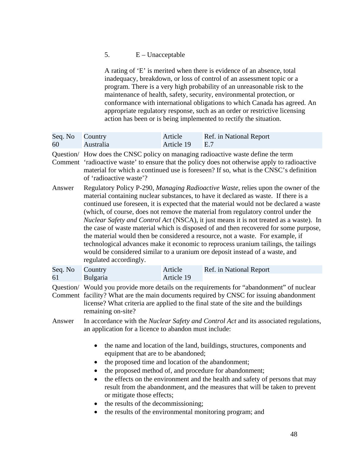# 5.  $E - Unacceptable$

A rating of 'E' is merited when there is evidence of an absence, total inadequacy, breakdown, or loss of control of an assessment topic or a program. There is a very high probability of an unreasonable risk to the maintenance of health, safety, security, environmental protection, or conformance with international obligations to which Canada has agreed. An appropriate regulatory response, such as an order or restrictive licensing action has been or is being implemented to rectify the situation.

| Seq. No<br>60 | Country<br>Australia                                                                                                                                                                                                                                                                                                                                                                                                                                                                                                                                                                                                                                                | Article<br>Article 19                                                                                                                                                                                                                                                                                                                                                                                                                                                                                                                                                                                                                                                                                                                                                                                     | Ref. in National Report<br>E.7                                                                                                                                                                                                                                            |  |
|---------------|---------------------------------------------------------------------------------------------------------------------------------------------------------------------------------------------------------------------------------------------------------------------------------------------------------------------------------------------------------------------------------------------------------------------------------------------------------------------------------------------------------------------------------------------------------------------------------------------------------------------------------------------------------------------|-----------------------------------------------------------------------------------------------------------------------------------------------------------------------------------------------------------------------------------------------------------------------------------------------------------------------------------------------------------------------------------------------------------------------------------------------------------------------------------------------------------------------------------------------------------------------------------------------------------------------------------------------------------------------------------------------------------------------------------------------------------------------------------------------------------|---------------------------------------------------------------------------------------------------------------------------------------------------------------------------------------------------------------------------------------------------------------------------|--|
|               | of 'radioactive waste'?                                                                                                                                                                                                                                                                                                                                                                                                                                                                                                                                                                                                                                             |                                                                                                                                                                                                                                                                                                                                                                                                                                                                                                                                                                                                                                                                                                                                                                                                           | Question/ How does the CNSC policy on managing radioactive waste define the term<br>Comment 'radioactive waste' to ensure that the policy does not otherwise apply to radioactive<br>material for which a continued use is foreseen? If so, what is the CNSC's definition |  |
| Answer        | regulated accordingly.                                                                                                                                                                                                                                                                                                                                                                                                                                                                                                                                                                                                                                              | Regulatory Policy P-290, Managing Radioactive Waste, relies upon the owner of the<br>material containing nuclear substances, to have it declared as waste. If there is a<br>continued use foreseen, it is expected that the material would not be declared a waste<br>(which, of course, does not remove the material from regulatory control under the<br><i>Nuclear Safety and Control Act</i> (NSCA), it just means it is not treated as a waste). In<br>the case of waste material which is disposed of and then recovered for some purpose,<br>the material would then be considered a resource, not a waste. For example, if<br>technological advances make it economic to reprocess uranium tailings, the tailings<br>would be considered similar to a uranium ore deposit instead of a waste, and |                                                                                                                                                                                                                                                                           |  |
| Seq. No<br>61 | Country<br>Bulgaria                                                                                                                                                                                                                                                                                                                                                                                                                                                                                                                                                                                                                                                 | Article<br>Article 19                                                                                                                                                                                                                                                                                                                                                                                                                                                                                                                                                                                                                                                                                                                                                                                     | Ref. in National Report                                                                                                                                                                                                                                                   |  |
|               | remaining on-site?                                                                                                                                                                                                                                                                                                                                                                                                                                                                                                                                                                                                                                                  | Question/ Would you provide more details on the requirements for "abandonment" of nuclear<br>Comment facility? What are the main documents required by CNSC for issuing abandonment<br>license? What criteria are applied to the final state of the site and the buildings                                                                                                                                                                                                                                                                                                                                                                                                                                                                                                                                |                                                                                                                                                                                                                                                                           |  |
| Answer        | In accordance with the <i>Nuclear Safety and Control Act</i> and its associated regulations,<br>an application for a licence to abandon must include:<br>the name and location of the land, buildings, structures, components and<br>$\bullet$<br>equipment that are to be abandoned;<br>the proposed time and location of the abandonment;<br>$\bullet$<br>the proposed method of, and procedure for abandonment;<br>the effects on the environment and the health and safety of persons that may<br>$\bullet$<br>result from the abandonment, and the measures that will be taken to prevent<br>or mitigate those effects;<br>the results of the decommissioning; |                                                                                                                                                                                                                                                                                                                                                                                                                                                                                                                                                                                                                                                                                                                                                                                                           |                                                                                                                                                                                                                                                                           |  |
|               |                                                                                                                                                                                                                                                                                                                                                                                                                                                                                                                                                                                                                                                                     |                                                                                                                                                                                                                                                                                                                                                                                                                                                                                                                                                                                                                                                                                                                                                                                                           |                                                                                                                                                                                                                                                                           |  |
|               | $\bullet$<br>the results of the environmental monitoring program; and<br>$\bullet$                                                                                                                                                                                                                                                                                                                                                                                                                                                                                                                                                                                  |                                                                                                                                                                                                                                                                                                                                                                                                                                                                                                                                                                                                                                                                                                                                                                                                           |                                                                                                                                                                                                                                                                           |  |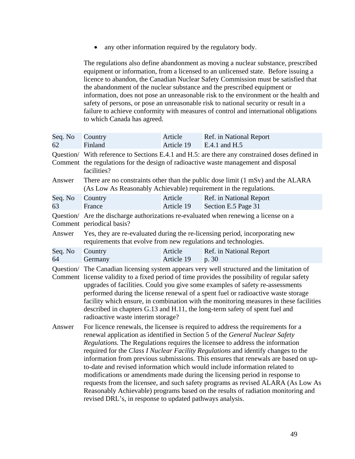• any other information required by the regulatory body.

The regulations also define abandonment as moving a nuclear substance, prescribed equipment or information, from a licensed to an unlicensed state. Before issuing a licence to abandon, the Canadian Nuclear Safety Commission must be satisfied that the abandonment of the nuclear substance and the prescribed equipment or information, does not pose an unreasonable risk to the environment or the health and safety of persons, or pose an unreasonable risk to national security or result in a failure to achieve conformity with measures of control and international obligations to which Canada has agreed.

| Seq. No<br>62 | Country<br>Finland                                                                                                                                                                                                                                                                                                                                                                                                                                                                                                                                                                                                                                                                                                                                                                                                                                                  | Article<br>Article 19 | Ref. in National Report<br>E.4.1 and H.5                                             |  |
|---------------|---------------------------------------------------------------------------------------------------------------------------------------------------------------------------------------------------------------------------------------------------------------------------------------------------------------------------------------------------------------------------------------------------------------------------------------------------------------------------------------------------------------------------------------------------------------------------------------------------------------------------------------------------------------------------------------------------------------------------------------------------------------------------------------------------------------------------------------------------------------------|-----------------------|--------------------------------------------------------------------------------------|--|
|               | Question/ With reference to Sections E.4.1 and H.5: are there any constrained doses defined in<br>Comment the regulations for the design of radioactive waste management and disposal<br>facilities?                                                                                                                                                                                                                                                                                                                                                                                                                                                                                                                                                                                                                                                                |                       |                                                                                      |  |
| Answer        | (As Low As Reasonably Achievable) requirement in the regulations.                                                                                                                                                                                                                                                                                                                                                                                                                                                                                                                                                                                                                                                                                                                                                                                                   |                       | There are no constraints other than the public dose limit (1 mSv) and the ALARA      |  |
| Seq. No<br>63 | Country<br>France                                                                                                                                                                                                                                                                                                                                                                                                                                                                                                                                                                                                                                                                                                                                                                                                                                                   | Article<br>Article 19 | Ref. in National Report<br>Section E.5 Page 31                                       |  |
|               | Comment periodical basis?                                                                                                                                                                                                                                                                                                                                                                                                                                                                                                                                                                                                                                                                                                                                                                                                                                           |                       | Question/ Are the discharge authorizations re-evaluated when renewing a license on a |  |
| Answer        | requirements that evolve from new regulations and technologies.                                                                                                                                                                                                                                                                                                                                                                                                                                                                                                                                                                                                                                                                                                                                                                                                     |                       | Yes, they are re-evaluated during the re-licensing period, incorporating new         |  |
| Seq. No<br>64 | Country<br>Germany                                                                                                                                                                                                                                                                                                                                                                                                                                                                                                                                                                                                                                                                                                                                                                                                                                                  | Article<br>Article 19 | Ref. in National Report<br>p. 30                                                     |  |
|               | Question/ The Canadian licensing system appears very well structured and the limitation of<br>Comment license validity to a fixed period of time provides the possibility of regular safety<br>upgrades of facilities. Could you give some examples of safety re-assessments<br>performed during the license renewal of a spent fuel or radioactive waste storage<br>facility which ensure, in combination with the monitoring measures in these facilities<br>described in chapters G.13 and H.11, the long-term safety of spent fuel and                                                                                                                                                                                                                                                                                                                          |                       |                                                                                      |  |
| Answer        | radioactive waste interim storage?<br>For licence renewals, the licensee is required to address the requirements for a<br>renewal application as identified in Section 5 of the General Nuclear Safety<br>Regulations. The Regulations requires the licensee to address the information<br>required for the Class I Nuclear Facility Regulations and identify changes to the<br>information from previous submissions. This ensures that renewals are based on up-<br>to-date and revised information which would include information related to<br>modifications or amendments made during the licensing period in response to<br>requests from the licensee, and such safety programs as revised ALARA (As Low As<br>Reasonably Achievable) programs based on the results of radiation monitoring and<br>revised DRL's, in response to updated pathways analysis. |                       |                                                                                      |  |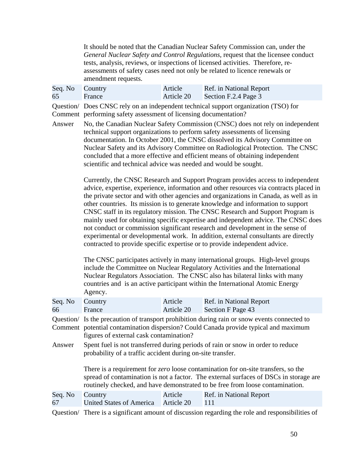It should be noted that the Canadian Nuclear Safety Commission can, under the *General Nuclear Safety and Control Regulations,* request that the licensee conduct tests, analysis, reviews, or inspections of licensed activities. Therefore, reassessments of safety cases need not only be related to licence renewals or amendment requests.

| Seq. No Country |        | Article    | Ref. in National Report |
|-----------------|--------|------------|-------------------------|
| 65              | France | Article 20 | Section F.2.4 Page 3    |

 Comment performing safety assessment of licensing documentation? Question/ Does CNSC rely on an independent technical support organization (TSO) for

Answer No, the Canadian Nuclear Safety Commission (CNSC) does not rely on independent technical support organizations to perform safety assessments of licensing documentation. In October 2001, the CNSC dissolved its Advisory Committee on Nuclear Safety and its Advisory Committee on Radiological Protection. The CNSC concluded that a more effective and efficient means of obtaining independent scientific and technical advice was needed and would be sought.

> Currently, the CNSC Research and Support Program provides access to independent advice, expertise, experience, information and other resources via contracts placed in the private sector and with other agencies and organizations in Canada, as well as in other countries. Its mission is to generate knowledge and information to support CNSC staff in its regulatory mission. The CNSC Research and Support Program is mainly used for obtaining specific expertise and independent advice. The CNSC does not conduct or commission significant research and development in the sense of experimental or developmental work. In addition, external consultants are directly contracted to provide specific expertise or to provide independent advice.

The CNSC participates actively in many international groups. High-level groups include the Committee on Nuclear Regulatory Activities and the International Nuclear Regulators Association. The CNSC also has bilateral links with many countries and is an active participant within the International Atomic Energy Agency.

| Seq. No<br>66 | Country<br>France                                                                                                                                                                                                               | Article<br>Article 20 | Ref. in National Report<br>Section F Page 43                                                                                                                                                                                                                       |  |  |
|---------------|---------------------------------------------------------------------------------------------------------------------------------------------------------------------------------------------------------------------------------|-----------------------|--------------------------------------------------------------------------------------------------------------------------------------------------------------------------------------------------------------------------------------------------------------------|--|--|
|               | Question/ Is the precaution of transport prohibition during rain or snow events connected to<br>Comment potential contamination dispersion? Could Canada provide typical and maximum<br>figures of external cask contamination? |                       |                                                                                                                                                                                                                                                                    |  |  |
| Answer        | Spent fuel is not transferred during periods of rain or snow in order to reduce<br>probability of a traffic accident during on-site transfer.                                                                                   |                       |                                                                                                                                                                                                                                                                    |  |  |
|               |                                                                                                                                                                                                                                 |                       | There is a requirement for <i>zero</i> loose contamination for on-site transfers, so the<br>spread of contamination is not a factor. The external surfaces of DSCs in storage are<br>routinely checked, and have demonstrated to be free from loose contamination. |  |  |
| Seq. No<br>67 | Country<br><b>United States of America</b>                                                                                                                                                                                      | Article<br>Article 20 | Ref. in National Report<br>111                                                                                                                                                                                                                                     |  |  |

Question/ There is a significant amount of discussion regarding the role and responsibilities of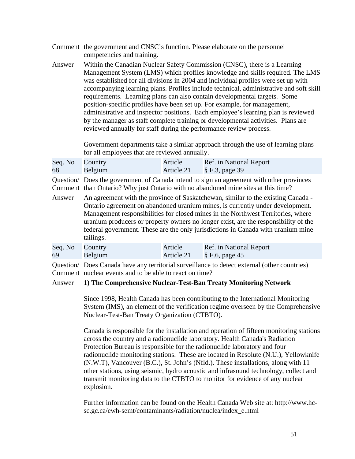| Comment the government and CNSC's function. Please elaborate on the personnel |
|-------------------------------------------------------------------------------|
| competencies and training.                                                    |

Answer Within the Canadian Nuclear Safety Commission (CNSC), there is a Learning Management System (LMS) which profiles knowledge and skills required. The LMS was established for all divisions in 2004 and individual profiles were set up with accompanying learning plans. Profiles include technical, administrative and soft skill requirements. Learning plans can also contain developmental targets. Some position-specific profiles have been set up. For example, for management, administrative and inspector positions. Each employee's learning plan is reviewed by the manager as staff complete training or developmental activities. Plans are reviewed annually for staff during the performance review process.

> Government departments take a similar approach through the use of learning plans for all employees that are reviewed annually.

| Seq. No Country |         | Article    | Ref. in National Report      |
|-----------------|---------|------------|------------------------------|
| 68              | Belgium | Article 21 | $\frac{1}{2}$ S F.3, page 39 |

 Comment than Ontario? Why just Ontario with no abandoned mine sites at this time? Answer An agreement with the province of Saskatchewan, similar to the existing Canada - Question/ Does the government of Canada intend to sign an agreement with other provinces

Ontario agreement on abandoned uranium mines, is currently under development. Management responsibilities for closed mines in the Northwest Territories, where uranium producers or property owners no longer exist, are the responsibility of the federal government. These are the only jurisdictions in Canada with uranium mine tailings.

| Seq. No Country |         | Article | Ref. in National Report      |
|-----------------|---------|---------|------------------------------|
| 69              | Belgium |         | Article 21 $\S$ F.6, page 45 |
|                 |         |         |                              |

Question/ Does Canada have any territorial surveillance to detect external (other countries) Comment nuclear events and to be able to react on time?

#### Answer **1) The Comprehensive Nuclear-Test-Ban Treaty Monitoring Network**

Since 1998, Health Canada has been contributing to the International Monitoring System (IMS), an element of the verification regime overseen by the Comprehensive Nuclear-Test-Ban Treaty Organization (CTBTO).

Canada is responsible for the installation and operation of fifteen monitoring stations across the country and a radionuclide laboratory. Health Canada's Radiation Protection Bureau is responsible for the radionuclide laboratory and four radionuclide monitoring stations. These are located in Resolute (N.U.), Yellowknife (N.W.T), Vancouver (B.C.), St. John's (Nfld.). These installations, along with 11 other stations, using seismic, hydro acoustic and infrasound technology, collect and transmit monitoring data to the CTBTO to monitor for evidence of any nuclear explosion.

Further information can be found on the Health Canada Web site at: http://www.hcsc.gc.ca/ewh-semt/contaminants/radiation/nuclea/index\_e.html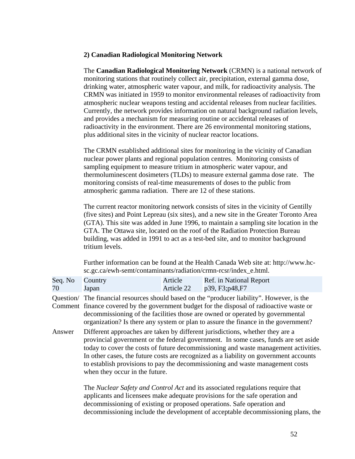## **2) Canadian Radiological Monitoring Network**

The **Canadian Radiological Monitoring Network** (CRMN) is a national network of monitoring stations that routinely collect air, precipitation, external gamma dose, drinking water, atmospheric water vapour, and milk, for radioactivity analysis. The CRMN was initiated in 1959 to monitor environmental releases of radioactivity from atmospheric nuclear weapons testing and accidental releases from nuclear facilities. Currently, the network provides information on natural background radiation levels, and provides a mechanism for measuring routine or accidental releases of radioactivity in the environment. There are 26 environmental monitoring stations, plus additional sites in the vicinity of nuclear reactor locations.

The CRMN established additional sites for monitoring in the vicinity of Canadian nuclear power plants and regional population centres. Monitoring consists of sampling equipment to measure tritium in atmospheric water vapour, and thermoluminescent dosimeters (TLDs) to measure external gamma dose rate. The monitoring consists of real-time measurements of doses to the public from atmospheric gamma radiation. There are 12 of these stations.

The current reactor monitoring network consists of sites in the vicinity of Gentilly (five sites) and Point Lepreau (six sites), and a new site in the Greater Toronto Area (GTA). This site was added in June 1996, to maintain a sampling site location in the GTA. The Ottawa site, located on the roof of the Radiation Protection Bureau building, was added in 1991 to act as a test-bed site, and to monitor background tritium levels.

Further information can be found at the Health Canada Web site at: http://www.hcsc.gc.ca/ewh-semt/contaminants/radiation/crmn-rcsr/index\_e.html.

| Seq. No | Country                        | Article    | Ref. in National Report                                                                                                                                                                                                                                                                                                                                                                                                               |
|---------|--------------------------------|------------|---------------------------------------------------------------------------------------------------------------------------------------------------------------------------------------------------------------------------------------------------------------------------------------------------------------------------------------------------------------------------------------------------------------------------------------|
| 70      | Japan                          | Article 22 | p39, F3;p48,F7                                                                                                                                                                                                                                                                                                                                                                                                                        |
|         |                                |            | Question/ The financial resources should based on the "producer liability". However, is the<br>Comment finance covered by the government budget for the disposal of radioactive waste or<br>decommissioning of the facilities those are owned or operated by governmental<br>organization? Is there any system or plan to assure the finance in the government?                                                                       |
| Answer  | when they occur in the future. |            | Different approaches are taken by different jurisdictions, whether they are a<br>provincial government or the federal government. In some cases, funds are set aside<br>today to cover the costs of future decommissioning and waste management activities.<br>In other cases, the future costs are recognized as a liability on government accounts<br>to establish provisions to pay the decommissioning and waste management costs |

The *Nuclear Safety and Control Act* and its associated regulations require that applicants and licensees make adequate provisions for the safe operation and decommissioning of existing or proposed operations. Safe operation and decommissioning include the development of acceptable decommissioning plans, the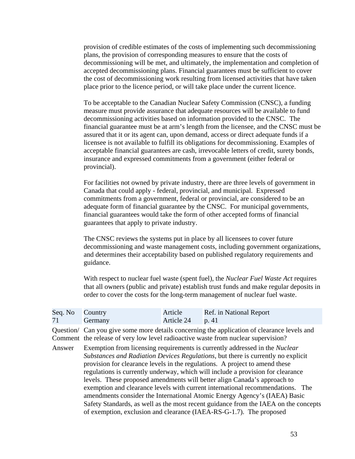provision of credible estimates of the costs of implementing such decommissioning plans, the provision of corresponding measures to ensure that the costs of decommissioning will be met, and ultimately, the implementation and completion of accepted decommissioning plans. Financial guarantees must be sufficient to cover the cost of decommissioning work resulting from licensed activities that have taken place prior to the licence period, or will take place under the current licence.

To be acceptable to the Canadian Nuclear Safety Commission (CNSC), a funding measure must provide assurance that adequate resources will be available to fund decommissioning activities based on information provided to the CNSC. The financial guarantee must be at arm's length from the licensee, and the CNSC must be assured that it or its agent can, upon demand, access or direct adequate funds if a licensee is not available to fulfill its obligations for decommissioning. Examples of acceptable financial guarantees are cash, irrevocable letters of credit, surety bonds, insurance and expressed commitments from a government (either federal or provincial).

For facilities not owned by private industry, there are three levels of government in Canada that could apply - federal, provincial, and municipal. Expressed commitments from a government, federal or provincial, are considered to be an adequate form of financial guarantee by the CNSC. For municipal governments, financial guarantees would take the form of other accepted forms of financial guarantees that apply to private industry.

The CNSC reviews the systems put in place by all licensees to cover future decommissioning and waste management costs, including government organizations, and determines their acceptability based on published regulatory requirements and guidance.

With respect to nuclear fuel waste (spent fuel), the *Nuclear Fuel Waste Act* requires that all owners (public and private) establish trust funds and make regular deposits in order to cover the costs for the long-term management of nuclear fuel waste.

| Seq. No Country |                | Article           | Ref. in National Report |
|-----------------|----------------|-------------------|-------------------------|
| 71              | <b>Germany</b> | Article 24 $p.41$ |                         |

 Comment the release of very low level radioactive waste from nuclear supervision? Answer Exemption from licensing requirements is currently addressed in the *Nuclear*  Question/ Can you give some more details concerning the application of clearance levels and

*Substances and Radiation Devices Regulations*, but there is currently no explicit provision for clearance levels in the regulations. A project to amend these regulations is currently underway, which will include a provision for clearance levels. These proposed amendments will better align Canada's approach to exemption and clearance levels with current international recommendations. The amendments consider the International Atomic Energy Agency's (IAEA) Basic Safety Standards, as well as the most recent guidance from the IAEA on the concepts of exemption, exclusion and clearance (IAEA-RS-G-1.7). The proposed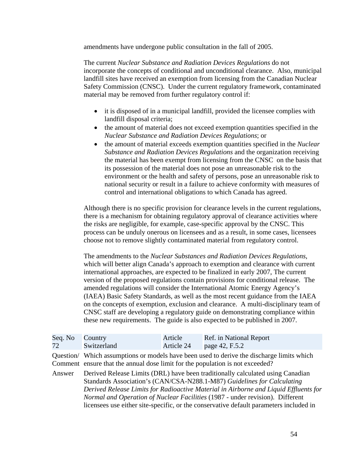amendments have undergone public consultation in the fall of 2005.

The current *Nuclear Substance and Radiation Devices Regulations* do not incorporate the concepts of conditional and unconditional clearance. Also, municipal landfill sites have received an exemption from licensing from the Canadian Nuclear Safety Commission (CNSC). Under the current regulatory framework, contaminated material may be removed from further regulatory control if:

- it is disposed of in a municipal landfill, provided the licensee complies with landfill disposal criteria;
- *Nuclear Substance and Radiation Devices Regulations*; or • the amount of material does not exceed exemption quantities specified in the
- the amount of material exceeds exemption quantities specified in the *Nuclear Substance and Radiation Devices Regulations* and the organization receiving the material has been exempt from licensing from the CNSC on the basis that its possession of the material does not pose an unreasonable risk to the environment or the health and safety of persons, pose an unreasonable risk to national security or result in a failure to achieve conformity with measures of control and international obligations to which Canada has agreed.

Although there is no specific provision for clearance levels in the current regulations, there is a mechanism for obtaining regulatory approval of clearance activities where the risks are negligible, for example, case-specific approval by the CNSC. This process can be unduly onerous on licensees and as a result, in some cases, licensees choose not to remove slightly contaminated material from regulatory control.

The amendments to the *Nuclear Substances and Radiation Devices Regulations*, which will better align Canada's approach to exemption and clearance with current international approaches, are expected to be finalized in early 2007, The current version of the proposed regulations contain provisions for conditional release. The amended regulations will consider the International Atomic Energy Agency's (IAEA) Basic Safety Standards, as well as the most recent guidance from the IAEA on the concepts of exemption, exclusion and clearance. A multi-disciplinary team of CNSC staff are developing a regulatory guide on demonstrating compliance within these new requirements. The guide is also expected to be published in 2007.

| Seq. No<br>72 | Country<br>Switzerland                                                        | Article<br>Article 24 | Ref. in National Report<br>page 42, F.5.2                                                                                                                                                                                                                                                                                                                                                                                    |
|---------------|-------------------------------------------------------------------------------|-----------------------|------------------------------------------------------------------------------------------------------------------------------------------------------------------------------------------------------------------------------------------------------------------------------------------------------------------------------------------------------------------------------------------------------------------------------|
|               | Comment ensure that the annual dose limit for the population is not exceeded? |                       | Question/ Which assumptions or models have been used to derive the discharge limits which                                                                                                                                                                                                                                                                                                                                    |
| Answer        |                                                                               |                       | Derived Release Limits (DRL) have been traditionally calculated using Canadian<br>Standards Association's (CAN/CSA-N288.1-M87) Guidelines for Calculating<br>Derived Release Limits for Radioactive Material in Airborne and Liquid Effluents for<br>Normal and Operation of Nuclear Facilities (1987 - under revision). Different<br>licensees use either site-specific, or the conservative default parameters included in |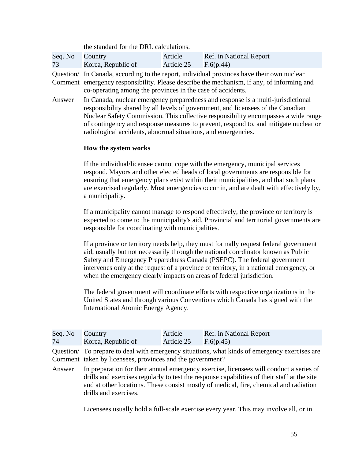|                 | the standard for the DRL calculations. |            |                         |  |
|-----------------|----------------------------------------|------------|-------------------------|--|
| Seq. No Country | Korea, Republic of                     | Article    | Ref. in National Report |  |
| 73              |                                        | Article 25 | F.6(p.44)               |  |

Question/ In Canada, according to the report, individual provinces have their own nuclear Comment emergency responsibility. Please describe the mechanism, if any, of informing and co-operating among the provinces in the case of accidents.

Answer In Canada, nuclear emergency preparedness and response is a multi-jurisdictional responsibility shared by all levels of government, and licensees of the Canadian Nuclear Safety Commission. This collective responsibility encompasses a wide range of contingency and response measures to prevent, respond to, and mitigate nuclear or radiological accidents, abnormal situations, and emergencies.

## **How the system works**

If the individual/licensee cannot cope with the emergency, municipal services respond. Mayors and other elected heads of local governments are responsible for ensuring that emergency plans exist within their municipalities, and that such plans are exercised regularly. Most emergencies occur in, and are dealt with effectively by, a municipality.

If a municipality cannot manage to respond effectively, the province or territory is expected to come to the municipality's aid. Provincial and territorial governments are responsible for coordinating with municipalities.

If a province or territory needs help, they must formally request federal government aid, usually but not necessarily through the national coordinator known as Public Safety and Emergency Preparedness Canada (PSEPC). The federal government intervenes only at the request of a province of territory, in a national emergency, or when the emergency clearly impacts on areas of federal jurisdiction.

The federal government will coordinate efforts with respective organizations in the United States and through various Conventions which Canada has signed with the International Atomic Energy Agency.

| Seq. No Country |                    | Article    | Ref. in National Report |
|-----------------|--------------------|------------|-------------------------|
| 74              | Korea, Republic of | Article 25 | F.6(p.45)               |

Comment taken by licensees, provinces and the government? Question/ To prepare to deal with emergency situations, what kinds of emergency exercises are

Answer In preparation for their annual emergency exercise, licensees will conduct a series of drills and exercises regularly to test the response capabilities of their staff at the site and at other locations. These consist mostly of medical, fire, chemical and radiation drills and exercises.

Licensees usually hold a full-scale exercise every year. This may involve all, or in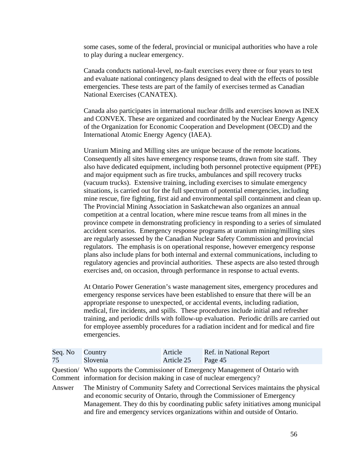some cases, some of the federal, provincial or municipal authorities who have a role to play during a nuclear emergency.

Canada conducts national-level, no-fault exercises every three or four years to test and evaluate national contingency plans designed to deal with the effects of possible emergencies. These tests are part of the family of exercises termed as Canadian National Exercises (CANATEX).

Canada also participates in international nuclear drills and exercises known as INEX and CONVEX. These are organized and coordinated by the Nuclear Energy Agency of the Organization for Economic Cooperation and Development (OECD) and the International Atomic Energy Agency (IAEA).

Uranium Mining and Milling sites are unique because of the remote locations. Consequently all sites have emergency response teams, drawn from site staff. They also have dedicated equipment, including both personnel protective equipment (PPE) and major equipment such as fire trucks, ambulances and spill recovery trucks (vacuum trucks). Extensive training, including exercises to simulate emergency situations, is carried out for the full spectrum of potential emergencies, including mine rescue, fire fighting, first aid and environmental spill containment and clean up. The Provincial Mining Association in Saskatchewan also organizes an annual competition at a central location, where mine rescue teams from all mines in the province compete in demonstrating proficiency in responding to a series of simulated accident scenarios. Emergency response programs at uranium mining/milling sites are regularly assessed by the Canadian Nuclear Safety Commission and provincial regulators. The emphasis is on operational response, however emergency response plans also include plans for both internal and external communications, including to regulatory agencies and provincial authorities. These aspects are also tested through exercises and, on occasion, through performance in response to actual events.

At Ontario Power Generation's waste management sites, emergency procedures and emergency response services have been established to ensure that there will be an appropriate response to unexpected, or accidental events, including radiation, medical, fire incidents, and spills. These procedures include initial and refresher training, and periodic drills with follow-up evaluation. Periodic drills are carried out for employee assembly procedures for a radiation incident and for medical and fire emergencies.

| Seq. No<br>75 | Country<br>Slovenia                                                                                                                                      | Article<br>Article 25 | Ref. in National Report<br>Page 45                                                                                                                                                                                                                                                                                                 |  |  |
|---------------|----------------------------------------------------------------------------------------------------------------------------------------------------------|-----------------------|------------------------------------------------------------------------------------------------------------------------------------------------------------------------------------------------------------------------------------------------------------------------------------------------------------------------------------|--|--|
|               | Question/ Who supports the Commissioner of Emergency Management of Ontario with<br>Comment information for decision making in case of nuclear emergency? |                       |                                                                                                                                                                                                                                                                                                                                    |  |  |
| Answer        |                                                                                                                                                          |                       | The Ministry of Community Safety and Correctional Services maintains the physical<br>and economic security of Ontario, through the Commissioner of Emergency<br>Management. They do this by coordinating public safety initiatives among municipal<br>and fire and emergency services organizations within and outside of Ontario. |  |  |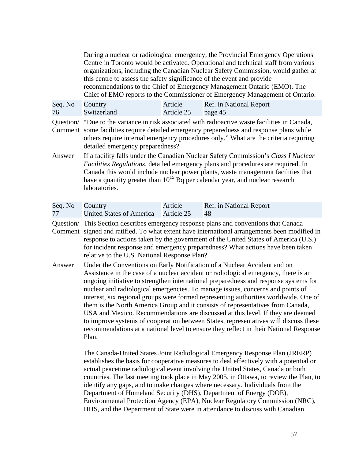|               | this centre to assess the safety significance of the event and provide                                                                                                                                                                                                                                                                                                   |                       | During a nuclear or radiological emergency, the Provincial Emergency Operations<br>Centre in Toronto would be activated. Operational and technical staff from various<br>organizations, including the Canadian Nuclear Safety Commission, would gather at<br>recommendations to the Chief of Emergency Management Ontario (EMO). The<br>Chief of EMO reports to the Commissioner of Emergency Management of Ontario. |  |
|---------------|--------------------------------------------------------------------------------------------------------------------------------------------------------------------------------------------------------------------------------------------------------------------------------------------------------------------------------------------------------------------------|-----------------------|----------------------------------------------------------------------------------------------------------------------------------------------------------------------------------------------------------------------------------------------------------------------------------------------------------------------------------------------------------------------------------------------------------------------|--|
| Seq. No<br>76 | Country<br>Switzerland                                                                                                                                                                                                                                                                                                                                                   | Article<br>Article 25 | Ref. in National Report<br>page 45                                                                                                                                                                                                                                                                                                                                                                                   |  |
| Comment       | Question/ "Due to the variance in risk associated with radioactive waste facilities in Canada,<br>some facilities require detailed emergency preparedness and response plans while<br>others require internal emergency procedures only." What are the criteria requiring<br>detailed emergency preparedness?                                                            |                       |                                                                                                                                                                                                                                                                                                                                                                                                                      |  |
| Answer        | If a facility falls under the Canadian Nuclear Safety Commission's Class I Nuclear<br><i>Facilities Regulations</i> , detailed emergency plans and procedures are required. In<br>Canada this would include nuclear power plants, waste management facilities that<br>have a quantity greater than $10^{15}$ Bq per calendar year, and nuclear research<br>laboratories. |                       |                                                                                                                                                                                                                                                                                                                                                                                                                      |  |
| Seq. No<br>77 | Country<br>United States of America                                                                                                                                                                                                                                                                                                                                      | Article<br>Article 25 | Ref. in National Report<br>48                                                                                                                                                                                                                                                                                                                                                                                        |  |
| Question/     | This Section describes emergency response plans and conventions that Canada                                                                                                                                                                                                                                                                                              |                       |                                                                                                                                                                                                                                                                                                                                                                                                                      |  |

relative to the U.S. National Response Plan? Comment signed and ratified. To what extent have international arrangements been modified in response to actions taken by the government of the United States of America (U.S.) for incident response and emergency preparedness? What actions have been taken

Answer Under the Conventions on Early Notification of a Nuclear Accident and on Assistance in the case of a nuclear accident or radiological emergency, there is an ongoing initiative to strengthen international preparedness and response systems for nuclear and radiological emergencies. To manage issues, concerns and points of interest, six regional groups were formed representing authorities worldwide. One of them is the North America Group and it consists of representatives from Canada, USA and Mexico. Recommendations are discussed at this level. If they are deemed to improve systems of cooperation between States, representatives will discuss these recommendations at a national level to ensure they reflect in their National Response Plan.

> The Canada-United States Joint Radiological Emergency Response Plan (JRERP) establishes the basis for cooperative measures to deal effectively with a potential or actual peacetime radiological event involving the United States, Canada or both countries. The last meeting took place in May 2005, in Ottawa, to review the Plan, to identify any gaps, and to make changes where necessary. Individuals from the Department of Homeland Security (DHS), Department of Energy (DOE), Environmental Protection Agency (EPA), Nuclear Regulatory Commission (NRC), HHS, and the Department of State were in attendance to discuss with Canadian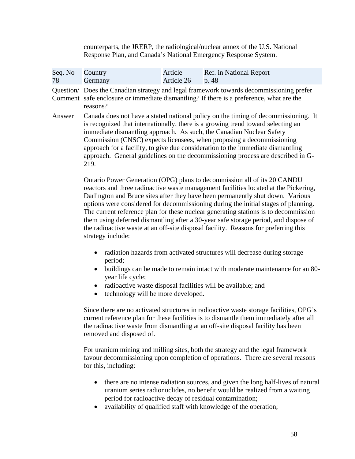counterparts, the JRERP, the radiological/nuclear annex of the U.S. National Response Plan, and Canada's National Emergency Response System.

| Seq. No<br>78 | Country<br>Germany                                                                                                                                                                                                                                                                                                                                                                                                                                                                                                                                                                                                                 | Article<br>Article 26 | Ref. in National Report<br>p. 48                                                                                                                                                                                                                                                                                                                                                                                                                                                              |  |
|---------------|------------------------------------------------------------------------------------------------------------------------------------------------------------------------------------------------------------------------------------------------------------------------------------------------------------------------------------------------------------------------------------------------------------------------------------------------------------------------------------------------------------------------------------------------------------------------------------------------------------------------------------|-----------------------|-----------------------------------------------------------------------------------------------------------------------------------------------------------------------------------------------------------------------------------------------------------------------------------------------------------------------------------------------------------------------------------------------------------------------------------------------------------------------------------------------|--|
|               | Question/ Does the Canadian strategy and legal framework towards decommissioning prefer<br>Comment safe enclosure or immediate dismantling? If there is a preference, what are the<br>reasons?                                                                                                                                                                                                                                                                                                                                                                                                                                     |                       |                                                                                                                                                                                                                                                                                                                                                                                                                                                                                               |  |
| Answer        | 219.                                                                                                                                                                                                                                                                                                                                                                                                                                                                                                                                                                                                                               |                       | Canada does not have a stated national policy on the timing of decommissioning. It<br>is recognized that internationally, there is a growing trend toward selecting an<br>immediate dismantling approach. As such, the Canadian Nuclear Safety<br>Commission (CNSC) expects licensees, when proposing a decommissioning<br>approach for a facility, to give due consideration to the immediate dismantling<br>approach. General guidelines on the decommissioning process are described in G- |  |
|               | Ontario Power Generation (OPG) plans to decommission all of its 20 CANDU<br>reactors and three radioactive waste management facilities located at the Pickering,<br>Darlington and Bruce sites after they have been permanently shut down. Various<br>options were considered for decommissioning during the initial stages of planning.<br>The current reference plan for these nuclear generating stations is to decommission<br>them using deferred dismantling after a 30-year safe storage period, and dispose of<br>the radioactive waste at an off-site disposal facility. Reasons for preferring this<br>strategy include: |                       |                                                                                                                                                                                                                                                                                                                                                                                                                                                                                               |  |

- radiation hazards from activated structures will decrease during storage period;
- buildings can be made to remain intact with moderate maintenance for an 80year life cycle;
- radioactive waste disposal facilities will be available; and
- technology will be more developed.

Since there are no activated structures in radioactive waste storage facilities, OPG's current reference plan for these facilities is to dismantle them immediately after all the radioactive waste from dismantling at an off-site disposal facility has been removed and disposed of.

For uranium mining and milling sites, both the strategy and the legal framework favour decommissioning upon completion of operations. There are several reasons for this, including:

- there are no intense radiation sources, and given the long half-lives of natural uranium series radionuclides, no benefit would be realized from a waiting period for radioactive decay of residual contamination;
- availability of qualified staff with knowledge of the operation;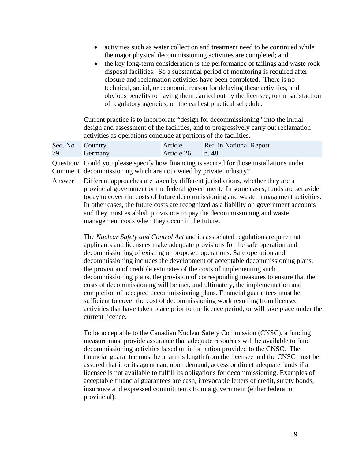- activities such as water collection and treatment need to be continued while the major physical decommissioning activities are completed; and
- the key long-term consideration is the performance of tailings and waste rock disposal facilities. So a substantial period of monitoring is required after closure and reclamation activities have been completed. There is no technical, social, or economic reason for delaying these activities, and obvious benefits to having them carried out by the licensee, to the satisfaction of regulatory agencies, on the earliest practical schedule.

Current practice is to incorporate "design for decommissioning" into the initial design and assessment of the facilities, and to progressively carry out reclamation activities as operations conclude at portions of the facilities.

| Seq. No Country |                | Article            | Ref. in National Report |
|-----------------|----------------|--------------------|-------------------------|
| 79              | <b>Germany</b> | Article $26$ p. 48 |                         |

 Comment decommissioning which are not owned by private industry? Question/ Could you please specify how financing is secured for those installations under

 today to cover the costs of future decommissioning and waste management activities. In other cases, the future costs are recognized as a liability on government accounts Answer Different approaches are taken by different jurisdictions, whether they are a provincial government or the federal government. In some cases, funds are set aside and they must establish provisions to pay the decommissioning and waste management costs when they occur in the future.

> The *Nuclear Safety and Control Act* and its associated regulations require that applicants and licensees make adequate provisions for the safe operation and decommissioning of existing or proposed operations. Safe operation and decommissioning includes the development of acceptable decommissioning plans, the provision of credible estimates of the costs of implementing such decommissioning plans, the provision of corresponding measures to ensure that the costs of decommissioning will be met, and ultimately, the implementation and completion of accepted decommissioning plans. Financial guarantees must be sufficient to cover the cost of decommissioning work resulting from licensed activities that have taken place prior to the licence period, or will take place under the current licence.

To be acceptable to the Canadian Nuclear Safety Commission (CNSC), a funding measure must provide assurance that adequate resources will be available to fund decommissioning activities based on information provided to the CNSC. The financial guarantee must be at arm's length from the licensee and the CNSC must be assured that it or its agent can, upon demand, access or direct adequate funds if a licensee is not available to fulfill its obligations for decommissioning. Examples of acceptable financial guarantees are cash, irrevocable letters of credit, surety bonds, insurance and expressed commitments from a government (either federal or provincial).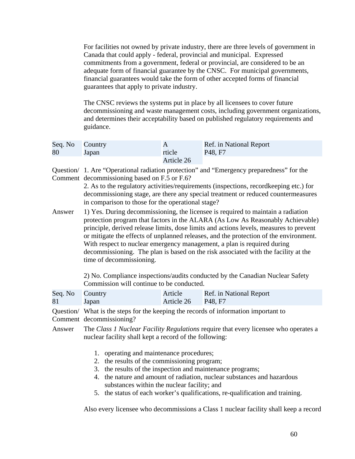For facilities not owned by private industry, there are three levels of government in Canada that could apply - federal, provincial and municipal. Expressed commitments from a government, federal or provincial, are considered to be an adequate form of financial guarantee by the CNSC. For municipal governments, financial guarantees would take the form of other accepted forms of financial guarantees that apply to private industry.

The CNSC reviews the systems put in place by all licensees to cover future decommissioning and waste management costs, including government organizations, and determines their acceptability based on published regulatory requirements and guidance.

| Seq. No Country |       |            | Ref. in National Report |
|-----------------|-------|------------|-------------------------|
| 80              | Japan | rticle     | P48. F7                 |
|                 |       | Article 26 |                         |

Question/ 1. Are "Operational radiation protection" and "Emergency preparedness" for the Comment decommissioning based on F.5 or F.6?

> in comparison to those for the operational stage? 2. As to the regulatory activities/requirements (inspections, recordkeeping etc.) for decommissioning stage, are there any special treatment or reduced countermeasures

Answer 1) Yes. During decommissioning, the licensee is required to maintain a radiation protection program that factors in the ALARA (As Low As Reasonably Achievable) principle, derived release limits, dose limits and actions levels, measures to prevent or mitigate the effects of unplanned releases, and the protection of the environment. With respect to nuclear emergency management, a plan is required during decommissioning. The plan is based on the risk associated with the facility at the time of decommissioning.

> 2) No. Compliance inspections/audits conducted by the Canadian Nuclear Safety Commission will continue to be conducted.

| Seq. No Country |       | Article            | Ref. in National Report |
|-----------------|-------|--------------------|-------------------------|
| 81              | Japan | Article 26 P48, F7 |                         |

Comment decommissioning? Question/ What is the steps for the keeping the records of information important to

- Answer The *Class 1 Nuclear Facility Regulations* require that every licensee who operates a nuclear facility shall kept a record of the following:
	- 1. operating and maintenance procedures;
	- 2. the results of the commissioning program;
	- 3. the results of the inspection and maintenance programs;
	- 4. the nature and amount of radiation, nuclear substances and hazardous substances within the nuclear facility; and
	- 5. the status of each worker's qualifications, re-qualification and training.

Also every licensee who decommissions a Class 1 nuclear facility shall keep a record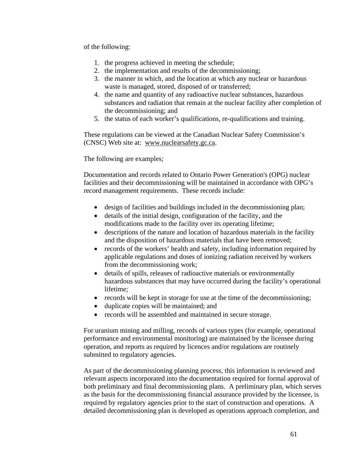of the following:

- 1. the progress achieved in meeting the schedule;
- 2. the implementation and results of the decommissioning;
- 3. the manner in which, and the location at which any nuclear or hazardous waste is managed, stored, disposed of or transferred;
- 4. the name and quantity of any radioactive nuclear substances, hazardous substances and radiation that remain at the nuclear facility after completion of the decommissioning; and
- 5. the status of each worker's qualifications, re-qualifications and training.

These regulations can be viewed at the Canadian Nuclear Safety Commission's (CNSC) Web site at: www.nuclearsafety.gc.ca.

The following are examples;

Documentation and records related to Ontario Power Generation's (OPG) nuclear facilities and their decommissioning will be maintained in accordance with OPG's record management requirements. These records include:

- design of facilities and buildings included in the decommissioning plan;
- details of the initial design, configuration of the facility, and the modifications made to the facility over its operating lifetime;
- descriptions of the nature and location of hazardous materials in the facility and the disposition of hazardous materials that have been removed;
- records of the workers' health and safety, including information required by applicable regulations and doses of ionizing radiation received by workers from the decommissioning work;
- details of spills, releases of radioactive materials or environmentally hazardous substances that may have occurred during the facility's operational lifetime;
- records will be kept in storage for use at the time of the decommissioning;
- duplicate copies will be maintained; and
- records will be assembled and maintained in secure storage.

For uranium mining and milling, records of various types (for example, operational performance and environmental monitoring) are maintained by the licensee during operation, and reports as required by licences and/or regulations are routinely submitted to regulatory agencies.

As part of the decommissioning planning process, this information is reviewed and relevant aspects incorporated into the documentation required for formal approval of both preliminary and final decommissioning plans. A preliminary plan, which serves as the basis for the decommissioning financial assurance provided by the licensee, is required by regulatory agencies prior to the start of construction and operations. A detailed decommissioning plan is developed as operations approach completion, and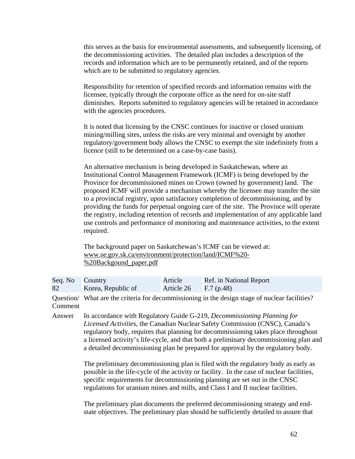this serves as the basis for environmental assessments, and subsequently licensing, of the decommissioning activities. The detailed plan includes a description of the records and information which are to be permanently retained, and of the reports which are to be submitted to regulatory agencies.

Responsibility for retention of specified records and information remains with the licensee, typically through the corporate office as the need for on-site staff diminishes. Reports submitted to regulatory agencies will be retained in accordance with the agencies procedures.

It is noted that licensing by the CNSC continues for inactive or closed uranium mining/milling sites, unless the risks are very minimal and oversight by another regulatory/government body allows the CNSC to exempt the site indefinitely from a licence (still to be determined on a case-by-case basis).

An alternative mechanism is being developed in Saskatchewan, where an Institutional Control Management Framework (ICMF) is being developed by the Province for decommissioned mines on Crown (owned by government) land. The proposed ICMF will provide a mechanism whereby the licensee may transfer the site to a provincial registry, upon satisfactory completion of decommissioning, and by providing the funds for perpetual ongoing care of the site. The Province will operate the registry, including retention of records and implementation of any applicable land use controls and performance of monitoring and maintenance activities, to the extent required.

The background paper on Saskatchewan's ICMF can be viewed at: www.se.gov.sk.ca/environment/protection/land/ICMF%20 %20Backgound\_paper.pdf

| Seq. No | Country                                                                                        | Article    | Ref. in National Report |  |
|---------|------------------------------------------------------------------------------------------------|------------|-------------------------|--|
| 82      | Korea, Republic of                                                                             | Article 26 | F.7(p.48)               |  |
| Comment | Question/ What are the criteria for decommissioning in the design stage of nuclear facilities? |            |                         |  |
| Answer  | In accordance with Regulatory Guide G-219, <i>Decommissioning Planning for</i>                 |            |                         |  |

*Licensed Activities*, the Canadian Nuclear Safety Commission (CNSC), Canada's regulatory body, requires that planning for decommissioning takes place throughout a licensed activity's life-cycle, and that both a preliminary decommissioning plan and a detailed decommissioning plan be prepared for approval by the regulatory body.

The preliminary decommissioning plan is filed with the regulatory body as early as possible in the life-cycle of the activity or facility. In the case of nuclear facilities, specific requirements for decommissioning planning are set out in the CNSC regulations for uranium mines and mills, and Class I and II nuclear facilities.

The preliminary plan documents the preferred decommissioning strategy and endstate objectives. The preliminary plan should be sufficiently detailed to assure that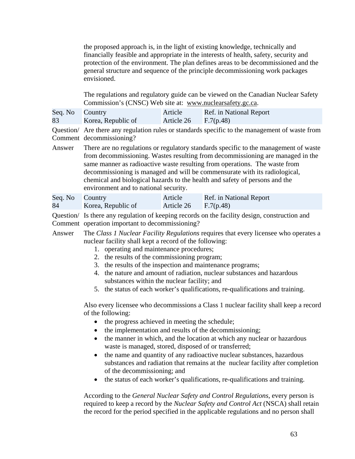the proposed approach is, in the light of existing knowledge, technically and financially feasible and appropriate in the interests of health, safety, security and protection of the environment. The plan defines areas to be decommissioned and the general structure and sequence of the principle decommissioning work packages envisioned.

The regulations and regulatory guide can be viewed on the Canadian Nuclear Safety Commission's (CNSC) Web site at: www.nuclearsafety.gc.ca.

| Seq. No Country |                    | Article    | Ref. in National Report |
|-----------------|--------------------|------------|-------------------------|
| 83              | Korea, Republic of | Article 26 | F.7(p.48)               |

Comment decommissioning? Question/ Are there any regulation rules or standards specific to the management of waste from

environment and to national security.<br>Seq. No Country Article Ref. in National Report Answer There are no regulations or regulatory standards specific to the management of waste from decommissioning. Wastes resulting from decommissioning are managed in the same manner as radioactive waste resulting from operations. The waste from decommissioning is managed and will be commensurate with its radiological, chemical and biological hazards to the health and safety of persons and the

| Seq. No Country |                    | Article                | Ref. in National Report |
|-----------------|--------------------|------------------------|-------------------------|
| 84              | Korea, Republic of | Article $26$ F.7(p.48) |                         |

Comment operation important to decommissioning? Question/ Is there any regulation of keeping records on the facility design, construction and

- Answer The *Class 1 Nuclear Facility Regulations* requires that every licensee who operates a nuclear facility shall kept a record of the following:
	- 1. operating and maintenance procedures;
	- 2. the results of the commissioning program;
	- 3. the results of the inspection and maintenance programs;
	- 4. the nature and amount of radiation, nuclear substances and hazardous substances within the nuclear facility; and
	- 5. the status of each worker's qualifications, re-qualifications and training.

Also every licensee who decommissions a Class 1 nuclear facility shall keep a record of the following:

- the progress achieved in meeting the schedule;
- the implementation and results of the decommissioning;
- the manner in which, and the location at which any nuclear or hazardous waste is managed, stored, disposed of or transferred;
- the name and quantity of any radioactive nuclear substances, hazardous substances and radiation that remains at the nuclear facility after completion of the decommissioning; and
- the status of each worker's qualifications, re-qualifications and training.

According to the *General Nuclear Safety and Control Regulations*, every person is required to keep a record by the *Nuclear Safety and Control Act* (NSCA) shall retain the record for the period specified in the applicable regulations and no person shall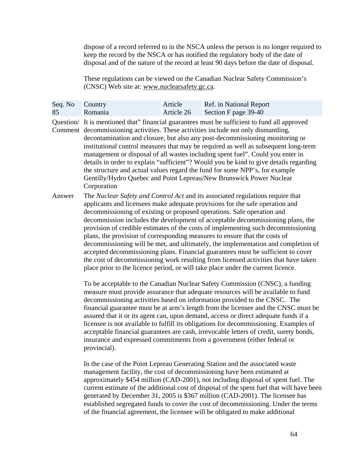dispose of a record referred to in the NSCA unless the person is no longer required to keep the record by the NSCA or has notified the regulatory body of the date of disposal and of the nature of the record at least 90 days before the date of disposal.

These regulations can be viewed on the Canadian Nuclear Safety Commission's (CNSC) Web site at: www.nuclearsafety.gc.ca.

| Seq. No Country |         | Article    | Ref. in National Report |
|-----------------|---------|------------|-------------------------|
| 85              | Romania | Article 26 | Section F page 39-40    |

Question/ It is mentioned that" financial guarantees must be sufficient to fund all approved Comment decommissioning activities. These activities include not only dismantling, decontamination and closure, but also any post-decommissioning monitoring or institutional control measures that may be required as well as subsequent long-term management or disposal of all wastes including spent fuel". Could you enter in details in order to explain "sufficient"? Would you be kind to give details regarding the structure and actual values regard the fund for some NPP's, for example Gentilly/Hydro Quebec and Point Lepreau/New Brunswick Power Nuclear Corporation

Answer The *Nuclear Safety and Control Act* and its associated regulations require that applicants and licensees make adequate provisions for the safe operation and decommissioning of existing or proposed operations. Safe operation and decommission includes the development of acceptable decommissioning plans, the provision of credible estimates of the costs of implementing such decommissioning plans, the provision of corresponding measures to ensure that the costs of decommissioning will be met, and ultimately, the implementation and completion of accepted decommissioning plans. Financial guarantees must be sufficient to cover the cost of decommissioning work resulting from licensed activities that have taken place prior to the licence period, or will take place under the current licence.

> To be acceptable to the Canadian Nuclear Safety Commission (CNSC), a funding measure must provide assurance that adequate resources will be available to fund decommissioning activities based on information provided to the CNSC. The financial guarantee must be at arm's length from the licensee and the CNSC must be assured that it or its agent can, upon demand, access or direct adequate funds if a licensee is not available to fulfill its obligations for decommissioning. Examples of acceptable financial guarantees are cash, irrevocable letters of credit, surety bonds, insurance and expressed commitments from a government (either federal or provincial).

In the case of the Point Lepreau Generating Station and the associated waste management facility, the cost of decommissioning have been estimated at approximately \$454 million (CAD-2001), not including disposal of spent fuel. The current estimate of the additional cost of disposal of the spent fuel that will have been generated by December 31, 2005 is \$367 million (CAD-2001). The licensee has established segregated funds to cover the cost of decommissioning. Under the terms of the financial agreement, the licensee will be obligated to make additional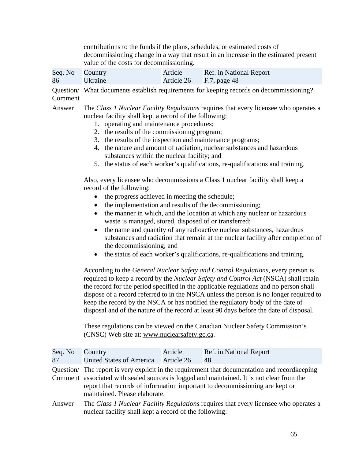contributions to the funds if the plans, schedules, or estimated costs of decommissioning change in a way that result in an increase in the estimated present value of the costs for decommissioning.

| Seq. No Country |         | Article                 | Ref. in National Report |
|-----------------|---------|-------------------------|-------------------------|
| 86              | Ukraine | Article 26 F.7, page 48 |                         |

 Question/ What documents establish requirements for keeping records on decommissioning? Comment

Answer The *Class 1 Nuclear Facility Regulations* requires that every licensee who operates a nuclear facility shall kept a record of the following:

- 1. operating and maintenance procedures;
- 2. the results of the commissioning program;
- 3. the results of the inspection and maintenance programs;
- 4. the nature and amount of radiation, nuclear substances and hazardous substances within the nuclear facility; and
- 5. the status of each worker's qualifications, re-qualifications and training.

Also, every licensee who decommissions a Class 1 nuclear facility shall keep a record of the following:

- the progress achieved in meeting the schedule;
- the implementation and results of the decommissioning;
- the manner in which, and the location at which any nuclear or hazardous waste is managed, stored, disposed of or transferred;
- the name and quantity of any radioactive nuclear substances, hazardous substances and radiation that remain at the nuclear facility after completion of the decommissioning; and
- the status of each worker's qualifications, re-qualifications and training.

According to the *General Nuclear Safety and Control Regulations*, every person is required to keep a record by the *Nuclear Safety and Control Act* (NSCA) shall retain the record for the period specified in the applicable regulations and no person shall dispose of a record referred to in the NSCA unless the person is no longer required to keep the record by the NSCA or has notified the regulatory body of the date of disposal and of the nature of the record at least 90 days before the date of disposal.

These regulations can be viewed on the Canadian Nuclear Safety Commission's (CNSC) Web site at: www.nuclearsafety.gc.ca.

| Seq. No | Country                                                                                                                                                                                                                                                                                                    | Article    | Ref. in National Report |  |
|---------|------------------------------------------------------------------------------------------------------------------------------------------------------------------------------------------------------------------------------------------------------------------------------------------------------------|------------|-------------------------|--|
| 87      | United States of America                                                                                                                                                                                                                                                                                   | Article 26 | 48                      |  |
|         | Question/ The report is very explicit in the requirement that documentation and recordkeeping<br>Comment associated with sealed sources is logged and maintained. It is not clear from the<br>report that records of information important to decommissioning are kept or<br>maintained. Please elaborate. |            |                         |  |
| Answer  | The Class 1 Nuclear Facility Regulations requires that every licensee who operates a<br>nuclear facility shall kept a record of the following:                                                                                                                                                             |            |                         |  |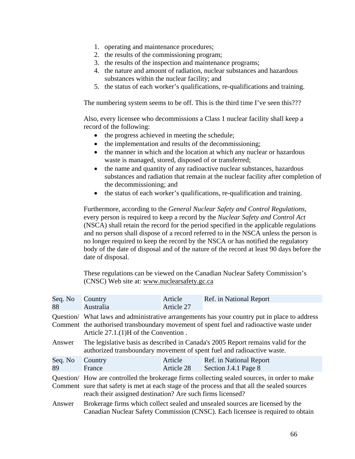- 1. operating and maintenance procedures;
- 2. the results of the commissioning program;
- 3. the results of the inspection and maintenance programs;
- 4. the nature and amount of radiation, nuclear substances and hazardous substances within the nuclear facility; and
- 5. the status of each worker's qualifications, re-qualifications and training.

The numbering system seems to be off. This is the third time I've seen this???

Also, every licensee who decommissions a Class 1 nuclear facility shall keep a record of the following:

- the progress achieved in meeting the schedule;
- the implementation and results of the decommissioning;
- the manner in which and the location at which any nuclear or hazardous waste is managed, stored, disposed of or transferred;
- the name and quantity of any radioactive nuclear substances, hazardous substances and radiation that remain at the nuclear facility after completion of the decommissioning; and
- the status of each worker's qualifications, re-qualification and training.

Furthermore, according to the *General Nuclear Safety and Control Regulations*, every person is required to keep a record by the *Nuclear Safety and Control Act*  (NSCA) shall retain the record for the period specified in the applicable regulations and no person shall dispose of a record referred to in the NSCA unless the person is no longer required to keep the record by the NSCA or has notified the regulatory body of the date of disposal and of the nature of the record at least 90 days before the date of disposal.

These regulations can be viewed on the Canadian Nuclear Safety Commission's (CNSC) Web site at: www.nuclearsafety.gc.ca

| Seq. No       | Country                                                                                                                                                                                                                                                    | Article               | Ref. in National Report                         |
|---------------|------------------------------------------------------------------------------------------------------------------------------------------------------------------------------------------------------------------------------------------------------------|-----------------------|-------------------------------------------------|
| 88            | Australia                                                                                                                                                                                                                                                  | Article 27            |                                                 |
|               | Question/ What laws and administrative arrangements has your country put in place to address<br>Comment the authorised transboundary movement of spent fuel and radioactive waste under<br>Article $27.1.(1)H$ of the Convention.                          |                       |                                                 |
| Answer        | The legislative basis as described in Canada's 2005 Report remains valid for the<br>authorized transboundary movement of spent fuel and radioactive waste.                                                                                                 |                       |                                                 |
| Seq. No<br>89 | Country<br>France                                                                                                                                                                                                                                          | Article<br>Article 28 | Ref. in National Report<br>Section J.4.1 Page 8 |
|               | Question/ How are controlled the brokerage firms collecting sealed sources, in order to make<br>Comment sure that safety is met at each stage of the process and that all the sealed sources<br>reach their assigned destination? Are such firms licensed? |                       |                                                 |
| Answer        | Brokerage firms which collect sealed and unsealed sources are licensed by the<br>Canadian Nuclear Safety Commission (CNSC). Each licensee is required to obtain                                                                                            |                       |                                                 |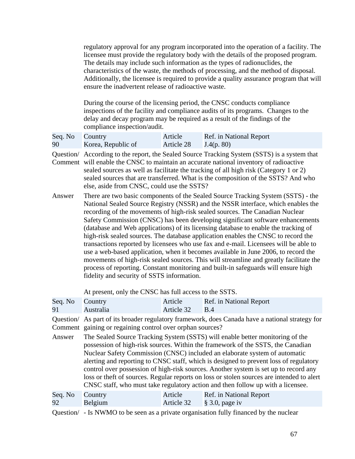regulatory approval for any program incorporated into the operation of a facility. The licensee must provide the regulatory body with the details of the proposed program. The details may include such information as the types of radionuclides, the characteristics of the waste, the methods of processing, and the method of disposal. Additionally, the licensee is required to provide a quality assurance program that will ensure the inadvertent release of radioactive waste.

During the course of the licensing period, the CNSC conducts compliance inspections of the facility and compliance audits of its programs. Changes to the delay and decay program may be required as a result of the findings of the compliance inspection/audit.

| Seq. No Country |                    | Article    | Ref. in National Report |
|-----------------|--------------------|------------|-------------------------|
| 90              | Korea, Republic of | Article 28 | J.4(p. 80)              |

else, aside from CNSC, could use the SSTS? Question/ According to the report, the Sealed Source Tracking System (SSTS) is a system that Comment will enable the CNSC to maintain an accurate national inventory of radioactive sealed sources as well as facilitate the tracking of all high risk (Category 1 or 2) sealed sources that are transferred. What is the composition of the SSTS? And who

Answer There are two basic components of the Sealed Source Tracking System (SSTS) - the National Sealed Source Registry (NSSR) and the NSSR interface, which enables the recording of the movements of high-risk sealed sources. The Canadian Nuclear Safety Commission (CNSC) has been developing significant software enhancements (database and Web applications) of its licensing database to enable the tracking of high-risk sealed sources. The database application enables the CNSC to record the transactions reported by licensees who use fax and e-mail. Licensees will be able to use a web-based application, when it becomes available in June 2006, to record the movements of high-risk sealed sources. This will streamline and greatly facilitate the process of reporting. Constant monitoring and built-in safeguards will ensure high fidelity and security of SSTS information.

At present, only the CNSC has full access to the SSTS.

| Seq. No | Country                                                                                                                                                                                                                                                                                                                                                                                                                                                                                                                                                                                                         | Article    | Ref. in National Report |  |
|---------|-----------------------------------------------------------------------------------------------------------------------------------------------------------------------------------------------------------------------------------------------------------------------------------------------------------------------------------------------------------------------------------------------------------------------------------------------------------------------------------------------------------------------------------------------------------------------------------------------------------------|------------|-------------------------|--|
| 91      | Australia                                                                                                                                                                                                                                                                                                                                                                                                                                                                                                                                                                                                       | Article 32 | B.4                     |  |
|         | Question/ As part of its broader regulatory framework, does Canada have a national strategy for<br>Comment gaining or regaining control over orphan sources?                                                                                                                                                                                                                                                                                                                                                                                                                                                    |            |                         |  |
| Answer  | The Sealed Source Tracking System (SSTS) will enable better monitoring of the<br>possession of high-risk sources. Within the framework of the SSTS, the Canadian<br>Nuclear Safety Commission (CNSC) included an elaborate system of automatic<br>alerting and reporting to CNSC staff, which is designed to prevent loss of regulatory<br>control over possession of high-risk sources. Another system is set up to record any<br>loss or theft of sources. Regular reports on loss or stolen sources are intended to alert<br>CNSC staff, who must take regulatory action and then follow up with a licensee. |            |                         |  |
| Seq. No | Country                                                                                                                                                                                                                                                                                                                                                                                                                                                                                                                                                                                                         | Article    | Ref. in National Report |  |
| 92      | Belgium                                                                                                                                                                                                                                                                                                                                                                                                                                                                                                                                                                                                         | Article 32 | $\S$ 3.0, page iv       |  |

Question/ - Is NWMO to be seen as a private organisation fully financed by the nuclear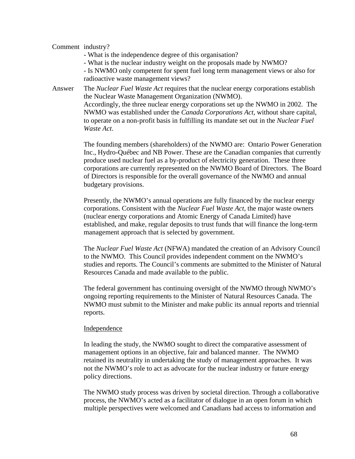## Comment industry?

- What is the independence degree of this organisation?
- What is the nuclear industry weight on the proposals made by NWMO?

- Is NWMO only competent for spent fuel long term management views or also for radioactive waste management views?

Answer The *Nuclear Fuel Waste Act* requires that the nuclear energy corporations establish the Nuclear Waste Management Organization (NWMO). Accordingly, the three nuclear energy corporations set up the NWMO in 2002. The NWMO was established under the *Canada Corporations Act*, without share capital, to operate on a non-profit basis in fulfilling its mandate set out in the *Nuclear Fuel Waste Act*.

> The founding members (shareholders) of the NWMO are: Ontario Power Generation Inc., Hydro-Québec and NB Power. These are the Canadian companies that currently produce used nuclear fuel as a by-product of electricity generation. These three corporations are currently represented on the NWMO Board of Directors. The Board of Directors is responsible for the overall governance of the NWMO and annual budgetary provisions.

Presently, the NWMO's annual operations are fully financed by the nuclear energy corporations. Consistent with the *Nuclear Fuel Waste Act,* the major waste owners (nuclear energy corporations and Atomic Energy of Canada Limited) have established, and make, regular deposits to trust funds that will finance the long-term management approach that is selected by government.

The *Nuclear Fuel Waste Act* (NFWA) mandated the creation of an Advisory Council to the NWMO. This Council provides independent comment on the NWMO's studies and reports. The Council's comments are submitted to the Minister of Natural Resources Canada and made available to the public.

The federal government has continuing oversight of the NWMO through NWMO's ongoing reporting requirements to the Minister of Natural Resources Canada. The NWMO must submit to the Minister and make public its annual reports and triennial reports.

#### Independence

In leading the study, the NWMO sought to direct the comparative assessment of management options in an objective, fair and balanced manner. The NWMO retained its neutrality in undertaking the study of management approaches. It was not the NWMO's role to act as advocate for the nuclear industry or future energy policy directions.

The NWMO study process was driven by societal direction. Through a collaborative process, the NWMO's acted as a facilitator of dialogue in an open forum in which multiple perspectives were welcomed and Canadians had access to information and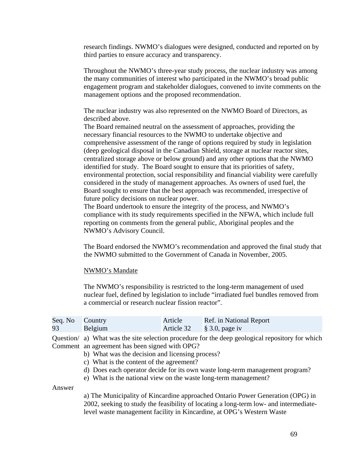research findings. NWMO's dialogues were designed, conducted and reported on by third parties to ensure accuracy and transparency.

Throughout the NWMO's three-year study process, the nuclear industry was among the many communities of interest who participated in the NWMO's broad public engagement program and stakeholder dialogues, convened to invite comments on the management options and the proposed recommendation.

The nuclear industry was also represented on the NWMO Board of Directors, as described above.

The Board remained neutral on the assessment of approaches, providing the necessary financial resources to the NWMO to undertake objective and comprehensive assessment of the range of options required by study in legislation (deep geological disposal in the Canadian Shield, storage at nuclear reactor sites, centralized storage above or below ground) and any other options that the NWMO identified for study. The Board sought to ensure that its priorities of safety, environmental protection, social responsibility and financial viability were carefully considered in the study of management approaches. As owners of used fuel, the Board sought to ensure that the best approach was recommended, irrespective of future policy decisions on nuclear power.

The Board undertook to ensure the integrity of the process, and NWMO's compliance with its study requirements specified in the NFWA, which include full reporting on comments from the general public, Aboriginal peoples and the NWMO's Advisory Council.

The Board endorsed the NWMO's recommendation and approved the final study that the NWMO submitted to the Government of Canada in November, 2005.

#### NWMO's Mandate

The NWMO's responsibility is restricted to the long-term management of used nuclear fuel, defined by legislation to include "irradiated fuel bundles removed from a commercial or research nuclear fission reactor".

| Seq. No Country |         | Article | Ref. in National Report              |
|-----------------|---------|---------|--------------------------------------|
| 93              | Belgium |         | Article $32 \qquad \S 3.0$ , page iv |

Question/ a) What was the site selection procedure for the deep geological repository for which Comment an agreement has been signed with OPG?

- b) What was the decision and licensing process?
- c) What is the content of the agreement?
- d) Does each operator decide for its own waste long-term management program?
- e) What is the national view on the waste long-term management?

Answer

a) The Municipality of Kincardine approached Ontario Power Generation (OPG) in 2002, seeking to study the feasibility of locating a long-term low- and intermediatelevel waste management facility in Kincardine, at OPG's Western Waste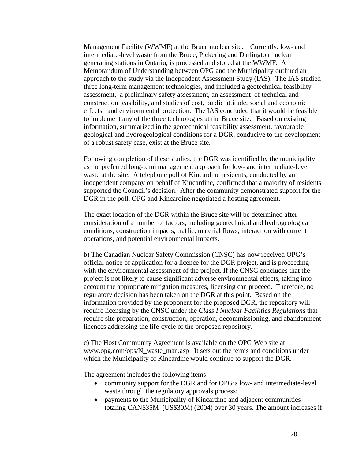Management Facility (WWMF) at the Bruce nuclear site. Currently, low- and intermediate-level waste from the Bruce, Pickering and Darlington nuclear generating stations in Ontario, is processed and stored at the WWMF. A Memorandum of Understanding between OPG and the Municipality outlined an approach to the study via the Independent Assessment Study (IAS). The IAS studied three long-term management technologies, and included a geotechnical feasibility assessment, a preliminary safety assessment, an assessment of technical and construction feasibility, and studies of cost, public attitude, social and economic effects, and environmental protection. The IAS concluded that it would be feasible to implement any of the three technologies at the Bruce site. Based on existing information, summarized in the geotechnical feasibility assessment, favourable geological and hydrogeological conditions for a DGR, conducive to the development of a robust safety case, exist at the Bruce site.

Following completion of these studies, the DGR was identified by the municipality as the preferred long-term management approach for low- and intermediate-level waste at the site. A telephone poll of Kincardine residents, conducted by an independent company on behalf of Kincardine, confirmed that a majority of residents supported the Council's decision. After the community demonstrated support for the DGR in the poll, OPG and Kincardine negotiated a hosting agreement.

The exact location of the DGR within the Bruce site will be determined after consideration of a number of factors, including geotechnical and hydrogeological conditions, construction impacts, traffic, material flows, interaction with current operations, and potential environmental impacts.

b) The Canadian Nuclear Safety Commission (CNSC) has now received OPG's official notice of application for a licence for the DGR project, and is proceeding with the environmental assessment of the project. If the CNSC concludes that the project is not likely to cause significant adverse environmental effects, taking into account the appropriate mitigation measures, licensing can proceed. Therefore, no regulatory decision has been taken on the DGR at this point. Based on the information provided by the proponent for the proposed DGR, the repository will require licensing by the CNSC under the *Class I Nuclear Facilities Regulations* that require site preparation, construction, operation, decommissioning, and abandonment licences addressing the life-cycle of the proposed repository.

c) The Host Community Agreement is available on the OPG Web site at: www.opg.com/ops/N\_waste\_man.asp It sets out the terms and conditions under which the Municipality of Kincardine would continue to support the DGR.

The agreement includes the following items:

- community support for the DGR and for OPG's low- and intermediate-level waste through the regulatory approvals process;
- payments to the Municipality of Kincardine and adjacent communities totaling CAN\$35M (US\$30M) (2004) over 30 years. The amount increases if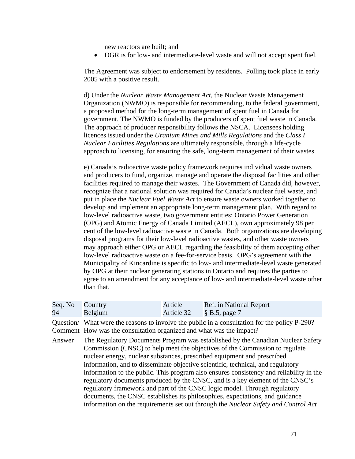new reactors are built; and

• DGR is for low- and intermediate-level waste and will not accept spent fuel.

The Agreement was subject to endorsement by residents. Polling took place in early 2005 with a positive result.

d) Under the *Nuclear Waste Management Act*, the Nuclear Waste Management Organization (NWMO) is responsible for recommending, to the federal government, a proposed method for the long-term management of spent fuel in Canada for government. The NWMO is funded by the producers of spent fuel waste in Canada. The approach of producer responsibility follows the NSCA. Licensees holding licences issued under the *Uranium Mines and Mills Regulations* and the *Class I Nuclear Facilities Regulations* are ultimately responsible, through a life-cycle approach to licensing, for ensuring the safe, long-term management of their wastes.

e) Canada's radioactive waste policy framework requires individual waste owners and producers to fund, organize, manage and operate the disposal facilities and other facilities required to manage their wastes. The Government of Canada did, however, recognize that a national solution was required for Canada's nuclear fuel waste, and put in place the *Nuclear Fuel Waste Act* to ensure waste owners worked together to develop and implement an appropriate long-term management plan. With regard to low-level radioactive waste, two government entities: Ontario Power Generation (OPG) and Atomic Energy of Canada Limited (AECL), own approximately 98 per cent of the low-level radioactive waste in Canada. Both organizations are developing disposal programs for their low-level radioactive wastes, and other waste owners may approach either OPG or AECL regarding the feasibility of them accepting other low-level radioactive waste on a fee-for-service basis. OPG's agreement with the Municipality of Kincardine is specific to low- and intermediate-level waste generated by OPG at their nuclear generating stations in Ontario and requires the parties to agree to an amendment for any acceptance of low- and intermediate-level waste other than that.

| Seq. No | Country                                                                                                                                                                                                                                                                                                                                                                                                                                                                                                                                                                                                                                                                                                                                                     | Article    | Ref. in National Report |
|---------|-------------------------------------------------------------------------------------------------------------------------------------------------------------------------------------------------------------------------------------------------------------------------------------------------------------------------------------------------------------------------------------------------------------------------------------------------------------------------------------------------------------------------------------------------------------------------------------------------------------------------------------------------------------------------------------------------------------------------------------------------------------|------------|-------------------------|
| 94      | Belgium                                                                                                                                                                                                                                                                                                                                                                                                                                                                                                                                                                                                                                                                                                                                                     | Article 32 | $\S$ B.5, page 7        |
|         | Question/ What were the reasons to involve the public in a consultation for the policy P-290?<br>Comment How was the consultation organized and what was the impact?                                                                                                                                                                                                                                                                                                                                                                                                                                                                                                                                                                                        |            |                         |
| Answer  | The Regulatory Documents Program was established by the Canadian Nuclear Safety<br>Commission (CNSC) to help meet the objectives of the Commission to regulate<br>nuclear energy, nuclear substances, prescribed equipment and prescribed<br>information, and to disseminate objective scientific, technical, and regulatory<br>information to the public. This program also ensures consistency and reliability in the<br>regulatory documents produced by the CNSC, and is a key element of the CNSC's<br>regulatory framework and part of the CNSC logic model. Through regulatory<br>documents, the CNSC establishes its philosophies, expectations, and guidance<br>information on the requirements set out through the Nuclear Safety and Control Act |            |                         |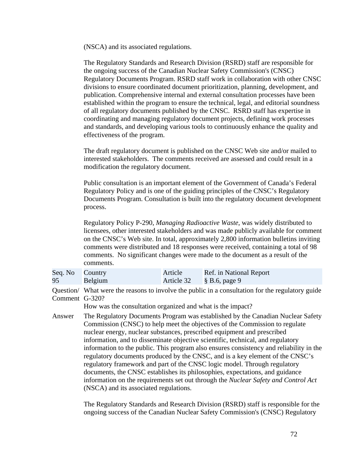(NSCA) and its associated regulations.

The Regulatory Standards and Research Division (RSRD) staff are responsible for the ongoing success of the Canadian Nuclear Safety Commission's (CNSC) Regulatory Documents Program. RSRD staff work in collaboration with other CNSC divisions to ensure coordinated document prioritization, planning, development, and publication. Comprehensive internal and external consultation processes have been established within the program to ensure the technical, legal, and editorial soundness of all regulatory documents published by the CNSC. RSRD staff has expertise in coordinating and managing regulatory document projects, defining work processes and standards, and developing various tools to continuously enhance the quality and effectiveness of the program.

The draft regulatory document is published on the CNSC Web site and/or mailed to interested stakeholders. The comments received are assessed and could result in a modification the regulatory document.

Public consultation is an important element of the Government of Canada's Federal Regulatory Policy and is one of the guiding principles of the CNSC's Regulatory Documents Program. Consultation is built into the regulatory document development process.

Regulatory Policy P-290, *Managing Radioactive Waste*, was widely distributed to licensees, other interested stakeholders and was made publicly available for comment on the CNSC's Web site. In total, approximately 2,800 information bulletins inviting comments were distributed and 18 responses were received, containing a total of 98 comments. No significant changes were made to the document as a result of the comments.

| Seq. No Country |         | Article                            | Ref. in National Report |
|-----------------|---------|------------------------------------|-------------------------|
| 95              | Belgium | Article $32 \qquad \S$ B.6, page 9 |                         |

Comment G-320? Question/ What were the reasons to involve the public in a consultation for the regulatory guide

How was the consultation organized and what is the impact?

Answer The Regulatory Documents Program was established by the Canadian Nuclear Safety Commission (CNSC) to help meet the objectives of the Commission to regulate nuclear energy, nuclear substances, prescribed equipment and prescribed information, and to disseminate objective scientific, technical, and regulatory information to the public. This program also ensures consistency and reliability in the regulatory documents produced by the CNSC, and is a key element of the CNSC's regulatory framework and part of the CNSC logic model. Through regulatory documents, the CNSC establishes its philosophies, expectations, and guidance information on the requirements set out through the *Nuclear Safety and Control Act*  (NSCA) and its associated regulations.

> The Regulatory Standards and Research Division (RSRD) staff is responsible for the ongoing success of the Canadian Nuclear Safety Commission's (CNSC) Regulatory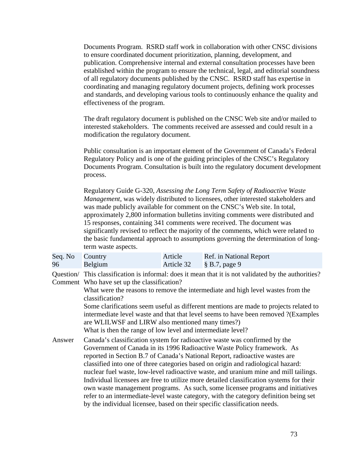Documents Program. RSRD staff work in collaboration with other CNSC divisions to ensure coordinated document prioritization, planning, development, and publication. Comprehensive internal and external consultation processes have been established within the program to ensure the technical, legal, and editorial soundness of all regulatory documents published by the CNSC. RSRD staff has expertise in coordinating and managing regulatory document projects, defining work processes and standards, and developing various tools to continuously enhance the quality and effectiveness of the program.

The draft regulatory document is published on the CNSC Web site and/or mailed to interested stakeholders. The comments received are assessed and could result in a modification the regulatory document.

Public consultation is an important element of the Government of Canada's Federal Regulatory Policy and is one of the guiding principles of the CNSC's Regulatory Documents Program. Consultation is built into the regulatory document development process.

Regulatory Guide G-320, *Assessing the Long Term Safety of Radioactive Waste Management*, was widely distributed to licensees, other interested stakeholders and was made publicly available for comment on the CNSC's Web site. In total, approximately 2,800 information bulletins inviting comments were distributed and 15 responses, containing 341 comments were received. The document was significantly revised to reflect the majority of the comments, which were related to the basic fundamental approach to assumptions governing the determination of longterm waste aspects.

| Seq. No Country |         | Article                     | Ref. in National Report |
|-----------------|---------|-----------------------------|-------------------------|
| 96              | Belgium | Article 32 $\S$ B.7, page 9 |                         |

Question/ This classification is informal: does it mean that it is not validated by the authorities? Comment Who have set up the classification?

> What were the reasons to remove the intermediate and high level wastes from the classification?

Some clarifications seem useful as different mentions are made to projects related to intermediate level waste and that that level seems to have been removed ?(Examples are WLILWSF and LIRW also mentioned many times?)

What is then the range of low level and intermediate level?

Answer Canada's classification system for radioactive waste was confirmed by the Government of Canada in its 1996 Radioactive Waste Policy framework. As reported in Section B.7 of Canada's National Report, radioactive wastes are classified into one of three categories based on origin and radiological hazard: nuclear fuel waste, low-level radioactive waste, and uranium mine and mill tailings. Individual licensees are free to utilize more detailed classification systems for their own waste management programs. As such, some licensee programs and initiatives refer to an intermediate-level waste category, with the category definition being set by the individual licensee, based on their specific classification needs.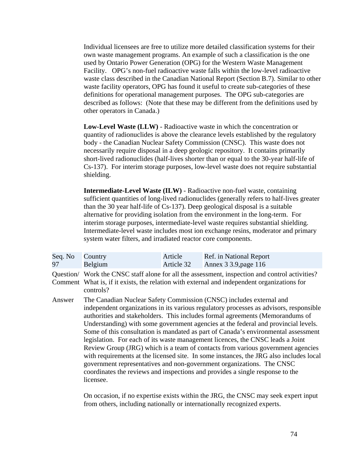Individual licensees are free to utilize more detailed classification systems for their own waste management programs. An example of such a classification is the one used by Ontario Power Generation (OPG) for the Western Waste Management Facility. OPG's non-fuel radioactive waste falls within the low-level radioactive waste class described in the Canadian National Report (Section B.7). Similar to other waste facility operators, OPG has found it useful to create sub-categories of these definitions for operational management purposes. The OPG sub-categories are described as follows: (Note that these may be different from the definitions used by other operators in Canada.)

**Low-Level Waste (LLW)** - Radioactive waste in which the concentration or quantity of radionuclides is above the clearance levels established by the regulatory body - the Canadian Nuclear Safety Commission (CNSC). This waste does not necessarily require disposal in a deep geologic repository. It contains primarily short-lived radionuclides (half-lives shorter than or equal to the 30-year half-life of Cs-137). For interim storage purposes, low-level waste does not require substantial shielding.

**Intermediate-Level Waste (ILW)** - Radioactive non-fuel waste, containing sufficient quantities of long-lived radionuclides (generally refers to half-lives greater than the 30 year half-life of Cs-137). Deep geological disposal is a suitable alternative for providing isolation from the environment in the long-term. For interim storage purposes, intermediate-level waste requires substantial shielding. Intermediate-level waste includes most ion exchange resins, moderator and primary system water filters, and irradiated reactor core components.

| Seq. No Country |         | Article    | Ref. in National Report |
|-----------------|---------|------------|-------------------------|
| 97              | Belgium | Article 32 | Annex 3 3.9, page 116   |

controls? Question/ Work the CNSC staff alone for all the assessment, inspection and control activities? Comment What is, if it exists, the relation with external and independent organizations for

Answer The Canadian Nuclear Safety Commission (CNSC) includes external and independent organizations in its various regulatory processes as advisors, responsible authorities and stakeholders. This includes formal agreements (Memorandums of Understanding) with some government agencies at the federal and provincial levels. Some of this consultation is mandated as part of Canada's environmental assessment legislation. For each of its waste management licences, the CNSC leads a Joint Review Group (JRG) which is a team of contacts from various government agencies with requirements at the licensed site. In some instances, the JRG also includes local government representatives and non-government organizations. The CNSC coordinates the reviews and inspections and provides a single response to the licensee.

> On occasion, if no expertise exists within the JRG, the CNSC may seek expert input from others, including nationally or internationally recognized experts.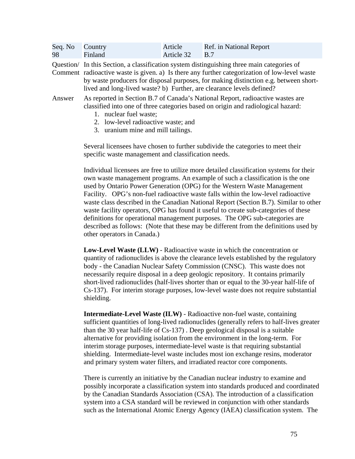| Seq. No Country |         | Article        | Ref. in National Report |
|-----------------|---------|----------------|-------------------------|
| 98              | Finland | Article 32 B.7 |                         |

lived and long-lived waste? b) Further, are clearance levels defined? Question/ In this Section, a classification system distinguishing three main categories of Comment radioactive waste is given. a) Is there any further categorization of low-level waste by waste producers for disposal purposes, for making distinction e.g. between short-

- Answer As reported in Section B.7 of Canada's National Report, radioactive wastes are classified into one of three categories based on origin and radiological hazard:
	- 1. nuclear fuel waste;
	- 2. low-level radioactive waste; and
	- 3. uranium mine and mill tailings.

Several licensees have chosen to further subdivide the categories to meet their specific waste management and classification needs.

Individual licensees are free to utilize more detailed classification systems for their own waste management programs. An example of such a classification is the one used by Ontario Power Generation (OPG) for the Western Waste Management Facility. OPG's non-fuel radioactive waste falls within the low-level radioactive waste class described in the Canadian National Report (Section B.7). Similar to other waste facility operators, OPG has found it useful to create sub-categories of these definitions for operational management purposes. The OPG sub-categories are described as follows: (Note that these may be different from the definitions used by other operators in Canada.)

**Low-Level Waste (LLW)** - Radioactive waste in which the concentration or quantity of radionuclides is above the clearance levels established by the regulatory body - the Canadian Nuclear Safety Commission (CNSC). This waste does not necessarily require disposal in a deep geologic repository. It contains primarily short-lived radionuclides (half-lives shorter than or equal to the 30-year half-life of Cs-137). For interim storage purposes, low-level waste does not require substantial shielding.

**Intermediate-Level Waste (ILW)** - Radioactive non-fuel waste, containing sufficient quantities of long-lived radionuclides (generally refers to half-lives greater than the 30 year half-life of Cs-137) . Deep geological disposal is a suitable alternative for providing isolation from the environment in the long-term. For interim storage purposes, intermediate-level waste is that requiring substantial shielding. Intermediate-level waste includes most ion exchange resins, moderator and primary system water filters, and irradiated reactor core components.

There is currently an initiative by the Canadian nuclear industry to examine and possibly incorporate a classification system into standards produced and coordinated by the Canadian Standards Association (CSA). The introduction of a classification system into a CSA standard will be reviewed in conjunction with other standards such as the International Atomic Energy Agency (IAEA) classification system. The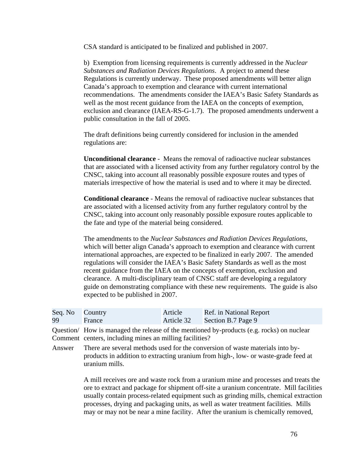CSA standard is anticipated to be finalized and published in 2007.

b) Exemption from licensing requirements is currently addressed in the *Nuclear Substances and Radiation Devices Regulations*. A project to amend these Regulations is currently underway. These proposed amendments will better align Canada's approach to exemption and clearance with current international recommendations. The amendments consider the IAEA's Basic Safety Standards as well as the most recent guidance from the IAEA on the concepts of exemption, exclusion and clearance (IAEA-RS-G-1.7). The proposed amendments underwent a public consultation in the fall of 2005.

The draft definitions being currently considered for inclusion in the amended regulations are:

**Unconditional clearance** - Means the removal of radioactive nuclear substances that are associated with a licensed activity from any further regulatory control by the CNSC, taking into account all reasonably possible exposure routes and types of materials irrespective of how the material is used and to where it may be directed.

**Conditional clearance** - Means the removal of radioactive nuclear substances that are associated with a licensed activity from any further regulatory control by the CNSC, taking into account only reasonably possible exposure routes applicable to the fate and type of the material being considered.

The amendments to the *Nuclear Substances and Radiation Devices Regulations*, which will better align Canada's approach to exemption and clearance with current international approaches, are expected to be finalized in early 2007. The amended regulations will consider the IAEA's Basic Safety Standards as well as the most recent guidance from the IAEA on the concepts of exemption, exclusion and clearance. A multi-disciplinary team of CNSC staff are developing a regulatory guide on demonstrating compliance with these new requirements. The guide is also expected to be published in 2007.

| Seq. No Country |        | Article    | Ref. in National Report |
|-----------------|--------|------------|-------------------------|
| 99              | France | Article 32 | Section B.7 Page 9      |

Question/ How is managed the release of the mentioned by-products (e.g. rocks) on nuclear Comment centers, including mines an milling facilities?

Answer There are several methods used for the conversion of waste materials into byproducts in addition to extracting uranium from high-, low- or waste-grade feed at uranium mills.

> A mill receives ore and waste rock from a uranium mine and processes and treats the ore to extract and package for shipment off-site a uranium concentrate. Mill facilities usually contain process-related equipment such as grinding mills, chemical extraction processes, drying and packaging units, as well as water treatment facilities. Mills may or may not be near a mine facility. After the uranium is chemically removed,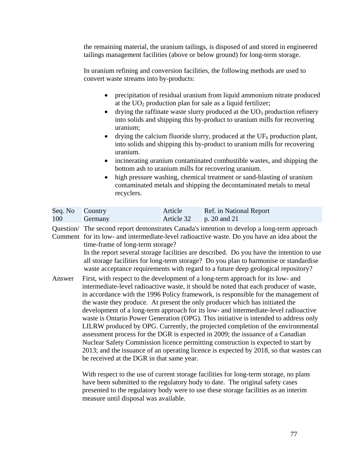the remaining material, the uranium tailings, is disposed of and stored in engineered tailings management facilities (above or below ground) for long-term storage.

In uranium refining and conversion facilities, the following methods are used to convert waste streams into by-products:

- precipitation of residual uranium from liquid ammonium nitrate produced at the  $UO<sub>2</sub>$  production plan for sale as a liquid fertilizer;
- drying the raffinate waste slurry produced at the  $UO_3$  production refinery into solids and shipping this by-product to uranium mills for recovering uranium;
- uranium. • drying the calcium fluoride slurry, produced at the  $UF_6$  production plant, into solids and shipping this by-product to uranium mills for recovering
- incinerating uranium contaminated combustible wastes, and shipping the bottom ash to uranium mills for recovering uranium.
- high pressure washing, chemical treatment or sand-blasting of uranium contaminated metals and shipping the decontaminated metals to metal recyclers.

| Seq. No Country |         | Article                     | Ref. in National Report |
|-----------------|---------|-----------------------------|-------------------------|
| 100             | Germany | Article $32$ p. 20 and $21$ |                         |

Question/ The second report demonstrates Canada's intention to develop a long-term approach

Comment for its low- and intermediate-level radioactive waste. Do you have an idea about the time-frame of long-term storage?

> In the report several storage facilities are described. Do you have the intention to use all storage facilities for long-term storage? Do you plan to harmonise or standardise waste acceptance requirements with regard to a future deep geological repository?

Answer First, with respect to the development of a long-term approach for its low- and intermediate-level radioactive waste, it should be noted that each producer of waste, in accordance with the 1996 Policy framework, is responsible for the management of the waste they produce. At present the only producer which has initiated the development of a long-term approach for its low- and intermediate-level radioactive waste is Ontario Power Generation (OPG). This initiative is intended to address only LILRW produced by OPG. Currently, the projected completion of the environmental assessment process for the DGR is expected in 2009; the issuance of a Canadian Nuclear Safety Commission licence permitting construction is expected to start by 2013; and the issuance of an operating licence is expected by 2018, so that wastes can be received at the DGR in that same year.

> measure until disposal was available. With respect to the use of current storage facilities for long-term storage, no plans have been submitted to the regulatory body to date. The original safety cases presented to the regulatory body were to use these storage facilities as an interim measure until disposal was available.<br>
> 77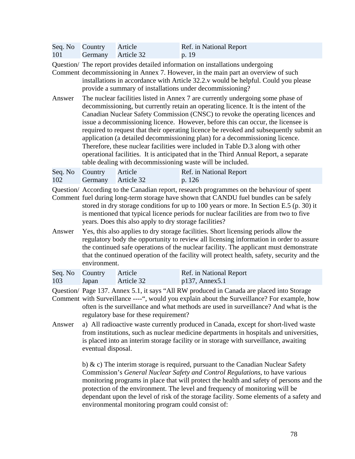|     | Seq. No Country Article | Ref. in National Report |
|-----|-------------------------|-------------------------|
| 101 | Germany Article 32      | p. 19                   |

Question/ The report provides detailed information on installations undergoing

provide a summary of installations under decommissioning? Comment decommissioning in Annex 7. However, in the main part an overview of such installations in accordance with Article 32.2.v would be helpful. Could you please

Answer The nuclear facilities listed in Annex 7 are currently undergoing some phase of decommissioning, but currently retain an operating licence. It is the intent of the Canadian Nuclear Safety Commission (CNSC) to revoke the operating licences and issue a decommissioning licence. However, before this can occur, the licensee is required to request that their operating licence be revoked and subsequently submit an application (a detailed decommissioning plan) for a decommissioning licence. Therefore, these nuclear facilities were included in Table D.3 along with other operational facilities. It is anticipated that in the Third Annual Report, a separate table dealing with decommissioning waste will be included.

|     | Seq. No Country Article | Ref. in National Report |
|-----|-------------------------|-------------------------|
| 102 | Germany Article 32      | p. 126                  |

Question/ According to the Canadian report, research programmes on the behaviour of spent

- Comment fuel during long-term storage have shown that CANDU fuel bundles can be safely stored in dry storage conditions for up to 100 years or more. In Section E.5 (p. 30) it is mentioned that typical licence periods for nuclear facilities are from two to five years. Does this also apply to dry storage facilities?
- Answer Yes, this also applies to dry storage facilities. Short licensing periods allow the regulatory body the opportunity to review all licensing information in order to assure the continued safe operations of the nuclear facility. The applicant must demonstrate that the continued operation of the facility will protect health, safety, security and the environment.

| Seq. No Country |       | Article    | Ref. in National Report |
|-----------------|-------|------------|-------------------------|
| 103             | Japan | Article 32 | $p137$ , Annex 5.1      |

Question/ Page 137. Annex 5.1, it says "All RW produced in Canada are placed into Storage

- regulatory base for these requirement? Comment with Surveillance ----", would you explain about the Surveillance? For example, how often is the surveillance and what methods are used in surveillance? And what is the
- Answer a) All radioactive waste currently produced in Canada, except for short-lived waste from institutions, such as nuclear medicine departments in hospitals and universities, is placed into an interim storage facility or in storage with surveillance, awaiting eventual disposal.

b) & c) The interim storage is required, pursuant to the Canadian Nuclear Safety Commission's *General Nuclear Safety and Control Regulations*, to have various monitoring programs in place that will protect the health and safety of persons and the protection of the environment. The level and frequency of monitoring will be dependant upon the level of risk of the storage facility. Some elements of a safety and environmental monitoring program could consist of: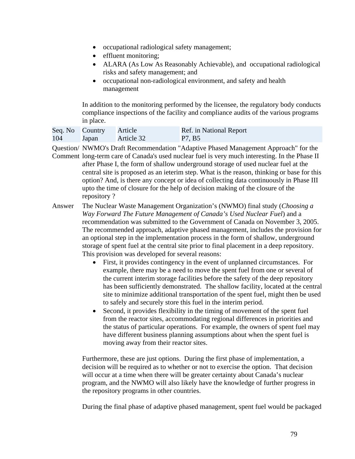- occupational radiological safety management;
- effluent monitoring;
- ALARA (As Low As Reasonably Achievable), and occupational radiological risks and safety management; and
- occupational non-radiological environment, and safety and health management

In addition to the monitoring performed by the licensee, the regulatory body conducts compliance inspections of the facility and compliance audits of the various programs in place.

| Seq. No Country |       | Article    | Ref. in National Report |
|-----------------|-------|------------|-------------------------|
| 104             | Japan | Article 32 | P7, B5                  |

Question/ NWMO's Draft Recommendation "Adaptive Phased Management Approach" for the Comment long-term care of Canada's used nuclear fuel is very much interesting. In the Phase II after Phase I, the form of shallow underground storage of used nuclear fuel at the

repository? central site is proposed as an ieterim step. What is the reason, thinking or base for this option? And, is there any concept or idea of collecting data continuously in Phase III upto the time of closure for the help of decision making of the closure of the

Answer The Nuclear Waste Management Organization's (NWMO) final study (*Choosing a Way Forward The Future Management of Canada's Used Nuclear Fuel*) and a recommendation was submitted to the Government of Canada on November 3, 2005. The recommended approach, adaptive phased management, includes the provision for an optional step in the implementation process in the form of shallow, underground storage of spent fuel at the central site prior to final placement in a deep repository. This provision was developed for several reasons:

- First, it provides contingency in the event of unplanned circumstances. For example, there may be a need to move the spent fuel from one or several of the current interim storage facilities before the safety of the deep repository has been sufficiently demonstrated. The shallow facility, located at the central site to minimize additional transportation of the spent fuel, might then be used to safely and securely store this fuel in the interim period.
- Second, it provides flexibility in the timing of movement of the spent fuel from the reactor sites, accommodating regional differences in priorities and the status of particular operations. For example, the owners of spent fuel may have different business planning assumptions about when the spent fuel is moving away from their reactor sites.

Furthermore, these are just options. During the first phase of implementation, a decision will be required as to whether or not to exercise the option. That decision will occur at a time when there will be greater certainty about Canada's nuclear program, and the NWMO will also likely have the knowledge of further progress in the repository programs in other countries.

During the final phase of adaptive phased management, spent fuel would be packaged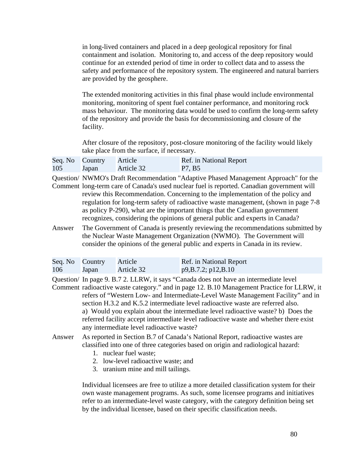in long-lived containers and placed in a deep geological repository for final containment and isolation. Monitoring to, and access of the deep repository would continue for an extended period of time in order to collect data and to assess the safety and performance of the repository system. The engineered and natural barriers are provided by the geosphere.

The extended monitoring activities in this final phase would include environmental monitoring, monitoring of spent fuel container performance, and monitoring rock mass behaviour. The monitoring data would be used to confirm the long-term safety of the repository and provide the basis for decommissioning and closure of the facility.

After closure of the repository, post-closure monitoring of the facility would likely take place from the surface, if necessary.

|     | Seq. No Country Article |            | Ref. in National Report |
|-----|-------------------------|------------|-------------------------|
| 105 | Japan                   | Article 32 | P7, B5                  |

recognizes, considering the opinions of general public and experts in Canada? Question/ NWMO's Draft Recommendation "Adaptive Phased Management Approach" for the Comment long-term care of Canada's used nuclear fuel is reported. Canadian government will review this Recommendation. Concerning to the implementation of the policy and regulation for long-term safety of radioactive waste management, (shown in page 7-8 as policy P-290), what are the important things that the Canadian government

Answer The Government of Canada is presently reviewing the recommendations submitted by the Nuclear Waste Management Organization (NWMO). The Government will consider the opinions of the general public and experts in Canada in its review.

| Seq. No Country |       | Article    | <b>Ref.</b> in National Report |
|-----------------|-------|------------|--------------------------------|
| 106             | Japan | Article 32 | p9,B.7.2; p12,B.10             |

any intermediate level radioactive waste? Question/ In page 9. B.7 2. LLRW, it says "Canada does not have an intermediate level Comment radioactive waste category." and in page 12. B.10 Management Practice for LLRW, it refers of "Western Low- and Intermediate-Level Waste Management Facility" and in section H.3.2 and K.5.2 intermediate level radioactive waste are referred also. a) Would you explain about the intermediate level radioactive waste? b) Does the referred facility accept intermediate level radioactive waste and whether there exist

## Answer As reported in Section B.7 of Canada's National Report, radioactive wastes are classified into one of three categories based on origin and radiological hazard:

- 1. nuclear fuel waste;
- 2. low-level radioactive waste; and
- 3. uranium mine and mill tailings.

Individual licensees are free to utilize a more detailed classification system for their own waste management programs. As such, some licensee programs and initiatives refer to an intermediate-level waste category, with the category definition being set by the individual licensee, based on their specific classification needs.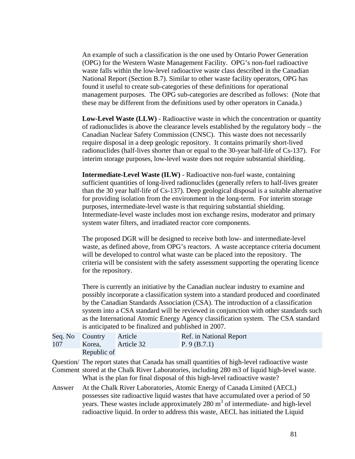An example of such a classification is the one used by Ontario Power Generation (OPG) for the Western Waste Management Facility. OPG's non-fuel radioactive waste falls within the low-level radioactive waste class described in the Canadian National Report (Section B.7). Similar to other waste facility operators, OPG has found it useful to create sub-categories of these definitions for operational management purposes. The OPG sub-categories are described as follows: (Note that these may be different from the definitions used by other operators in Canada.)

**Low-Level Waste (LLW)** - Radioactive waste in which the concentration or quantity of radionuclides is above the clearance levels established by the regulatory body – the Canadian Nuclear Safety Commission (CNSC). This waste does not necessarily require disposal in a deep geologic repository. It contains primarily short-lived radionuclides (half-lives shorter than or equal to the 30-year half-life of Cs-137). For interim storage purposes, low-level waste does not require substantial shielding.

**Intermediate-Level Waste (ILW)** - Radioactive non-fuel waste, containing sufficient quantities of long-lived radionuclides (generally refers to half-lives greater than the 30 year half-life of Cs-137). Deep geological disposal is a suitable alternative for providing isolation from the environment in the long-term. For interim storage purposes, intermediate-level waste is that requiring substantial shielding. Intermediate-level waste includes most ion exchange resins, moderator and primary system water filters, and irradiated reactor core components.

The proposed DGR will be designed to receive both low- and intermediate-level waste, as defined above, from OPG's reactors. A waste acceptance criteria document will be developed to control what waste can be placed into the repository. The criteria will be consistent with the safety assessment supporting the operating licence for the repository.

There is currently an initiative by the Canadian nuclear industry to examine and possibly incorporate a classification system into a standard produced and coordinated by the Canadian Standards Association (CSA). The introduction of a classification system into a CSA standard will be reviewed in conjunction with other standards such as the International Atomic Energy Agency classification system. The CSA standard is anticipated to be finalized and published in 2007.

| Seq. No Country |                   | Article | Ref. in National Report |
|-----------------|-------------------|---------|-------------------------|
| 107             | Korea, Article 32 |         | P. 9 (B.7.1)            |
|                 | Republic of       |         |                         |

What is the plan for final disposal of this high-level radioactive waste? Question/ The report states that Canada has small quantities of high-level radioactive waste Comment stored at the Chalk River Laboratories, including 280 m3 of liquid high-level waste.

Answer At the Chalk River Laboratories, Atomic Energy of Canada Limited (AECL) possesses site radioactive liquid wastes that have accumulated over a period of 50 years. These wastes include approximately  $280 \text{ m}^3$  of intermediate- and high-level radioactive liquid. In order to address this waste, AECL has initiated the Liquid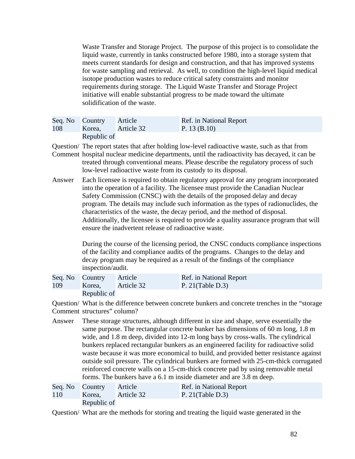Waste Transfer and Storage Project. The purpose of this project is to consolidate the liquid waste, currently in tanks constructed before 1980, into a storage system that meets current standards for design and construction, and that has improved systems for waste sampling and retrieval. As well, to condition the high-level liquid medical isotope production wastes to reduce critical safety constraints and monitor requirements during storage. The Liquid Waste Transfer and Storage Project initiative will enable substantial progress to be made toward the ultimate solidification of the waste.

| Seq. No Country |             | Article    | Ref. in National Report |
|-----------------|-------------|------------|-------------------------|
| 108             | Korea,      | Article 32 | P. 13 $(B.10)$          |
|                 | Republic of |            |                         |

Question/ The report states that after holding low-level radioactive waste, such as that from

Comment hospital nuclear medicine departments, until the radioactivity has decayed, it can be treated through conventional means. Please describe the regulatory process of such low-level radioactive waste from its custody to its disposal.

Answer Each licensee is required to obtain regulatory approval for any program incorporated into the operation of a facility. The licensee must provide the Canadian Nuclear Safety Commission (CNSC) with the details of the proposed delay and decay program. The details may include such information as the types of radionuclides, the characteristics of the waste, the decay period, and the method of disposal. Additionally, the licensee is required to provide a quality assurance program that will ensure the inadvertent release of radioactive waste.

> During the course of the licensing period, the CNSC conducts compliance inspections of the facility and compliance audits of the programs. Changes to the delay and decay program may be required as a result of the findings of the compliance inspection/audit.

| Seq. No Country |                   | Article | <b>Ref.</b> in National Report |
|-----------------|-------------------|---------|--------------------------------|
| 109             | Korea, Article 32 |         | P. $21$ (Table D.3)            |
|                 | Republic of       |         |                                |

Question/ What is the difference between concrete bunkers and concrete trenches in the "storage Comment structures" column?

Answer These storage structures, although different in size and shape, serve essentially the same purpose. The rectangular concrete bunker has dimensions of 60 m long, 1.8 m wide, and 1.8 m deep, divided into 12-m long bays by cross-walls. The cylindrical bunkers replaced rectangular bunkers as an engineered facility for radioactive solid waste because it was more economical to build, and provided better resistance against outside soil pressure. The cylindrical bunkers are formed with 25-cm-thick corrugated reinforced concrete walls on a 15-cm-thick concrete pad by using removable metal forms. The bunkers have a 6.1 m inside diameter and are 3.8 m deep.

| Seq. No Country |             | Article    | Ref. in National Report |
|-----------------|-------------|------------|-------------------------|
| 110             | Korea,      | Article 32 | P. $21$ (Table D.3)     |
|                 | Republic of |            |                         |

Question/ What are the methods for storing and treating the liquid waste generated in the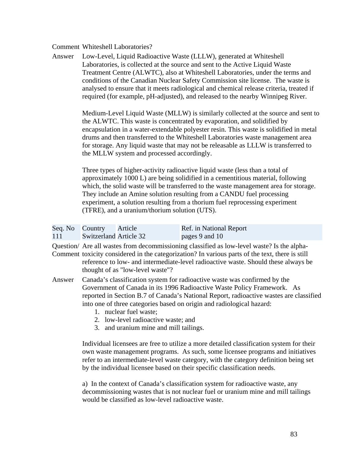## Comment Whiteshell Laboratories?

Answer Low-Level, Liquid Radioactive Waste (LLLW), generated at Whiteshell Laboratories, is collected at the source and sent to the Active Liquid Waste Treatment Centre (ALWTC), also at Whiteshell Laboratories, under the terms and conditions of the Canadian Nuclear Safety Commission site license. The waste is analysed to ensure that it meets radiological and chemical release criteria, treated if required (for example, pH-adjusted), and released to the nearby Winnipeg River.

> Medium-Level Liquid Waste (MLLW) is similarly collected at the source and sent to the ALWTC. This waste is concentrated by evaporation, and solidified by encapsulation in a water-extendable polyester resin. This waste is solidified in metal drums and then transferred to the Whiteshell Laboratories waste management area for storage. Any liquid waste that may not be releasable as LLLW is transferred to the MLLW system and processed accordingly.

Three types of higher-activity radioactive liquid waste (less than a total of approximately 1000 L) are being solidified in a cementitious material, following which, the solid waste will be transferred to the waste management area for storage. They include an Amine solution resulting from a CANDU fuel processing experiment, a solution resulting from a thorium fuel reprocessing experiment (TFRE), and a uranium/thorium solution (UTS).

| Seq. No Country |                               | Article | Ref. in National Report |
|-----------------|-------------------------------|---------|-------------------------|
| 111             | <b>Switzerland Article 32</b> |         | pages 9 and 10          |

thought of as "low-level waste"? Question/ Are all wastes from decommissioning classified as low-level waste? Is the alpha-Comment toxicity considered in the categorization? In various parts of the text, there is still reference to low- and intermediate-level radioactive waste. Should these always be

- Answer Canada's classification system for radioactive waste was confirmed by the Government of Canada in its 1996 Radioactive Waste Policy Framework. As reported in Section B.7 of Canada's National Report, radioactive wastes are classified into one of three categories based on origin and radiological hazard:
	- 1. nuclear fuel waste;
	- 2. low-level radioactive waste; and
	- 3. and uranium mine and mill tailings.

Individual licensees are free to utilize a more detailed classification system for their own waste management programs. As such, some licensee programs and initiatives refer to an intermediate-level waste category, with the category definition being set by the individual licensee based on their specific classification needs.

a) In the context of Canada's classification system for radioactive waste, any decommissioning wastes that is not nuclear fuel or uranium mine and mill tailings would be classified as low-level radioactive waste.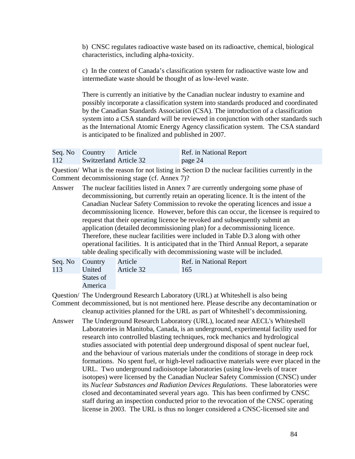b) CNSC regulates radioactive waste based on its radioactive, chemical, biological characteristics, including alpha-toxicity.

c) In the context of Canada's classification system for radioactive waste low and intermediate waste should be thought of as low-level waste.

There is currently an initiative by the Canadian nuclear industry to examine and possibly incorporate a classification system into standards produced and coordinated by the Canadian Standards Association (CSA). The introduction of a classification system into a CSA standard will be reviewed in conjunction with other standards such as the International Atomic Energy Agency classification system. The CSA standard is anticipated to be finalized and published in 2007.

|     | Seq. No Country               | Article | Ref. in National Report |
|-----|-------------------------------|---------|-------------------------|
| 112 | <b>Switzerland Article 32</b> |         | page 24                 |

Comment decommissioning stage (cf. Annex 7)? Question/ What is the reason for not listing in Section D the nuclear facilities currently in the

table dealing specifically with decommissioning waste will be included.<br>Seq. No Country Article Ref. in National Report Answer The nuclear facilities listed in Annex 7 are currently undergoing some phase of decommissioning, but currently retain an operating licence. It is the intent of the Canadian Nuclear Safety Commission to revoke the operating licences and issue a decommissioning licence. However, before this can occur, the licensee is required to request that their operating licence be revoked and subsequently submit an application (detailed decommissioning plan) for a decommissioning licence. Therefore, these nuclear facilities were included in Table D.3 along with other operational facilities. It is anticipated that in the Third Annual Report, a separate

| Seq. No Country | Article    | Ref. in National Report |
|-----------------|------------|-------------------------|
| 113<br>United   | Article 32 | 165                     |
| States of       |            |                         |
| America         |            |                         |

Question/ The Underground Research Laboratory (URL) at Whiteshell is also being Comment decommissioned, but is not mentioned here. Please describe any decontamination or cleanup activities planned for the URL as part of Whiteshell's decommissioning.

Answer The Underground Research Laboratory (URL), located near AECL's Whiteshell Laboratories in Manitoba, Canada, is an underground, experimental facility used for research into controlled blasting techniques, rock mechanics and hydrological studies associated with potential deep underground disposal of spent nuclear fuel, and the behaviour of various materials under the conditions of storage in deep rock formations. No spent fuel, or high-level radioactive materials were ever placed in the URL. Two underground radioisotope laboratories (using low-levels of tracer isotopes) were licensed by the Canadian Nuclear Safety Commission (CNSC) under its *Nuclear Substances and Radiation Devices Regulations*. These laboratories were closed and decontaminated several years ago. This has been confirmed by CNSC staff during an inspection conducted prior to the revocation of the CNSC operating license in 2003. The URL is thus no longer considered a CNSC-licensed site and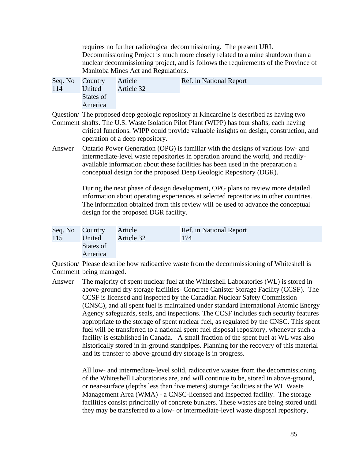requires no further radiological decommissioning. The present URL Decommissioning Project is much more closely related to a mine shutdown than a nuclear decommissioning project, and is follows the requirements of the Province of Manitoba Mines Act and Regulations.

| Seq. No Country |           | Article    | Ref. in National Report                                                                  |
|-----------------|-----------|------------|------------------------------------------------------------------------------------------|
| 114             | United    | Article 32 |                                                                                          |
|                 | States of |            |                                                                                          |
|                 | America   |            |                                                                                          |
|                 |           |            | Question/ The proposed deep geologic repository at Kincardine is described as having two |

Comment shafts. The U.S. Waste Isolation Pilot Plant (WIPP) has four shafts, each having critical functions. WIPP could provide valuable insights on design, construction, and

Answer Ontario Power Generation (OPG) is familiar with the designs of various low- and intermediate-level waste repositories in operation around the world, and readilyavailable information about these facilities has been used in the preparation a conceptual design for the proposed Deep Geologic Repository (DGR).

> During the next phase of design development, OPG plans to review more detailed information about operating experiences at selected repositories in other countries. The information obtained from this review will be used to advance the conceptual design for the proposed DGR facility.

| Seq. No Country |           | Article    | Ref. in National Report |
|-----------------|-----------|------------|-------------------------|
| 115             | United    | Article 32 | 174                     |
|                 | States of |            |                         |
|                 | America   |            |                         |

operation of a deep repository.

Question/ Please describe how radioactive waste from the decommissioning of Whiteshell is Comment being managed.

Answer The majority of spent nuclear fuel at the Whiteshell Laboratories (WL) is stored in above-ground dry storage facilities- Concrete Canister Storage Facility (CCSF). The CCSF is licensed and inspected by the Canadian Nuclear Safety Commission (CNSC), and all spent fuel is maintained under standard International Atomic Energy Agency safeguards, seals, and inspections. The CCSF includes such security features appropriate to the storage of spent nuclear fuel, as regulated by the CNSC. This spent fuel will be transferred to a national spent fuel disposal repository, whenever such a facility is established in Canada. A small fraction of the spent fuel at WL was also historically stored in in-ground standpipes. Planning for the recovery of this material and its transfer to above-ground dry storage is in progress.

> All low- and intermediate-level solid, radioactive wastes from the decommissioning of the Whiteshell Laboratories are, and will continue to be, stored in above-ground, or near-surface (depths less than five meters) storage facilities at the WL Waste Management Area (WMA) - a CNSC-licensed and inspected facility. The storage facilities consist principally of concrete bunkers. These wastes are being stored until they may be transferred to a low- or intermediate-level waste disposal repository,